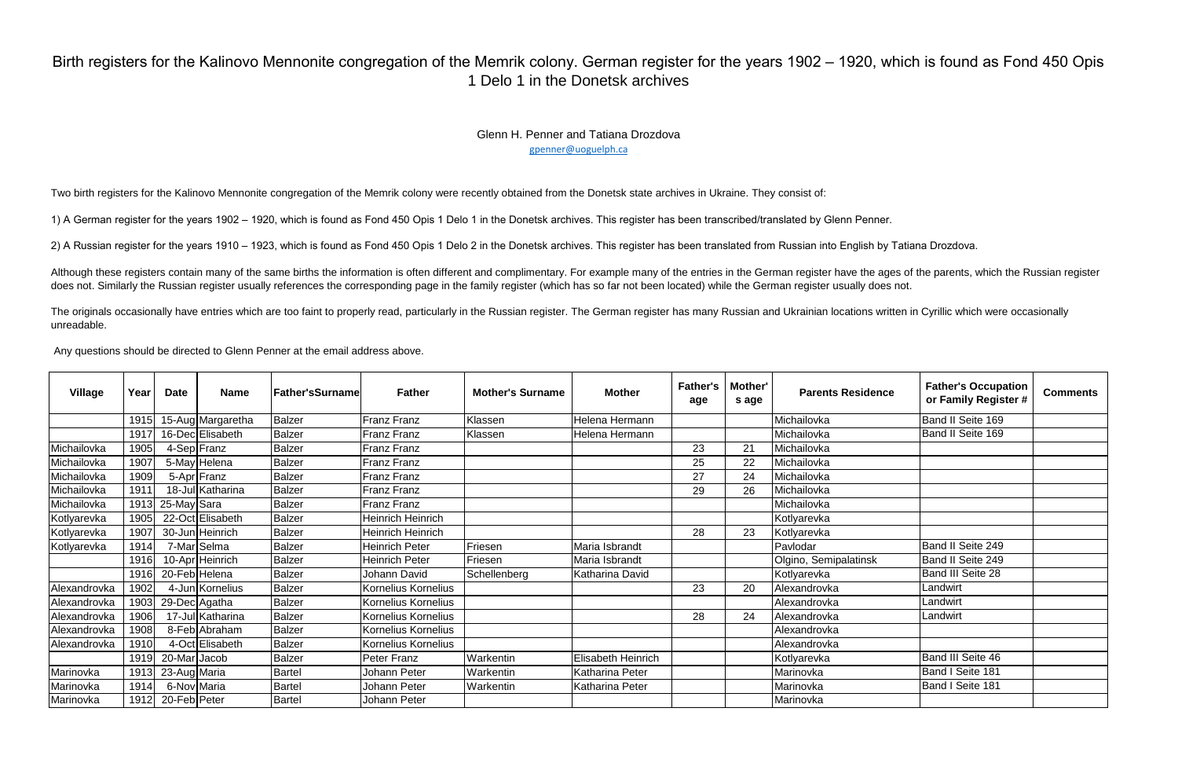| <b>Village</b> | Year | <b>Date</b>  | <b>Name</b>       | <b>Father'sSurname</b> | <b>Father</b>            | <b>Mother's Surname</b> | <b>Mother</b>      | <b>Father's</b><br>age | Mother'<br>s age | <b>Parents Residence</b> | <b>Father's Occupation</b><br>or Family Register # | <b>Comments</b> |
|----------------|------|--------------|-------------------|------------------------|--------------------------|-------------------------|--------------------|------------------------|------------------|--------------------------|----------------------------------------------------|-----------------|
|                | 1915 |              | 15-Aug Margaretha | <b>Balzer</b>          | <b>Franz Franz</b>       | Klassen                 | Helena Hermann     |                        |                  | Michailovka              | Band II Seite 169                                  |                 |
|                | 1917 |              | 16-Dec Elisabeth  | <b>Balzer</b>          | <b>Franz Franz</b>       | Klassen                 | Helena Hermann     |                        |                  | Michailovka              | Band II Seite 169                                  |                 |
| Michailovka    | 1905 |              | 4-Sep Franz       | <b>Balzer</b>          | Franz Franz              |                         |                    | 23                     | 21               | Michailovka              |                                                    |                 |
| Michailovka    | 1907 |              | 5-May Helena      | <b>Balzer</b>          | Franz Franz              |                         |                    | 25                     | 22               | Michailovka              |                                                    |                 |
| Michailovka    | 1909 |              | 5-Apr Franz       | <b>Balzer</b>          | Franz Franz              |                         |                    | 27                     | 24               | Michailovka              |                                                    |                 |
| Michailovka    | 1911 |              | 18-Jul Katharina  | <b>Balzer</b>          | <b>Franz Franz</b>       |                         |                    | 29                     | 26               | Michailovka              |                                                    |                 |
| Michailovka    | 1913 | 25-May Sara  |                   | <b>Balzer</b>          | Franz Franz              |                         |                    |                        |                  | Michailovka              |                                                    |                 |
| Kotlyarevka    | 1905 |              | 22-Oct Elisabeth  | Balzer                 | <b>Heinrich Heinrich</b> |                         |                    |                        |                  | Kotlyarevka              |                                                    |                 |
| Kotlyarevka    | 1907 |              | 30-Jun Heinrich   | <b>Balzer</b>          | <b>Heinrich Heinrich</b> |                         |                    | 28                     | 23               | Kotlyarevka              |                                                    |                 |
| Kotlyarevka    | 1914 |              | 7-Mar Selma       | <b>Balzer</b>          | <b>Heinrich Peter</b>    | <b>Friesen</b>          | Maria Isbrandt     |                        |                  | Pavlodar                 | Band II Seite 249                                  |                 |
|                | 1916 |              | 10-Apr Heinrich   | <b>Balzer</b>          | <b>Heinrich Peter</b>    | Friesen                 | Maria Isbrandt     |                        |                  | Olgino, Semipalatinsk    | Band II Seite 249                                  |                 |
|                | 1916 |              | 20-Feb Helena     | <b>Balzer</b>          | Johann David             | Schellenberg            | Katharina David    |                        |                  | Kotlyarevka              | Band III Seite 28                                  |                 |
| Alexandrovka   | 1902 |              | 4-Jun Kornelius   | <b>Balzer</b>          | Kornelius Kornelius      |                         |                    | 23                     | 20               | Alexandrovka             | Landwirt                                           |                 |
| Alexandrovka   | 1903 |              | 29-Dec Agatha     | <b>Balzer</b>          | Kornelius Kornelius      |                         |                    |                        |                  | Alexandrovka             | Landwirt                                           |                 |
| Alexandrovka   | 1906 |              | 17-Jul Katharina  | <b>Balzer</b>          | Kornelius Kornelius      |                         |                    | 28                     | 24               | Alexandrovka             | Landwirt                                           |                 |
| Alexandrovka   | 1908 |              | 8-Feb Abraham     | <b>Balzer</b>          | Kornelius Kornelius      |                         |                    |                        |                  | Alexandrovka             |                                                    |                 |
| Alexandrovka   | 1910 |              | 4-Oct Elisabeth   | <b>Balzer</b>          | Kornelius Kornelius      |                         |                    |                        |                  | Alexandrovka             |                                                    |                 |
|                | 1919 | 20-MarJacob  |                   | <b>Balzer</b>          | Peter Franz              | Warkentin               | Elisabeth Heinrich |                        |                  | Kotlyarevka              | Band III Seite 46                                  |                 |
| Marinovka      | 1913 | 23-Aug Maria |                   | <b>Bartel</b>          | Johann Peter             | Warkentin               | Katharina Peter    |                        |                  | Marinovka                | Band I Seite 181                                   |                 |
| Marinovka      | 1914 | 6-Nov Maria  |                   | <b>Bartel</b>          | Johann Peter             | Warkentin               | Katharina Peter    |                        |                  | Marinovka                | Band I Seite 181                                   |                 |
| Marinovka      | 1912 | 20-Feb Peter |                   | <b>Bartel</b>          | Johann Peter             |                         |                    |                        |                  | Marinovka                |                                                    |                 |

Although these registers contain many of the same births the information is often different and complimentary. For example many of the entries in the German register have the ages of the parents, which the Russian register does not. Similarly the Russian register usually references the corresponding page in the family register (which has so far not been located) while the German register usually does not.

## Birth registers for the Kalinovo Mennonite congregation of the Memrik colony. German register for the years 1902 – 1920, which is found as Fond 450 Opis 1 Delo 1 in the Donetsk archives

Glenn H. Penner and Tatiana Drozdova gpenner@uoguelph.ca

Two birth registers for the Kalinovo Mennonite congregation of the Memrik colony were recently obtained from the Donetsk state archives in Ukraine. They consist of:

1) A German register for the years 1902 – 1920, which is found as Fond 450 Opis 1 Delo 1 in the Donetsk archives. This register has been transcribed/translated by Glenn Penner.

2) A Russian register for the years 1910 – 1923, which is found as Fond 450 Opis 1 Delo 2 in the Donetsk archives. This register has been translated from Russian into English by Tatiana Drozdova.

The originals occasionally have entries which are too faint to properly read, particularly in the Russian register. The German register has many Russian and Ukrainian locations written in Cyrillic which were occasionally unreadable.

Any questions should be directed to Glenn Penner at the email address above.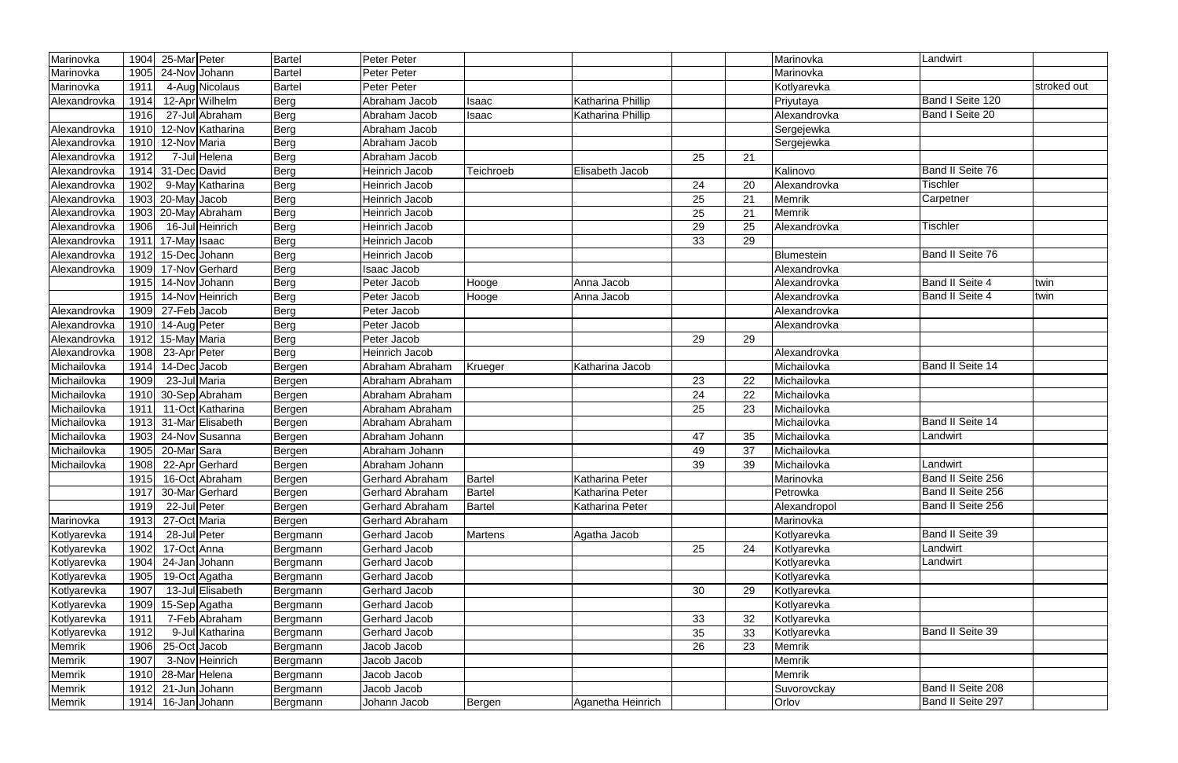| Marinovka     | 1904 | 25-Mar Peter                 | Bartel        | <b>Peter Peter</b>     |                |                   |    |    | Marinovka     | Landwirt                |             |
|---------------|------|------------------------------|---------------|------------------------|----------------|-------------------|----|----|---------------|-------------------------|-------------|
| Marinovka     | 1905 | 24-Nov Johann                | <b>Bartel</b> | <b>Peter Peter</b>     |                |                   |    |    | Marinovka     |                         |             |
| Marinovka     | 1911 | 4-Aug Nicolaus               | <b>Bartel</b> | Peter Peter            |                |                   |    |    | Kotlyarevka   |                         | stroked out |
| Alexandrovka  | 1914 | 12-Apr Wilhelm               | Berg          | Abraham Jacob          | Isaac          | Katharina Phillip |    |    | Priyutaya     | Band I Seite 120        |             |
|               | 1916 | $\overline{27}$ -Jul Abraham | Berg          | Abraham Jacob          | Isaac          | Katharina Phillip |    |    | Alexandrovka  | Band I Seite 20         |             |
| Alexandrovka  | 1910 | 12-Nov Katharina             | Berg          | Abraham Jacob          |                |                   |    |    | Sergejewka    |                         |             |
| Alexandrovka  | 1910 | 12-Nov Maria                 | Berg          | Abraham Jacob          |                |                   |    |    | Sergejewka    |                         |             |
| Alexandrovka  | 1912 | 7-Jul Helena                 | Berg          | Abraham Jacob          |                |                   | 25 | 21 |               |                         |             |
| Alexandrovka  | 1914 | 31-Dec David                 | Berg          | Heinrich Jacob         | Teichroeb      | Elisabeth Jacob   |    |    | Kalinovo      | Band II Seite 76        |             |
| Alexandrovka  | 1902 | 9-May Katharina              | Berg          | Heinrich Jacob         |                |                   | 24 | 20 | Alexandrovka  | Tischler                |             |
| Alexandrovka  | 1903 | 20-May Jacob                 | Berg          | Heinrich Jacob         |                |                   | 25 | 21 | <b>Memrik</b> | Carpetner               |             |
| Alexandrovka  | 1903 | 20-May Abraham               | Berg          | Heinrich Jacob         |                |                   | 25 | 21 | <b>Memrik</b> |                         |             |
| Alexandrovka  | 1906 | 16-Jul Heinrich              | Berg          | Heinrich Jacob         |                |                   | 29 | 25 | Alexandrovka  | <b>Tischler</b>         |             |
| Alexandrovka  | 1911 | 17-May Isaac                 | Berg          | Heinrich Jacob         |                |                   | 33 | 29 |               |                         |             |
| Alexandrovka  | 1912 | 15-Dec Johann                | Berg          | <b>Heinrich Jacob</b>  |                |                   |    |    | Blumestein    | Band II Seite 76        |             |
| Alexandrovka  | 1909 | 17-Nov Gerhard               | Berg          | <b>Isaac Jacob</b>     |                |                   |    |    | Alexandrovka  |                         |             |
|               | 1915 | 14-Nov Johann                | Berg          | Peter Jacob            | Hooge          | Anna Jacob        |    |    | Alexandrovka  | Band II Seite 4         | twin        |
|               | 1915 | 14-Nov Heinrich              | Berg          | Peter Jacob            | Hooge          | Anna Jacob        |    |    | Alexandrovka  | <b>Band II Seite 4</b>  | twin        |
| Alexandrovka  | 1909 | 27-Feb Jacob                 | Berg          | Peter Jacob            |                |                   |    |    | Alexandrovka  |                         |             |
| Alexandrovka  | 1910 | 14-Aug Peter                 | Berg          | Peter Jacob            |                |                   |    |    | Alexandrovka  |                         |             |
| Alexandrovka  | 1912 | 15-May Maria                 | Berg          | Peter Jacob            |                |                   | 29 | 29 |               |                         |             |
| Alexandrovka  | 1908 | 23-Apr Peter                 | Berg          | <b>Heinrich Jacob</b>  |                |                   |    |    | Alexandrovka  |                         |             |
| Michailovka   | 1914 | 14-Dec Jacob                 | Bergen        | Abraham Abraham        | Krueger        | Katharina Jacob   |    |    | Michailovka   | <b>Band II Seite 14</b> |             |
| Michailovka   | 1909 | 23-Jul Maria                 | Bergen        | Abraham Abraham        |                |                   | 23 | 22 | Michailovka   |                         |             |
| Michailovka   | 1910 | 30-Sep Abraham               | Bergen        | Abraham Abraham        |                |                   | 24 | 22 | Michailovka   |                         |             |
| Michailovka   | 1911 | 11-Oct Katharina             | Bergen        | Abraham Abraham        |                |                   | 25 | 23 | Michailovka   |                         |             |
| Michailovka   | 1913 | 31-Mar Elisabeth             | Bergen        | Abraham Abraham        |                |                   |    |    | Michailovka   | Band II Seite 14        |             |
| Michailovka   | 1903 | 24-Nov Susanna               | Bergen        | Abraham Johann         |                |                   | 47 | 35 | Michailovka   | Landwirt                |             |
| Michailovka   | 1905 | 20-Mar Sara                  | Bergen        | Abraham Johann         |                |                   | 49 | 37 | Michailovka   |                         |             |
| Michailovka   | 1908 | 22-Apr Gerhard               | Bergen        | Abraham Johann         |                |                   | 39 | 39 | Michailovka   | Landwirt                |             |
|               | 1915 | 16-Oct Abraham               | Bergen        | <b>Gerhard Abraham</b> | <b>Bartel</b>  | Katharina Peter   |    |    | Marinovka     | Band II Seite 256       |             |
|               | 1917 | 30-MarGerhard                | Bergen        | Gerhard Abraham        | <b>Bartel</b>  | Katharina Peter   |    |    | Petrowka      | Band II Seite 256       |             |
|               | 1919 | 22-Jul Peter                 | Bergen        | <b>Gerhard Abraham</b> | <b>Bartel</b>  | Katharina Peter   |    |    | Alexandropol  | Band II Seite 256       |             |
| Marinovka     | 1913 | 27-Oct Maria                 | Bergen        | <b>Gerhard Abraham</b> |                |                   |    |    | Marinovka     |                         |             |
| Kotlyarevka   | 1914 | 28-Jul Peter                 | Bergmann      | Gerhard Jacob          | <b>Martens</b> | Agatha Jacob      |    |    | Kotlyarevka   | Band II Seite 39        |             |
| Kotlyarevka   | 1902 | 17-Oct Anna                  | Bergmann      | <b>Gerhard Jacob</b>   |                |                   | 25 | 24 | Kotlyarevka   | Landwirt                |             |
| Kotlyarevka   | 1904 | 24-Jan Johann                | Bergmann      | Gerhard Jacob          |                |                   |    |    | Kotlyarevka   | Landwirt                |             |
| Kotlyarevka   | 1905 | 19-Oct Agatha                | Bergmann      | Gerhard Jacob          |                |                   |    |    | Kotlyarevka   |                         |             |
| Kotlyarevka   | 1907 | 13-Jul Elisabeth             | Bergmann      | Gerhard Jacob          |                |                   | 30 | 29 | Kotlyarevka   |                         |             |
| Kotlyarevka   | 1909 | 15-Sep Agatha                | Bergmann      | Gerhard Jacob          |                |                   |    |    | Kotlyarevka   |                         |             |
| Kotlyarevka   | 1911 | 7-Feb Abraham                | Bergmann      | Gerhard Jacob          |                |                   | 33 | 32 | Kotlyarevka   |                         |             |
| Kotlyarevka   | 1912 | 9-Jul Katharina              | Bergmann      | Gerhard Jacob          |                |                   | 35 | 33 | Kotlyarevka   | <b>Band II Seite 39</b> |             |
| Memrik        | 1906 | 25-Oct Jacob                 | Bergmann      | Jacob Jacob            |                |                   | 26 | 23 | <b>Memrik</b> |                         |             |
| Memrik        | 1907 | 3-Nov Heinrich               | Bergmann      | Jacob Jacob            |                |                   |    |    | Memrik        |                         |             |
| <b>Memrik</b> | 1910 | 28-Mar Helena                | Bergmann      | Jacob Jacob            |                |                   |    |    | Memrik        |                         |             |
| Memrik        | 1912 | 21-Jun Johann                | Bergmann      | Jacob Jacob            |                |                   |    |    | Suvorovckay   | Band II Seite 208       |             |
| Memrik        | 1914 | 16-Jan Johann                | Bergmann      | Johann Jacob           | Bergen         | Aganetha Heinrich |    |    | Orlov         | Band II Seite 297       |             |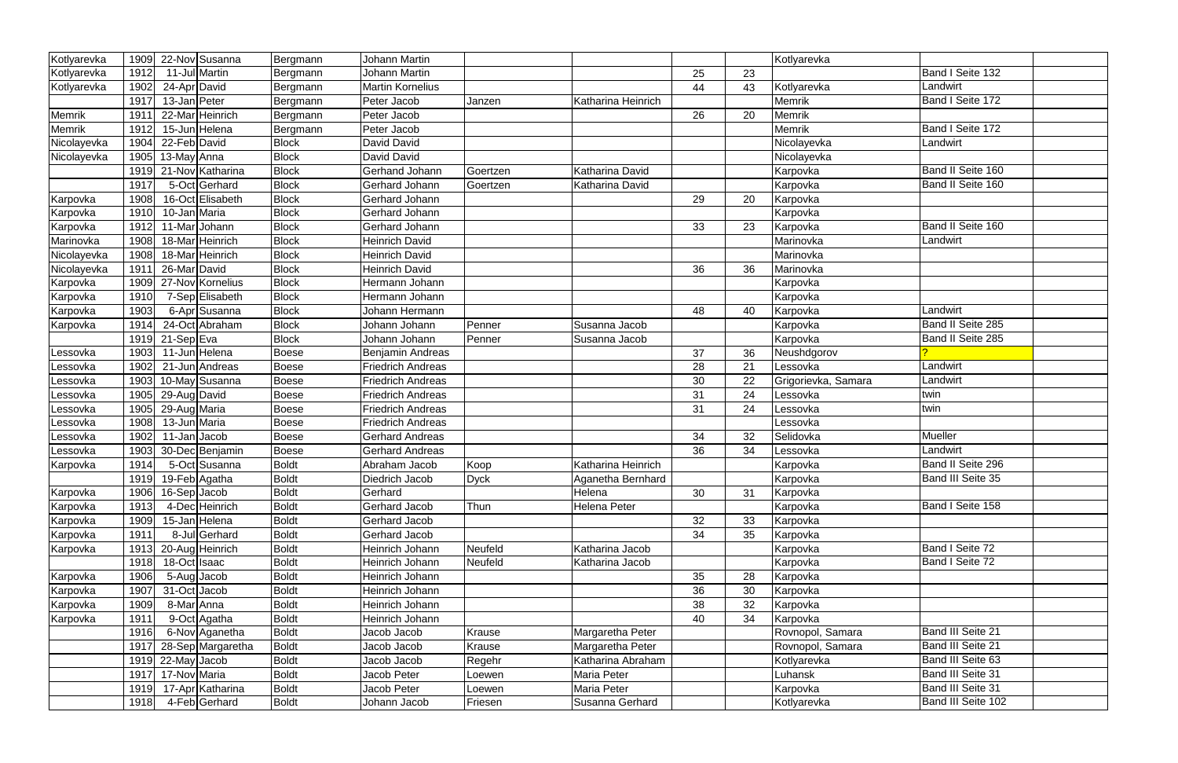| Kotlyarevka | 1909         | 22-Nov Susanna                 | Bergmann                     | <b>Johann Martin</b>               |               |                     |    |    | Kotlyarevka                  |                          |
|-------------|--------------|--------------------------------|------------------------------|------------------------------------|---------------|---------------------|----|----|------------------------------|--------------------------|
| Kotlyarevka | 1912         | 11-Jul Martin                  | Bergmann                     | <b>Johann Martin</b>               |               |                     | 25 | 23 |                              | Band I Seite 132         |
| Kotlyarevka | 1902         | 24-Apr David                   | Bergmann                     | <b>Martin Kornelius</b>            |               |                     | 44 | 43 | Kotlyarevka                  | Landwirt                 |
|             | 1917         | 13-Jan Peter                   | Bergmann                     | Peter Jacob                        | Janzen        | Katharina Heinrich  |    |    | Memrik                       | Band I Seite 172         |
| Memrik      | 1911         | 22-Mar Heinrich                | Bergmann                     | Peter Jacob                        |               |                     | 26 | 20 | Memrik                       |                          |
| Memrik      | 1912         | 15-Jun Helena                  | Bergmann                     | Peter Jacob                        |               |                     |    |    | Memrik                       | Band I Seite 172         |
| Nicolayevka | 1904         | 22-Feb David                   | <b>Block</b>                 | David David                        |               |                     |    |    | Nicolayevka                  | Landwirt                 |
| Nicolayevka | 1905         | 13-May Anna                    | <b>Block</b>                 | David David                        |               |                     |    |    | Nicolayevka                  |                          |
|             | 1919         | 21-Nov Katharina               | <b>Block</b>                 | Gerhand Johann                     | Goertzen      | Katharina David     |    |    | Karpovka                     | Band II Seite 160        |
|             | 1917         | 5-Oct Gerhard                  | <b>Block</b>                 | Gerhard Johann                     | Goertzen      | Katharina David     |    |    | Karpovka                     | Band II Seite 160        |
| Karpovka    | 1908         | 16-Oct Elisabeth               | <b>Block</b>                 | Gerhard Johann                     |               |                     | 29 | 20 | Karpovka                     |                          |
| Karpovka    | 1910         | 10-Jan Maria                   | <b>Block</b>                 | Gerhard Johann                     |               |                     |    |    | Karpovka                     |                          |
| Karpovka    | 1912         | 11-Mar Johann                  | <b>Block</b>                 | Gerhard Johann                     |               |                     | 33 | 23 | Karpovka                     | Band II Seite 160        |
| Marinovka   | 1908         | 18-Mar Heinrich                | <b>Block</b>                 | Heinrich David                     |               |                     |    |    | Marinovka                    | Landwirt                 |
| Nicolayevka | 1908         | 18-Mar Heinrich                | <b>Block</b>                 | <b>Heinrich David</b>              |               |                     |    |    | Marinovka                    |                          |
| Nicolayevka | 1911         | 26-Mar David                   | <b>Block</b>                 | <b>Heinrich David</b>              |               |                     | 36 | 36 | Marinovka                    |                          |
| Karpovka    | 1909         | 27-Nov Kornelius               | <b>Block</b>                 | Hermann Johann                     |               |                     |    |    | Karpovka                     |                          |
| Karpovka    | 1910         | 7-Sep Elisabeth                | <b>Block</b>                 | Hermann Johann                     |               |                     |    |    | Karpovka                     |                          |
| Karpovka    | 1903         | 6-Apr Susanna                  | <b>Block</b>                 | Johann Hermann                     |               |                     | 48 | 40 | Karpovka                     | Landwirt                 |
| Karpovka    | 1914         | 24-Oct Abraham                 | <b>Block</b>                 | Johann Johann                      | Penner        | Susanna Jacob       |    |    | Karpovka                     | Band II Seite 285        |
|             | 1919         | 21-Sep Eva                     | <b>Block</b>                 | Johann Johann                      | Penner        | Susanna Jacob       |    |    | Karpovka                     | Band II Seite 285        |
| Lessovka    | 1903         | 11-Jun Helena                  | <b>Boese</b>                 | Benjamin Andreas                   |               |                     | 37 | 36 | Neushdgorov                  |                          |
| .essovka    | 1902         | 21-Jun Andreas                 | <b>Boese</b>                 | <b>Friedrich Andreas</b>           |               |                     | 28 | 21 | Lessovka                     | Landwirt                 |
| _essovka    | 1903         | 10-May Susanna                 | <b>Boese</b>                 | <b>Friedrich Andreas</b>           |               |                     | 30 | 22 | Grigorievka, Samara          | Landwirt                 |
| Lessovka    | 1905         | 29-Aug David                   | <b>Boese</b>                 | <b>Friedrich Andreas</b>           |               |                     | 31 | 24 | Lessovka                     | twin                     |
| .essovka    | 1905         | 29-Aug Maria                   | <b>Boese</b>                 | <b>Friedrich Andreas</b>           |               |                     | 31 | 24 | Lessovka                     | twin                     |
| Lessovka    | 1908         | 13-Jun Maria                   | <b>Boese</b>                 | <b>Friedrich Andreas</b>           |               |                     |    |    | Lessovka                     |                          |
| Lessovka    | 1902         | 11-Jan Jacob                   | <b>Boese</b>                 | <b>Gerhard Andreas</b>             |               |                     | 34 | 32 | Selidovka                    | Mueller                  |
| Lessovka    | 1903         | 30-Dec Benjamin                | <b>Boese</b>                 | <b>Gerhard Andreas</b>             |               |                     | 36 | 34 | Lessovka                     | Landwirt                 |
| Karpovka    | 1914         | 5-Oct Susanna                  | <b>Boldt</b>                 | Abraham Jacob                      | Koop          | Katharina Heinrich  |    |    | Karpovka                     | Band II Seite 296        |
|             | 1919         | 19-Feb Agatha                  | <b>Boldt</b>                 | Diedrich Jacob                     | <b>Dyck</b>   | Aganetha Bernhard   |    |    | Karpovka                     | <b>Band III Seite 35</b> |
| Karpovka    | 1906         | 16-Sep Jacob                   | <b>Boldt</b>                 | Gerhard                            |               | Helena              | 30 | 31 | Karpovka                     |                          |
| Karpovka    | 1913         | 4-Dec Heinrich                 | <b>Boldt</b>                 | Gerhard Jacob                      | Thun          | <b>Helena Peter</b> |    |    | Karpovka                     | Band I Seite 158         |
| Karpovka    | 1909         | 15-Jan Helena                  | <b>Boldt</b>                 | Gerhard Jacob                      |               |                     | 32 | 33 | Karpovka                     |                          |
| Karpovka    | 1911         | 8-Jul Gerhard                  | <b>Boldt</b>                 | Gerhard Jacob                      |               |                     | 34 | 35 | Karpovka                     |                          |
| Karpovka    | 1913         | 20-Aug Heinrich                | <b>Boldt</b>                 | Heinrich Johann                    | Neufeld       | Katharina Jacob     |    |    | Karpovka                     | Band I Seite 72          |
|             | 1918         | 18-Oct Isaac                   | <b>Boldt</b>                 | Heinrich Johann                    | Neufeld       | Katharina Jacob     |    |    | Karpovka                     | Band I Seite 72          |
| Karpovka    | 1906         | 5-Aug Jacob                    | <b>Boldt</b>                 | Heinrich Johann                    |               |                     | 35 | 28 | Karpovka                     |                          |
| Karpovka    | 1907         | 31-Oct Jacob                   | <b>Boldt</b>                 | Heinrich Johann<br>Heinrich Johann |               |                     | 36 | 30 | Karpovka                     |                          |
| Karpovka    | 1909         | 8-Mar Anna                     | <b>Boldt</b>                 |                                    |               |                     | 38 | 32 | Karpovka                     |                          |
| Karpovka    | 1911<br>1916 | 9-Oct Agatha<br>6-Nov Aganetha | <b>Boldt</b><br><b>Boldt</b> | Heinrich Johann<br>Jacob Jacob     | <b>Krause</b> | Margaretha Peter    | 40 | 34 | Karpovka<br>Rovnopol, Samara | <b>Band III Seite 21</b> |
|             | 1917         | 28-Sep Margaretha              | <b>Boldt</b>                 | Jacob Jacob                        | Krause        | Margaretha Peter    |    |    | Rovnopol, Samara             | Band III Seite 21        |
|             |              | $1919$ 22-May Jacob            | <b>Boldt</b>                 | Jacob Jacob                        | Regehr        | Katharina Abraham   |    |    | Kotlyarevka                  | Band III Seite 63        |
|             | 1917         | 17-Nov Maria                   | <b>Boldt</b>                 | Jacob Peter                        | Loewen        | Maria Peter         |    |    | Luhansk                      | Band III Seite 31        |
|             | 1919         | 17-Apr Katharina               | <b>Boldt</b>                 | Jacob Peter                        | Loewen        | Maria Peter         |    |    | Karpovka                     | Band III Seite 31        |
|             | 1918         | 4-Feb Gerhard                  | <b>Boldt</b>                 | Johann Jacob                       |               | Susanna Gerhard     |    |    |                              | Band III Seite 102       |
|             |              |                                |                              |                                    | Friesen       |                     |    |    | Kotlyarevka                  |                          |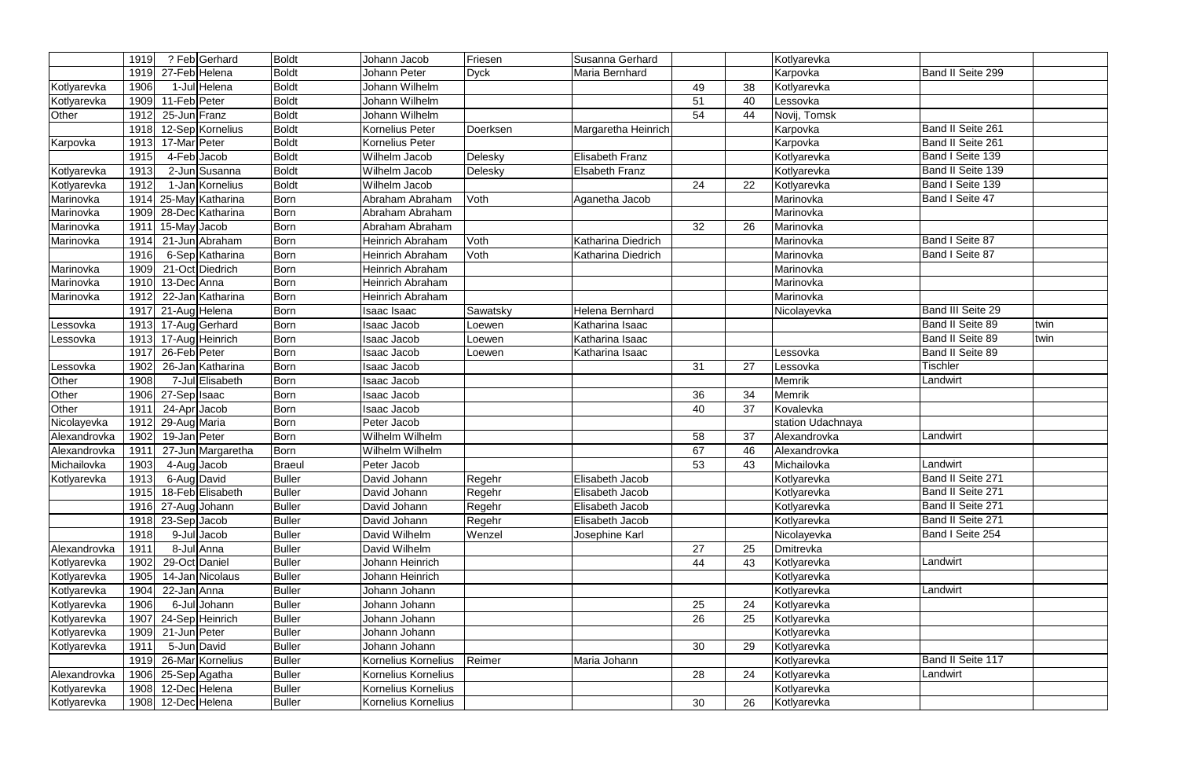|                            | 1919         |                     | ? Feb Gerhard     | <b>Boldt</b>                   | Johann Jacob                     | Friesen     | Susanna Gerhard        |    |    | Kotlyarevka                |                         |      |
|----------------------------|--------------|---------------------|-------------------|--------------------------------|----------------------------------|-------------|------------------------|----|----|----------------------------|-------------------------|------|
|                            | 1919         | 27-Feb Helena       |                   | <b>Boldt</b>                   | Johann Peter                     | <b>Dyck</b> | Maria Bernhard         |    |    | Karpovka                   | Band II Seite 299       |      |
| Kotlyarevka                | 1906         |                     | 1-Jul Helena      | <b>Boldt</b>                   | Johann Wilhelm                   |             |                        | 49 | 38 | Kotlyarevka                |                         |      |
| Kotlyarevka                | 1909         | 11-Feb Peter        |                   | <b>Boldt</b>                   | Johann Wilhelm                   |             |                        | 51 | 40 | Lessovka                   |                         |      |
| Other                      | 1912         | 25-Jun Franz        |                   | <b>Boldt</b>                   | Johann Wilhelm                   |             |                        | 54 | 44 | Novij, Tomsk               |                         |      |
|                            | 1918         |                     | 12-Sep Kornelius  | <b>Boldt</b>                   | Kornelius Peter                  | Doerksen    | Margaretha Heinrich    |    |    | Karpovka                   | Band II Seite 261       |      |
| Karpovka                   | 1913         | 17-Mar Peter        |                   | <b>Boldt</b>                   | Kornelius Peter                  |             |                        |    |    | Karpovka                   | Band II Seite 261       |      |
|                            | 1915         | 4-Feb Jacob         |                   | <b>Boldt</b>                   | Wilhelm Jacob                    | Delesky     | <b>Elisabeth Franz</b> |    |    | Kotlyarevka                | Band I Seite 139        |      |
| Kotlyarevka                | 1913         | $2$ -Jun            | Susanna           | <b>Boldt</b>                   | Wilhelm Jacob                    | Delesky     | <b>Elsabeth Franz</b>  |    |    | Kotlyarevka                | Band II Seite 139       |      |
| Kotlyarevka                | 1912         |                     | 1-Jan Kornelius   | <b>Boldt</b>                   | Wilhelm Jacob                    |             |                        | 24 | 22 | Kotlyarevka                | Band I Seite 139        |      |
| Marinovka                  | 1914         |                     | 25-May Katharina  | <b>Born</b>                    | Abraham Abraham                  | Voth        | Aganetha Jacob         |    |    | Marinovka                  | Band I Seite 47         |      |
| Marinovka                  | 1909         |                     | 28-Dec Katharina  | <b>Born</b>                    | Abraham Abraham                  |             |                        |    |    | Marinovka                  |                         |      |
| Marinovka                  | 1911         | 15-May Jacob        |                   | <b>Born</b>                    | Abraham Abraham                  |             |                        | 32 | 26 | Marinovka                  |                         |      |
| Marinovka                  | 1914         |                     | 21-Jun Abraham    | <b>Born</b>                    | <b>Heinrich Abraham</b>          | Voth        | Katharina Diedrich     |    |    | Marinovka                  | Band I Seite 87         |      |
|                            | 1916         |                     | 6-Sep Katharina   | <b>Born</b>                    | <b>Heinrich Abraham</b>          | Voth        | Katharina Diedrich     |    |    | Marinovka                  | Band I Seite 87         |      |
| Marinovka                  | 1909         |                     | 21-Oct Diedrich   | <b>Born</b>                    | Heinrich Abraham                 |             |                        |    |    | Marinovka                  |                         |      |
| Marinovka                  | 1910         | 13-Dec Anna         |                   | <b>Born</b>                    | Heinrich Abraham                 |             |                        |    |    | Marinovka                  |                         |      |
| Marinovka                  | 1912         |                     | 22-Jan Katharina  | <b>Born</b>                    | Heinrich Abraham                 |             |                        |    |    | Marinovka                  |                         |      |
|                            | 1917         | 21-Aug Helena       |                   | <b>Born</b>                    | Isaac Isaac                      | Sawatsky    | Helena Bernhard        |    |    | Nicolayevka                | Band III Seite 29       |      |
| Lessovka                   | 1913         |                     | 17-Aug Gerhard    | <b>Born</b>                    | <b>Isaac Jacob</b>               | Loewen      | Katharina Isaac        |    |    |                            | <b>Band II Seite 89</b> | twin |
| Lessovka                   | 1913         |                     | 17-Aug Heinrich   | <b>Born</b>                    | Isaac Jacob                      | Loewen      | Katharina Isaac        |    |    |                            | Band II Seite 89        | twin |
|                            | 1917         | 26-Feb Peter        |                   | <b>Born</b>                    | <b>Isaac Jacob</b>               | Loewen      | Katharina Isaac        |    |    | Lessovka                   | Band II Seite 89        |      |
| _essovka                   | 1902         |                     | 26-Jan Katharina  | <b>Born</b>                    | Isaac Jacob                      |             |                        | 31 | 27 | .essovka                   | <b>Tischler</b>         |      |
| Other                      | 1908         |                     | 7-Jul Elisabeth   | <b>Born</b>                    | Isaac Jacob                      |             |                        |    |    | <b>Memrik</b>              | Landwirt                |      |
| Other                      | 1906         | 27-Sep Isaac        |                   | <b>Born</b>                    | Isaac Jacob                      |             |                        | 36 | 34 | Memrik                     |                         |      |
| Other                      | 1911         | 24-Apr Jacob        |                   | <b>Born</b>                    | Isaac Jacob                      |             |                        | 40 | 37 | Kovalevka                  |                         |      |
| Nicolayevka                | 1912         | 29-Aug Maria        |                   | <b>Born</b>                    | Peter Jacob                      |             |                        |    |    | station Udachnaya          |                         |      |
| Alexandrovka               | 1902         | 19-Jan Peter        |                   | <b>Born</b>                    | Wilhelm Wilhelm                  |             |                        | 58 | 37 | Alexandrovka               | Landwirt                |      |
| Alexandrovka               | 1911         |                     | 27-Jun Margaretha | <b>Born</b>                    | Wilhelm Wilhelm                  |             |                        | 67 | 46 | Alexandrovka               |                         |      |
| Michailovka                | 1903         | 4-Aug Jacob         |                   | <b>Braeul</b>                  | Peter Jacob                      |             |                        | 53 | 43 | Michailovka                | Landwirt                |      |
| Kotlyarevka                |              | 1913 6-Aug David    |                   | <b>Buller</b>                  | David Johann                     | Regehr      | Elisabeth Jacob        |    |    | Kotlyarevka                | Band II Seite 271       |      |
|                            | 1915         |                     | 18-Feb Elisabeth  | <b>Buller</b>                  | David Johann                     | Regehr      | Elisabeth Jacob        |    |    | Kotlyarevka                | Band II Seite 271       |      |
|                            |              | 1916 27-Aug Johann  |                   | <b>Buller</b>                  | David Johann                     | Regehr      | Elisabeth Jacob        |    |    | Kotlyarevka                | Band II Seite 271       |      |
|                            |              | $1918$ 23-Sep Jacob |                   | <b>Buller</b>                  | David Johann                     | Regehr      | <b>Elisabeth Jacob</b> |    |    | Kotlyarevka                | Band II Seite 271       |      |
|                            | 1918         |                     | 9-Jul Jacob       | <b>Buller</b>                  | David Wilhelm                    | Wenzel      | Josephine Karl         |    |    | Nicolayevka                | Band I Seite 254        |      |
| Alexandrovka               | 1911         |                     | 8-Jul Anna        | <b>Buller</b>                  | David Wilhelm                    |             |                        | 27 | 25 | Dmitrevka                  | Landwirt                |      |
| Kotlyarevka                | 1902         | 29-Oct Daniel       | 14-Jan Nicolaus   | <b>Buller</b>                  | Johann Heinrich                  |             |                        | 44 | 43 | Kotlyarevka                |                         |      |
| Kotlyarevka                | 1905         | 22-Jan Anna         |                   | <b>Buller</b>                  | Johann Heinrich<br>Johann Johann |             |                        |    |    | Kotlyarevka<br>Kotlyarevka | Landwirt                |      |
| Kotlyarevka                | 1904<br>1906 |                     | 6-Jul Johann      | <b>Buller</b><br><b>Buller</b> | Johann Johann                    |             |                        | 25 | 24 |                            |                         |      |
| Kotlyarevka<br>Kotlyarevka | 1907         |                     | 24-Sep Heinrich   | <b>Buller</b>                  | Johann Johann                    |             |                        | 26 | 25 | Kotlyarevka<br>Kotlyarevka |                         |      |
|                            | 1909         | 21-Jun Peter        |                   | <b>Buller</b>                  | Johann Johann                    |             |                        |    |    | Kotlyarevka                |                         |      |
| Kotlyarevka<br>Kotlyarevka | 1911         | 5-Jun David         |                   | <b>Buller</b>                  | Johann Johann                    |             |                        | 30 | 29 | Kotlyarevka                |                         |      |
|                            | 1919         |                     | 26-Mar Kornelius  | <b>Buller</b>                  | Kornelius Kornelius              | Reimer      | Maria Johann           |    |    | Kotlyarevka                | Band II Seite 117       |      |
| Alexandrovka               |              | 1906 25-Sep Agatha  |                   | <b>Buller</b>                  | Kornelius Kornelius              |             |                        | 28 | 24 | Kotlyarevka                | Landwirt                |      |
| Kotlyarevka                |              | 1908 12-Dec Helena  |                   | <b>Buller</b>                  | Kornelius Kornelius              |             |                        |    |    | Kotlyarevka                |                         |      |
| Kotlyarevka                |              | 1908 12-Dec Helena  |                   | <b>Buller</b>                  | Kornelius Kornelius              |             |                        | 30 | 26 | Kotlyarevka                |                         |      |
|                            |              |                     |                   |                                |                                  |             |                        |    |    |                            |                         |      |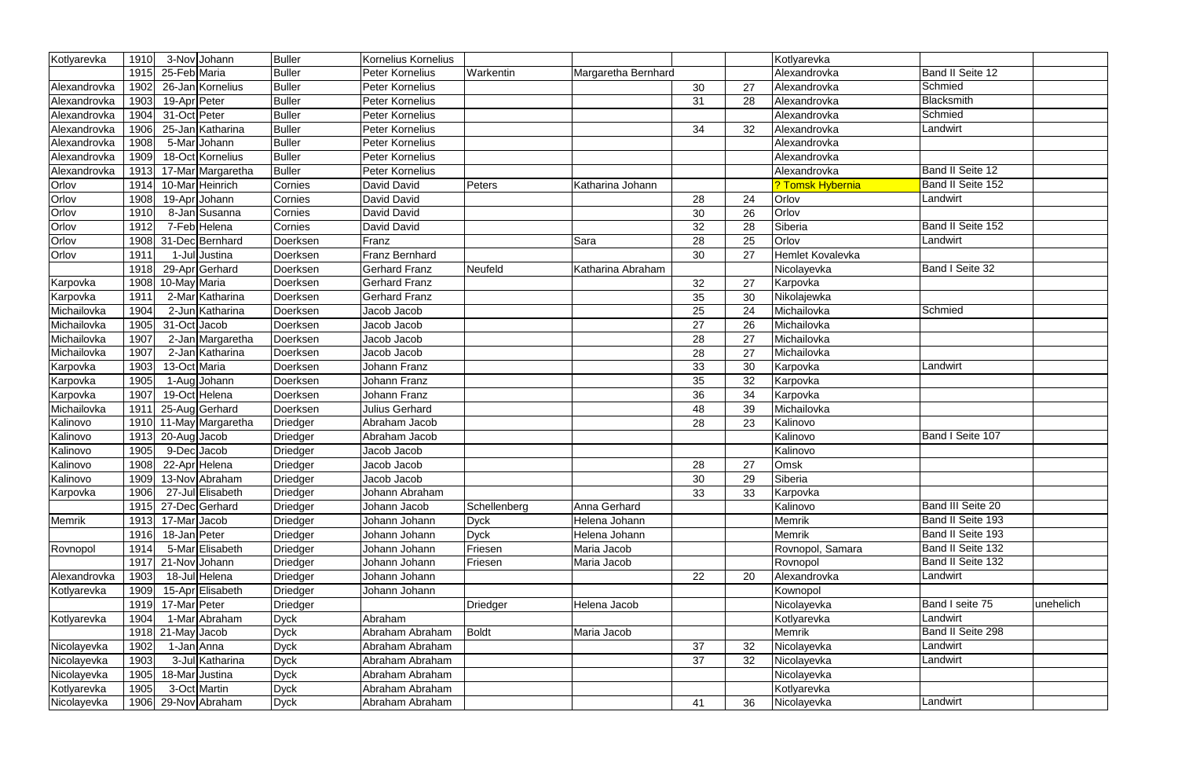| Kotlyarevka  | 1910 | 3-Nov Johann        | <b>Buller</b>   | Kornelius Kornelius  |              |                     |    |    | Kotlyarevka      |                   |           |
|--------------|------|---------------------|-----------------|----------------------|--------------|---------------------|----|----|------------------|-------------------|-----------|
|              | 1915 | 25-Feb Maria        | <b>Buller</b>   | Peter Kornelius      | Warkentin    | Margaretha Bernhard |    |    | Alexandrovka     | Band II Seite 12  |           |
| Alexandrovka | 1902 | 26-Jan Kornelius    | <b>Buller</b>   | Peter Kornelius      |              |                     | 30 | 27 | Alexandrovka     | Schmied           |           |
| Alexandrovka | 1903 | 19-Apr Peter        | <b>Buller</b>   | Peter Kornelius      |              |                     | 31 | 28 | Alexandrovka     | Blacksmith        |           |
| Alexandrovka | 1904 | 31-Oct Peter        | <b>Buller</b>   | Peter Kornelius      |              |                     |    |    | Alexandrovka     | Schmied           |           |
| Alexandrovka | 1906 | 25-Jan Katharina    | <b>Buller</b>   | Peter Kornelius      |              |                     | 34 | 32 | Alexandrovka     | Landwirt          |           |
| Alexandrovka | 1908 | 5-Mar Johann        | <b>Buller</b>   | Peter Kornelius      |              |                     |    |    | Alexandrovka     |                   |           |
| Alexandrovka | 1909 | 18-Oct Kornelius    | <b>Buller</b>   | Peter Kornelius      |              |                     |    |    | Alexandrovka     |                   |           |
| Alexandrovka | 1913 | 17-Mar Margaretha   | <b>Buller</b>   | Peter Kornelius      |              |                     |    |    | Alexandrovka     | Band II Seite 12  |           |
| Orlov        | 1914 | 10-Mar Heinrich     | Cornies         | David David          | Peters       | Katharina Johann    |    |    | ? Tomsk Hybernia | Band II Seite 152 |           |
| Orlov        | 1908 | 19-Apr Johann       | Cornies         | David David          |              |                     | 28 | 24 | Orlov            | Landwirt          |           |
| Orlov        | 1910 | 8-Jan Susanna       | Cornies         | David David          |              |                     | 30 | 26 | Orlov            |                   |           |
| Orlov        | 1912 | 7-Feb Helena        | Cornies         | David David          |              |                     | 32 | 28 | Siberia          | Band II Seite 152 |           |
| Orlov        | 1908 | 31-Dec Bernhard     | Doerksen        | Franz                |              | Sara                | 28 | 25 | Orlov            | Landwirt          |           |
| Orlov        | 1911 | 1-Jul Justina       | Doerksen        | Franz Bernhard       |              |                     | 30 | 27 | Hemlet Kovalevka |                   |           |
|              | 1918 | 29-Apr Gerhard      | Doerksen        | <b>Gerhard Franz</b> | Neufeld      | Katharina Abraham   |    |    | Nicolayevka      | Band I Seite 32   |           |
| Karpovka     | 1908 | 10-May Maria        | Doerksen        | <b>Gerhard Franz</b> |              |                     | 32 | 27 | Karpovka         |                   |           |
| Karpovka     | 1911 | 2-Mar Katharina     | Doerksen        | <b>Gerhard Franz</b> |              |                     | 35 | 30 | Nikolajewka      |                   |           |
| Michailovka  | 1904 | 2-Jun Katharina     | Doerksen        | Jacob Jacob          |              |                     | 25 | 24 | Michailovka      | Schmied           |           |
| Michailovka  | 1905 | 31-Oct Jacob        | Doerksen        | Jacob Jacob          |              |                     | 27 | 26 | Michailovka      |                   |           |
| Michailovka  | 1907 | 2-Jan Margaretha    | Doerksen        | Jacob Jacob          |              |                     | 28 | 27 | Michailovka      |                   |           |
| Michailovka  | 1907 | 2-Jan Katharina     | Doerksen        | Jacob Jacob          |              |                     | 28 | 27 | Michailovka      |                   |           |
| Karpovka     | 1903 | 13-Oct Maria        | Doerksen        | Johann Franz         |              |                     | 33 | 30 | Karpovka         | Landwirt          |           |
| Karpovka     | 1905 | 1-Aug Johann        | Doerksen        | Johann Franz         |              |                     | 35 | 32 | Karpovka         |                   |           |
| Karpovka     | 1907 | 19-Oct Helena       | Doerksen        | Johann Franz         |              |                     | 36 | 34 | Karpovka         |                   |           |
| Michailovka  | 1911 | 25-Aug Gerhard      | Doerksen        | Julius Gerhard       |              |                     | 48 | 39 | Michailovka      |                   |           |
| Kalinovo     | 1910 | 11-May Margaretha   | <b>Driedger</b> | Abraham Jacob        |              |                     | 28 | 23 | Kalinovo         |                   |           |
| Kalinovo     | 1913 | 20-Aug Jacob        | <b>Driedger</b> | Abraham Jacob        |              |                     |    |    | Kalinovo         | Band I Seite 107  |           |
| Kalinovo     | 1905 | 9-DecJacob          | Driedger        | Jacob Jacob          |              |                     |    |    | Kalinovo         |                   |           |
| Kalinovo     | 1908 | 22-Apr Helena       | <b>Driedger</b> | Jacob Jacob          |              |                     | 28 | 27 | Omsk             |                   |           |
| Kalinovo     | 1909 | 13-Nov Abraham      | Driedger        | Jacob Jacob          |              |                     | 30 | 29 | Siberia          |                   |           |
| Karpovka     | 1906 | 27-Jul Elisabeth    | <b>Driedger</b> | Johann Abraham       |              |                     | 33 | 33 | Karpovka         |                   |           |
|              |      | 1915 27-Dec Gerhard | <b>Driedger</b> | Johann Jacob         | Schellenberg | Anna Gerhard        |    |    | Kalinovo         | Band III Seite 20 |           |
| Memrik       | 1913 | 17-Mar Jacob        | <b>Driedger</b> | Johann Johann        | <b>Dyck</b>  | Helena Johann       |    |    | <b>Memrik</b>    | Band II Seite 193 |           |
|              | 1916 | 18-Jan Peter        | <b>Driedger</b> | Johann Johann        | <b>Dyck</b>  | Helena Johann       |    |    | Memrik           | Band II Seite 193 |           |
| Rovnopol     | 1914 | 5-Mar Elisabeth     | Driedger        | Johann Johann        | Friesen      | Maria Jacob         |    |    | Rovnopol, Samara | Band II Seite 132 |           |
|              | 1917 | 21-Nov Johann       | <b>Driedger</b> | Johann Johann        | Friesen      | Maria Jacob         |    |    | Rovnopol         | Band II Seite 132 |           |
| Alexandrovka | 1903 | 18-Jul Helena       | <b>Driedger</b> | Johann Johann        |              |                     | 22 | 20 | Alexandrovka     | Landwirt          |           |
| Kotlyarevka  | 1909 | 15-Apr Elisabeth    | <b>Driedger</b> | Johann Johann        |              |                     |    |    | Kownopol         |                   |           |
|              | 1919 | 17-Mar Peter        | <b>Driedger</b> |                      | Driedger     | Helena Jacob        |    |    | Nicolayevka      | Band I seite 75   | unehelich |
| Kotlyarevka  | 1904 | 1-Mar Abraham       | <b>Dyck</b>     | Abraham              |              |                     |    |    | Kotlyarevka      | Landwirt          |           |
|              |      | $1918$ 21-May Jacob | <b>Dyck</b>     | Abraham Abraham      | <b>Boldt</b> | Maria Jacob         |    |    | Memrik           | Band II Seite 298 |           |
| Nicolayevka  | 1902 | 1-Jan Anna          | <b>Dyck</b>     | Abraham Abraham      |              |                     | 37 | 32 | Nicolayevka      | Landwirt          |           |
| Nicolayevka  | 1903 | 3-Jul Katharina     | <b>Dyck</b>     | Abraham Abraham      |              |                     | 37 | 32 | Nicolayevka      | Landwirt          |           |
| Nicolayevka  | 1905 | 18-Mar Justina      | <b>Dyck</b>     | Abraham Abraham      |              |                     |    |    | Nicolayevka      |                   |           |
| Kotlyarevka  | 1905 | 3-Oct Martin        | <b>Dyck</b>     | Abraham Abraham      |              |                     |    |    | Kotlyarevka      |                   |           |
| Nicolayevka  | 1906 | 29-Nov Abraham      | <b>Dyck</b>     | Abraham Abraham      |              |                     | 41 | 36 | Nicolayevka      | Landwirt          |           |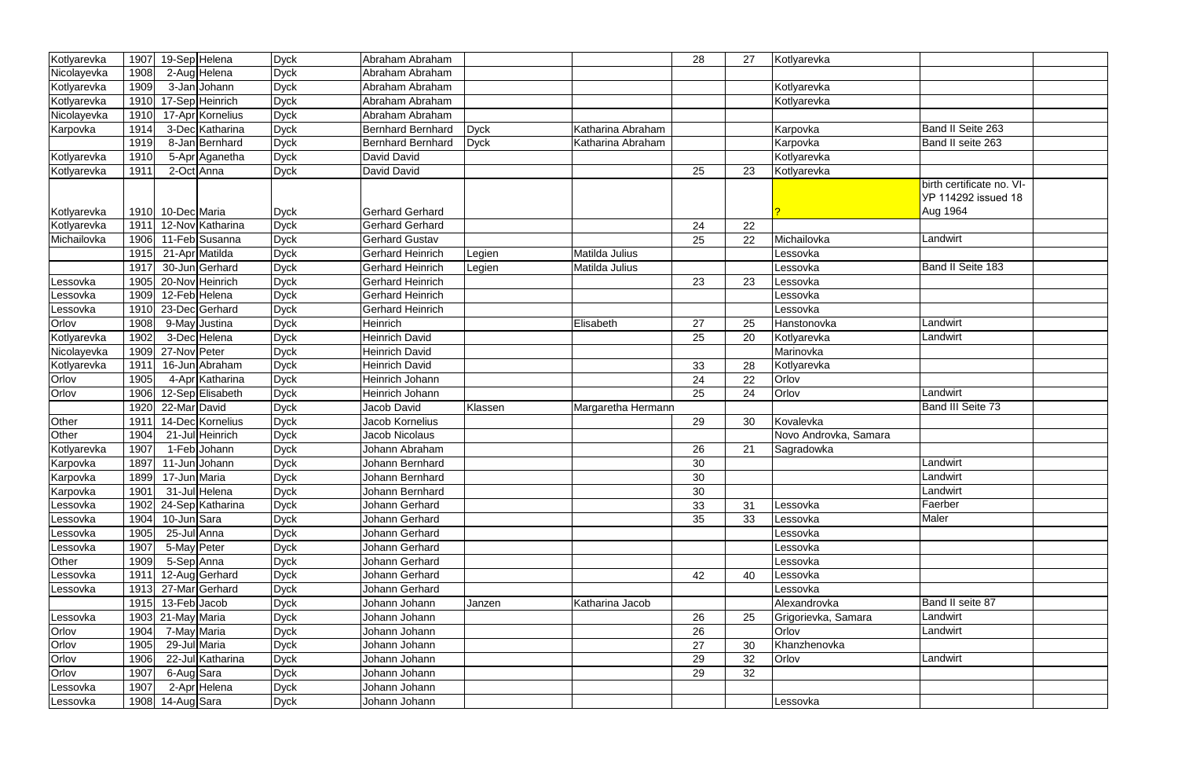| Kotlyarevka | 1907 | 19-Sep Helena        | <b>Dyck</b> | Abraham Abraham          |             |                    | 28 | 27 | Kotlyarevka           |                            |  |
|-------------|------|----------------------|-------------|--------------------------|-------------|--------------------|----|----|-----------------------|----------------------------|--|
| Nicolayevka | 1908 | 2-Aug Helena         | <b>Dyck</b> | Abraham Abraham          |             |                    |    |    |                       |                            |  |
| Kotlyarevka | 1909 | 3-Jan<br>Johann      | <b>Dyck</b> | Abraham Abraham          |             |                    |    |    | Kotlyarevka           |                            |  |
|             | 1910 | 17-Sep Heinrich      |             | Abraham Abraham          |             |                    |    |    |                       |                            |  |
| Kotlyarevka |      |                      | <b>Dyck</b> | Abraham Abraham          |             |                    |    |    | Kotlyarevka           |                            |  |
| Nicolayevka | 1910 | 17-Apr Kornelius     | <b>Dyck</b> |                          |             |                    |    |    |                       | Band II Seite 263          |  |
| Karpovka    | 1914 | 3-Dec Katharina      | <b>Dyck</b> | <b>Bernhard Bernhard</b> | <b>Dyck</b> | Katharina Abraham  |    |    | Karpovka              |                            |  |
|             | 1919 | 8-Jan Bernhard       | <b>Dyck</b> | <b>Bernhard Bernhard</b> | <b>Dyck</b> | Katharina Abraham  |    |    | Karpovka              | Band II seite 263          |  |
| Kotlyarevka | 1910 | 5-Apr Aganetha       | <b>Dyck</b> | David David              |             |                    |    |    | Kotlyarevka           |                            |  |
| Kotlyarevka | 1911 | 2-Oct Anna           | <b>Dyck</b> | David David              |             |                    | 25 | 23 | Kotlyarevka           |                            |  |
|             |      |                      |             |                          |             |                    |    |    |                       | birth certificate no. VI-  |  |
|             |      |                      |             |                          |             |                    |    |    |                       | <b>YP 114292 issued 18</b> |  |
| Kotlyarevka |      | 1910 10-Dec Maria    | <b>Dyck</b> | <b>Gerhard Gerhard</b>   |             |                    |    |    |                       | Aug 1964                   |  |
| Kotlyarevka | 1911 | 12-Nov Katharina     | <b>Dyck</b> | <b>Gerhard Gerhard</b>   |             |                    | 24 | 22 |                       |                            |  |
| Michailovka | 1906 | 11-Feb Susanna       | <b>Dyck</b> | <b>Gerhard Gustav</b>    |             |                    | 25 | 22 | Michailovka           | Landwirt                   |  |
|             | 1915 | 21-Apr Matilda       | <b>Dyck</b> | <b>Gerhard Heinrich</b>  | Legien      | Matilda Julius     |    |    | Lessovka              |                            |  |
|             | 1917 | 30-Jun Gerhard       | <b>Dyck</b> | <b>Gerhard Heinrich</b>  | Legien      | Matilda Julius     |    |    | Lessovka              | Band II Seite 183          |  |
| _essovka    | 1905 | 20-Nov Heinrich      | <b>Dyck</b> | <b>Gerhard Heinrich</b>  |             |                    | 23 | 23 | Lessovka              |                            |  |
| .essovka    | 1909 | 12-Feb Helena        | <b>Dyck</b> | <b>Gerhard Heinrich</b>  |             |                    |    |    | Lessovka              |                            |  |
| Lessovka    | 1910 | 23-Dec Gerhard       | <b>Dyck</b> | <b>Gerhard Heinrich</b>  |             |                    |    |    | Lessovka              |                            |  |
| Orlov       | 1908 | 9-May Justina        | <b>Dyck</b> | <b>Heinrich</b>          |             | Elisabeth          | 27 | 25 | Hanstonovka           | _andwirt                   |  |
| Kotlyarevka | 1902 | 3-DecHelena          | <b>Dyck</b> | <b>Heinrich David</b>    |             |                    | 25 | 20 | Kotlyarevka           | Landwirt                   |  |
| Nicolayevka | 1909 | 27-Nov Peter         | <b>Dyck</b> | <b>Heinrich David</b>    |             |                    |    |    | Marinovka             |                            |  |
| Kotlyarevka | 1911 | 16-Jun Abraham       | <b>Dyck</b> | <b>Heinrich David</b>    |             |                    | 33 | 28 | Kotlyarevka           |                            |  |
| Orlov       | 1905 | 4-Apr Katharina      | <b>Dyck</b> | Heinrich Johann          |             |                    | 24 | 22 | Orlov                 |                            |  |
| Orlov       | 1906 | 12-Sep Elisabeth     | <b>Dyck</b> | Heinrich Johann          |             |                    | 25 | 24 | Orlov                 | Landwirt                   |  |
|             | 1920 | 22-Mar David         | <b>Dyck</b> | Jacob David              | Klassen     | Margaretha Hermann |    |    |                       | Band III Seite 73          |  |
| Other       | 1911 | 14-Dec Kornelius     | <b>Dyck</b> | Jacob Kornelius          |             |                    | 29 | 30 | Kovalevka             |                            |  |
| Other       | 1904 | 21-Jul Heinrich      | <b>Dyck</b> | Jacob Nicolaus           |             |                    |    |    | Novo Androvka, Samara |                            |  |
| Kotlyarevka | 1907 | 1-Feb Johann         | <b>Dyck</b> | Johann Abraham           |             |                    | 26 | 21 | Sagradowka            |                            |  |
| Karpovka    | 1897 | Johann<br>$11 - Jun$ | <b>Dyck</b> | Johann Bernhard          |             |                    | 30 |    |                       | Landwirt                   |  |
| Karpovka    | 1899 | 17-Jun Maria         | <b>Dyck</b> | Johann Bernhard          |             |                    | 30 |    |                       | Landwirt                   |  |
| Karpovka    | 1901 | 31-Jul Helena        | <b>Dyck</b> | Johann Bernhard          |             |                    | 30 |    |                       | Landwirt                   |  |
| Lessovka    | 1902 | 24-Sep Katharina     | <b>Dyck</b> | Johann Gerhard           |             |                    | 33 | 31 | Lessovka              | Faerber                    |  |
| Lessovka    | 1904 | 10-Jun Sara          | <b>Dyck</b> | Johann Gerhard           |             |                    | 35 | 33 | Lessovka              | Maler                      |  |
| Lessovka    | 1905 | 25-Jul Anna          | <b>Dyck</b> | Johann Gerhard           |             |                    |    |    | Lessovka              |                            |  |
| Lessovka    | 1907 | 5-May Peter          | <b>Dyck</b> | Johann Gerhard           |             |                    |    |    | Lessovka              |                            |  |
| Other       | 1909 | 5-Sep Anna           | <b>Dyck</b> | Johann Gerhard           |             |                    |    |    | Lessovka              |                            |  |
| Lessovka    | 1911 | 12-Aug Gerhard       | <b>Dyck</b> | Johann Gerhard           |             |                    | 42 | 40 | Lessovka              |                            |  |
| Lessovka    | 1913 | 27-Mar Gerhard       | <b>Dyck</b> | Johann Gerhard           |             |                    |    |    | Lessovka              |                            |  |
|             | 1915 | 13-Feb Jacob         | <b>Dyck</b> | Johann Johann            | Janzen      | Katharina Jacob    |    |    | Alexandrovka          | Band II seite 87           |  |
| Lessovka    |      | 1903 21-May Maria    | <b>Dyck</b> | Johann Johann            |             |                    | 26 | 25 | Grigorievka, Samara   | Landwirt                   |  |
| Orlov       | 1904 | 7-May Maria          | <b>Dyck</b> | Johann Johann            |             |                    | 26 |    | Orlov                 | Landwirt                   |  |
| Orlov       | 1905 | 29-Jul Maria         | <b>Dyck</b> | Johann Johann            |             |                    | 27 | 30 | Khanzhenovka          |                            |  |
| Orlov       | 1906 | 22-Jul Katharina     | <b>Dyck</b> | Johann Johann            |             |                    | 29 | 32 | Orlov                 | Landwirt                   |  |
| Orlov       | 1907 | 6-Aug Sara           | <b>Dyck</b> | Johann Johann            |             |                    | 29 | 32 |                       |                            |  |
| Lessovka    | 1907 | 2-Apr Helena         | <b>Dyck</b> | Johann Johann            |             |                    |    |    |                       |                            |  |
| Lessovka    |      | 1908 14-Aug Sara     |             | Johann Johann            |             |                    |    |    | Lessovka              |                            |  |
|             |      |                      | <b>Dyck</b> |                          |             |                    |    |    |                       |                            |  |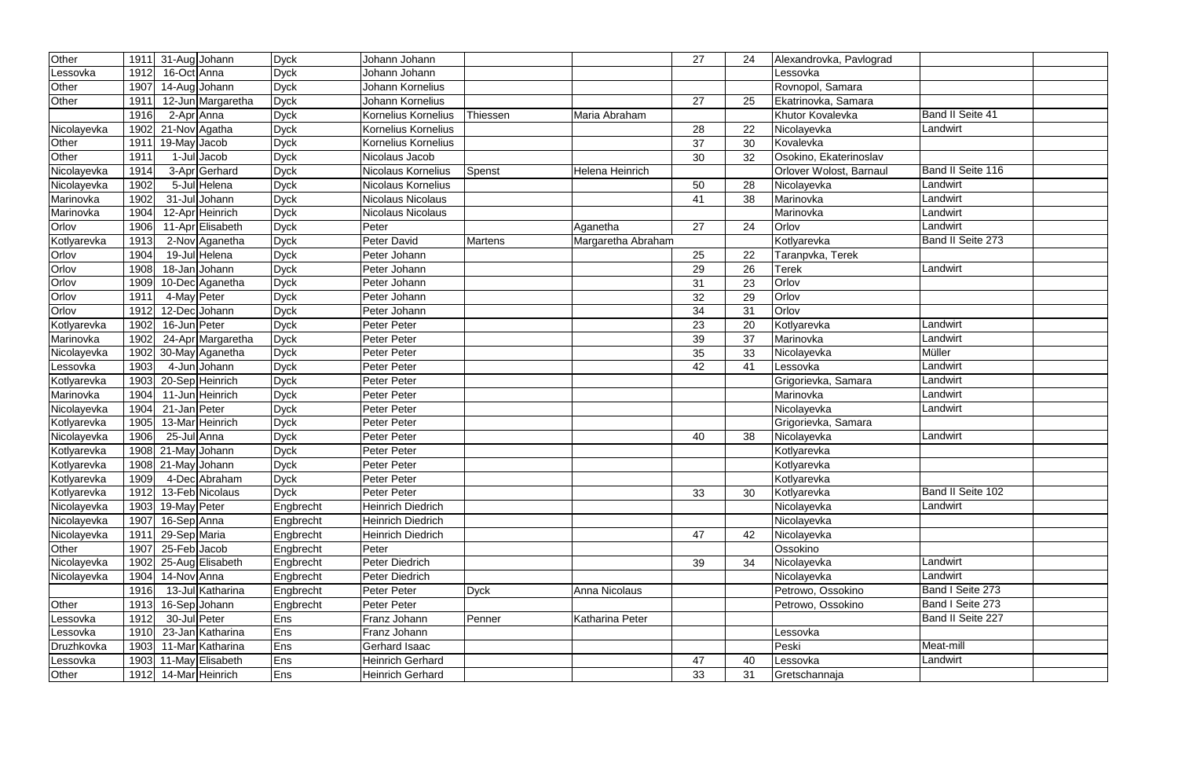| Other       | 1911 | 31-Aug Johann      | <b>Dyck</b> | Johann Johann            |                |                    | 27 | 24 | Alexandrovka, Pavlograd |                         |  |
|-------------|------|--------------------|-------------|--------------------------|----------------|--------------------|----|----|-------------------------|-------------------------|--|
| Lessovka    | 1912 | 16-Oct Anna        | <b>Dyck</b> | Johann Johann            |                |                    |    |    | Lessovka                |                         |  |
| Other       | 1907 | 14-Aug Johann      | <b>Dyck</b> | Johann Kornelius         |                |                    |    |    | Rovnopol, Samara        |                         |  |
| Other       | 1911 | 12-Jun Margaretha  | <b>Dyck</b> | Johann Kornelius         |                |                    | 27 | 25 | Ekatrinovka, Samara     |                         |  |
|             | 1916 | 2-Apr Anna         | <b>Dyck</b> | Kornelius Kornelius      | Thiessen       | Maria Abraham      |    |    | Khutor Kovalevka        | <b>Band II Seite 41</b> |  |
| Nicolayevka | 1902 | 21-Nov Agatha      | <b>Dyck</b> | Kornelius Kornelius      |                |                    | 28 | 22 | Nicolayevka             | Landwirt                |  |
| Other       | 1911 | 19-May Jacob       | <b>Dyck</b> | Kornelius Kornelius      |                |                    | 37 | 30 | Kovalevka               |                         |  |
| Other       | 1911 | 1-Jul Jacob        | <b>Dyck</b> | Nicolaus Jacob           |                |                    | 30 | 32 | Osokino, Ekaterinoslav  |                         |  |
| Nicolayevka | 1914 | 3-Apr Gerhard      | <b>Dyck</b> | Nicolaus Kornelius       | Spenst         | Helena Heinrich    |    |    | Orlover Wolost, Barnaul | Band II Seite 116       |  |
| Nicolayevka | 1902 | 5-Jul Helena       | <b>Dyck</b> | Nicolaus Kornelius       |                |                    | 50 | 28 | Nicolayevka             | Landwirt                |  |
| Marinovka   | 1902 | 31-Jul Johann      | <b>Dyck</b> | Nicolaus Nicolaus        |                |                    | 41 | 38 | Marinovka               | Landwirt                |  |
| Marinovka   | 1904 | 12-Apr Heinrich    | <b>Dyck</b> | Nicolaus Nicolaus        |                |                    |    |    | Marinovka               | Landwirt                |  |
| Orlov       | 1906 | 11-Apr Elisabeth   | <b>Dyck</b> | Peter                    |                | Aganetha           | 27 | 24 | Orlov                   | Landwirt                |  |
| Kotlyarevka | 1913 | 2-Nov Aganetha     | <b>Dyck</b> | Peter David              | <b>Martens</b> | Margaretha Abraham |    |    | Kotlyarevka             | Band II Seite 273       |  |
| Orlov       | 1904 | 19-Jul Helena      | <b>Dyck</b> | Peter Johann             |                |                    | 25 | 22 | Taranpvka, Terek        |                         |  |
| Orlov       | 1908 | 18-Jan Johann      | <b>Dyck</b> | Peter Johann             |                |                    | 29 | 26 | Terek                   | Landwirt                |  |
| Orlov       | 1909 | 10-Dec Aganetha    | <b>Dyck</b> | Peter Johann             |                |                    | 31 | 23 | Orlov                   |                         |  |
| Orlov       | 1911 | 4-May Peter        | <b>Dyck</b> | Peter Johann             |                |                    | 32 | 29 | Orlov                   |                         |  |
| Orlov       | 1912 | 12-Dec Johann      | <b>Dyck</b> | Peter Johann             |                |                    | 34 | 31 | Orlov                   |                         |  |
| Kotlyarevka | 1902 | 16-Jun Peter       | <b>Dyck</b> | Peter Peter              |                |                    | 23 | 20 | Kotlyarevka             | Landwirt                |  |
| Marinovka   | 1902 | 24-Apr Margaretha  | <b>Dyck</b> | <b>Peter Peter</b>       |                |                    | 39 | 37 | Marinovka               | Landwirt                |  |
| Nicolayevka | 1902 | 30-May Aganetha    | <b>Dyck</b> | <b>Peter Peter</b>       |                |                    | 35 | 33 | Nicolayevka             | Müller                  |  |
| Lessovka    | 1903 | 4-JunJJohann       | <b>Dyck</b> | Peter Peter              |                |                    | 42 | 41 | Lessovka                | Landwirt                |  |
| Kotlyarevka | 1903 | 20-Sep Heinrich    | <b>Dyck</b> | Peter Peter              |                |                    |    |    | Grigorievka, Samara     | Landwirt                |  |
| Marinovka   | 1904 | 11-Jun Heinrich    | <b>Dyck</b> | Peter Peter              |                |                    |    |    | Marinovka               | Landwirt                |  |
| Nicolayevka | 1904 | 21-Jan Peter       | <b>Dyck</b> | Peter Peter              |                |                    |    |    | Nicolayevka             | Landwirt                |  |
| Kotlyarevka | 1905 | 13-Mar Heinrich    | <b>Dyck</b> | <b>Peter Peter</b>       |                |                    |    |    | Grigorievka, Samara     |                         |  |
| Nicolayevka | 1906 | 25-Jul Anna        | <b>Dyck</b> | Peter Peter              |                |                    | 40 | 38 | Nicolayevka             | Landwirt                |  |
| Kotlyarevka |      | 1908 21-May Johann | <b>Dyck</b> | Peter Peter              |                |                    |    |    | Kotlyarevka             |                         |  |
| Kotlyarevka |      | 1908 21-May Johann | <b>Dyck</b> | Peter Peter              |                |                    |    |    | Kotlyarevka             |                         |  |
| Kotlyarevka | 1909 | 4-Dec Abraham      | <b>Dyck</b> | <b>Peter Peter</b>       |                |                    |    |    | Kotlyarevka             |                         |  |
| Kotlyarevka | 1912 | 13-Feb Nicolaus    | <b>Dyck</b> | Peter Peter              |                |                    | 33 | 30 | Kotlyarevka             | Band II Seite 102       |  |
| Nicolayevka | 1903 | 19-May Peter       | Engbrecht   | <b>Heinrich Diedrich</b> |                |                    |    |    | Nicolayevka             | Landwirt                |  |
| Nicolayevka | 1907 | 16-Sep Anna        | Engbrecht   | <b>Heinrich Diedrich</b> |                |                    |    |    | Nicolayevka             |                         |  |
| Nicolayevka | 1911 | 29-Sep Maria       | Engbrecht   | <b>Heinrich Diedrich</b> |                |                    | 47 | 42 | Nicolayevka             |                         |  |
| Other       | 1907 | 25-Feb Jacob       | Engbrecht   | Peter                    |                |                    |    |    | Ossokino                |                         |  |
| Nicolayevka | 1902 | 25-Aug Elisabeth   | Engbrecht   | Peter Diedrich           |                |                    | 39 | 34 | Nicolayevka             | Landwirt                |  |
| Nicolayevka | 1904 | 14-Nov Anna        | Engbrecht   | Peter Diedrich           |                |                    |    |    | Nicolayevka             | Landwirt                |  |
|             | 1916 | 13-Jul Katharina   | Engbrecht   | Peter Peter              | <b>Dyck</b>    | Anna Nicolaus      |    |    | Petrowo, Ossokino       | Band I Seite 273        |  |
| Other       | 1913 | 16-Sep Johann      | Engbrecht   | Peter Peter              |                |                    |    |    | Petrowo, Ossokino       | Band I Seite 273        |  |
| Lessovka    | 1912 | 30-Jul Peter       | Ens         | Franz Johann             | Penner         | Katharina Peter    |    |    |                         | Band II Seite 227       |  |
| Lessovka    | 1910 | 23-Jan Katharina   | Ens         | Franz Johann             |                |                    |    |    | Lessovka                |                         |  |
| Druzhkovka  | 1903 | 11-Mar Katharina   | Ens         | Gerhard Isaac            |                |                    |    |    | Peski                   | Meat-mill               |  |
| Lessovka    | 1903 | 11-May Elisabeth   | Ens         | <b>Heinrich Gerhard</b>  |                |                    | 47 | 40 | Lessovka                | Landwirt                |  |
| Other       | 1912 | 14-Mar Heinrich    | Ens         | Heinrich Gerhard         |                |                    | 33 | 31 | Gretschannaja           |                         |  |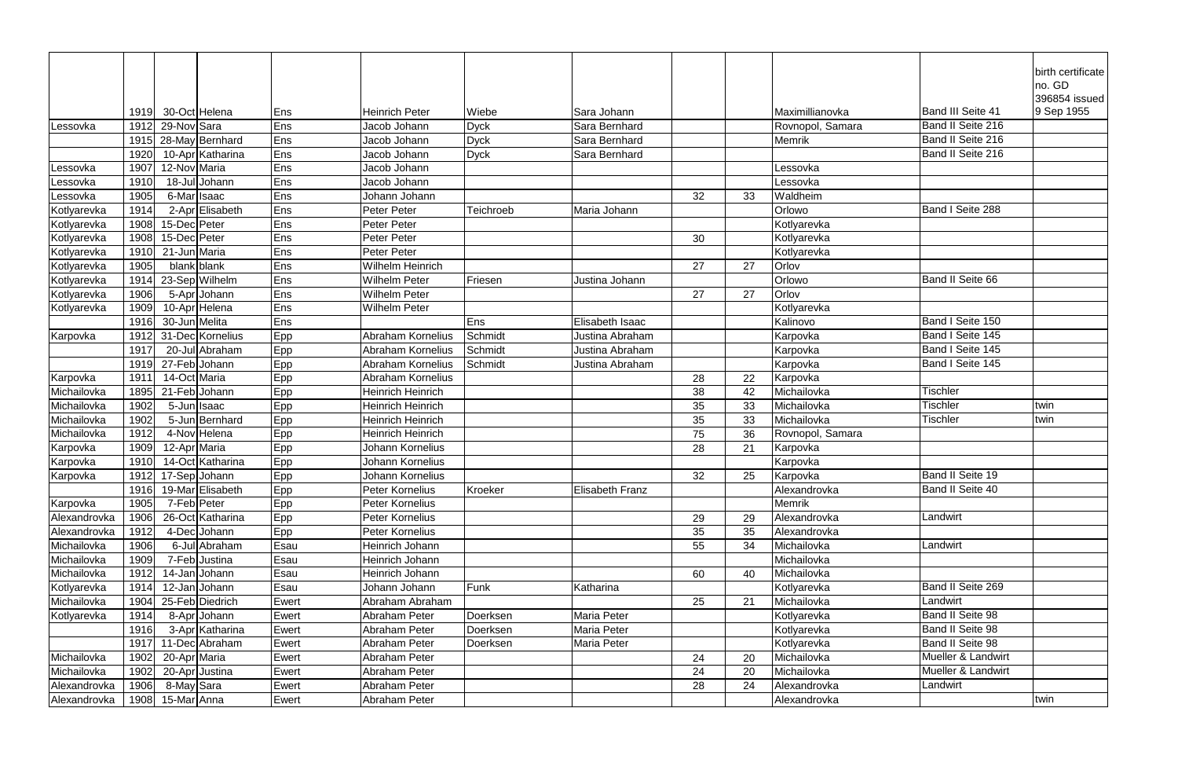|              |      |               |                  |       |                          |             |                        |    |    |                  |                    | birth certificate |
|--------------|------|---------------|------------------|-------|--------------------------|-------------|------------------------|----|----|------------------|--------------------|-------------------|
|              |      |               |                  |       |                          |             |                        |    |    |                  |                    | no. GD            |
|              |      |               |                  |       |                          |             |                        |    |    |                  |                    | 396854 issued     |
|              | 1919 |               | 30-Oct Helena    | Ens   | <b>Heinrich Peter</b>    | Wiebe       | Sara Johann            |    |    | Maximillianovka  | Band III Seite 41  | 9 Sep 1955        |
| Lessovka     | 1912 | 29-Nov Sara   |                  | Ens   | Jacob Johann             | <b>Dyck</b> | Sara Bernhard          |    |    | Rovnopol, Samara | Band II Seite 216  |                   |
|              | 1915 |               | 28-May Bernhard  | Ens   | Jacob Johann             | <b>Dyck</b> | Sara Bernhard          |    |    | Memrik           | Band II Seite 216  |                   |
|              | 1920 |               | 10-Apr Katharina | Ens   | Jacob Johann             | <b>Dyck</b> | Sara Bernhard          |    |    |                  | Band II Seite 216  |                   |
| Lessovka     | 1907 | 12-Nov Maria  |                  | Ens   | Jacob Johann             |             |                        |    |    | Lessovka         |                    |                   |
| Lessovka     | 1910 |               | 18-Jul Johann    | Ens   | Jacob Johann             |             |                        |    |    | Lessovka         |                    |                   |
| Lessovka     | 1905 | 6-Mar Isaac   |                  | Ens   | Johann Johann            |             |                        | 32 | 33 | Waldheim         |                    |                   |
| Kotlyarevka  | 1914 |               | 2-Apr Elisabeth  | Ens   | <b>Peter Peter</b>       | Teichroeb   | Maria Johann           |    |    | Orlowo           | Band I Seite 288   |                   |
| Kotlyarevka  | 1908 | 15-Dec Peter  |                  | Ens   | Peter Peter              |             |                        |    |    | Kotlyarevka      |                    |                   |
| Kotlyarevka  | 1908 | 15-Dec Peter  |                  | Ens   | <b>Peter Peter</b>       |             |                        | 30 |    | Kotlyarevka      |                    |                   |
| Kotlyarevka  | 1910 | 21-Jun Maria  |                  | Ens   | <b>Peter Peter</b>       |             |                        |    |    | Kotlyarevka      |                    |                   |
| Kotlyarevka  | 1905 |               | blank blank      | Ens   | Wilhelm Heinrich         |             |                        | 27 | 27 | Orlov            |                    |                   |
| Kotlyarevka  | 1914 |               | 23-Sep Wilhelm   | Ens   | Wilhelm Peter            | Friesen     | Justina Johann         |    |    | Orlowo           | Band II Seite 66   |                   |
| Kotlyarevka  | 1906 |               | 5-Apr Johann     | Ens   | Wilhelm Peter            |             |                        | 27 | 27 | Orlov            |                    |                   |
| Kotlyarevka  | 1909 |               | 10-Apr Helena    | Ens   | Wilhelm Peter            |             |                        |    |    | Kotlyarevka      |                    |                   |
|              | 1916 | 30-Jun Melita |                  | Ens   |                          | Ens         | Elisabeth Isaac        |    |    | Kalinovo         | Band I Seite 150   |                   |
| Karpovka     | 1912 |               | 31-Dec Kornelius | Epp   | <b>Abraham Kornelius</b> | Schmidt     | Justina Abraham        |    |    | Karpovka         | Band I Seite 145   |                   |
|              | 1917 |               | 20-Jul Abraham   | Epp   | Abraham Kornelius        | Schmidt     | Justina Abraham        |    |    | Karpovka         | Band I Seite 145   |                   |
|              | 1919 |               | 27-Feb Johann    | Epp   | Abraham Kornelius        | Schmidt     | Justina Abraham        |    |    | Karpovka         | Band I Seite 145   |                   |
| Karpovka     | 1911 | 14-Oct Maria  |                  | Epp   | Abraham Kornelius        |             |                        | 28 | 22 | Karpovka         |                    |                   |
| Michailovka  | 1895 | 21-Feb Johann |                  | Epp   | Heinrich Heinrich        |             |                        | 38 | 42 | Michailovka      | <b>Tischler</b>    |                   |
| Michailovka  | 1902 | 5-Jun Isaac   |                  | Epp   | Heinrich Heinrich        |             |                        | 35 | 33 | Michailovka      | <b>Tischler</b>    | twin              |
| Michailovka  | 1902 |               | 5-Jun Bernhard   | Epp   | <b>Heinrich Heinrich</b> |             |                        | 35 | 33 | Michailovka      | <b>Tischler</b>    | twin              |
| Michailovka  | 1912 |               | 4-Nov Helena     | Epp   | <b>Heinrich Heinrich</b> |             |                        | 75 | 36 | Rovnopol, Samara |                    |                   |
| Karpovka     | 1909 | 12-Apr Maria  |                  | Epp   | Johann Kornelius         |             |                        | 28 | 21 | Karpovka         |                    |                   |
| Karpovka     | 1910 |               | 14-Oct Katharina | Epp   | Johann Kornelius         |             |                        |    |    | Karpovka         |                    |                   |
| Karpovka     | 1912 |               | 17-Sep Johann    | Epp   | Johann Kornelius         |             |                        | 32 | 25 | Karpovka         | Band II Seite 19   |                   |
|              | 1916 |               | 19-Mar Elisabeth | Epp   | Peter Kornelius          | Kroeker     | <b>Elisabeth Franz</b> |    |    | Alexandrovka     | Band II Seite 40   |                   |
| Karpovka     | 1905 | 7-Feb Peter   |                  | Epp   | Peter Kornelius          |             |                        |    |    | Memrik           |                    |                   |
| Alexandrovka | 1906 |               | 26-Oct Katharina | Epp   | Peter Kornelius          |             |                        | 29 | 29 | Alexandrovka     | Landwirt           |                   |
| Alexandrovka | 1912 |               | 4-Dec Johann     | Epp   | Peter Kornelius          |             |                        | 35 | 35 | Alexandrovka     |                    |                   |
| Michailovka  | 1906 |               | 6-Jul Abraham    | Esau  | Heinrich Johann          |             |                        | 55 | 34 | Michailovka      | Landwirt           |                   |
| Michailovka  | 1909 |               | 7-Feb Justina    | Esau  | Heinrich Johann          |             |                        |    |    | Michailovka      |                    |                   |
| Michailovka  | 1912 |               | 14-Jan Johann    | Esau  | Heinrich Johann          |             |                        | 60 | 40 | Michailovka      |                    |                   |
| Kotlyarevka  | 1914 |               | 12-Jan Johann    | Esau  | Johann Johann            | Funk        | Katharina              |    |    | Kotlyarevka      | Band II Seite 269  |                   |
| Michailovka  | 1904 |               | 25-Feb Diedrich  | Ewert | Abraham Abraham          |             |                        | 25 | 21 | Michailovka      | Landwirt           |                   |
| Kotlyarevka  | 1914 |               | 8-Apr Johann     | Ewert | Abraham Peter            | Doerksen    | Maria Peter            |    |    | Kotlyarevka      | Band II Seite 98   |                   |
|              | 1916 |               | 3-Apr Katharina  | Ewert | Abraham Peter            | Doerksen    | Maria Peter            |    |    | Kotlyarevka      | Band II Seite 98   |                   |
|              | 1917 |               | 11-Dec Abraham   | Ewert | Abraham Peter            | Doerksen    | Maria Peter            |    |    | Kotlyarevka      | Band II Seite 98   |                   |
| Michailovka  | 1902 | 20-Apr Maria  |                  | Ewert | Abraham Peter            |             |                        | 24 | 20 | Michailovka      | Mueller & Landwirt |                   |
| Michailovka  | 1902 |               | 20-Apr Justina   | Ewert | Abraham Peter            |             |                        | 24 | 20 | Michailovka      | Mueller & Landwirt |                   |
| Alexandrovka | 1906 | 8-May Sara    |                  | Ewert | Abraham Peter            |             |                        | 28 | 24 | Alexandrovka     | Landwirt           |                   |
| Alexandrovka | 1908 | 15-Mar Anna   |                  | Ewert | Abraham Peter            |             |                        |    |    | Alexandrovka     |                    | twin              |
|              |      |               |                  |       |                          |             |                        |    |    |                  |                    |                   |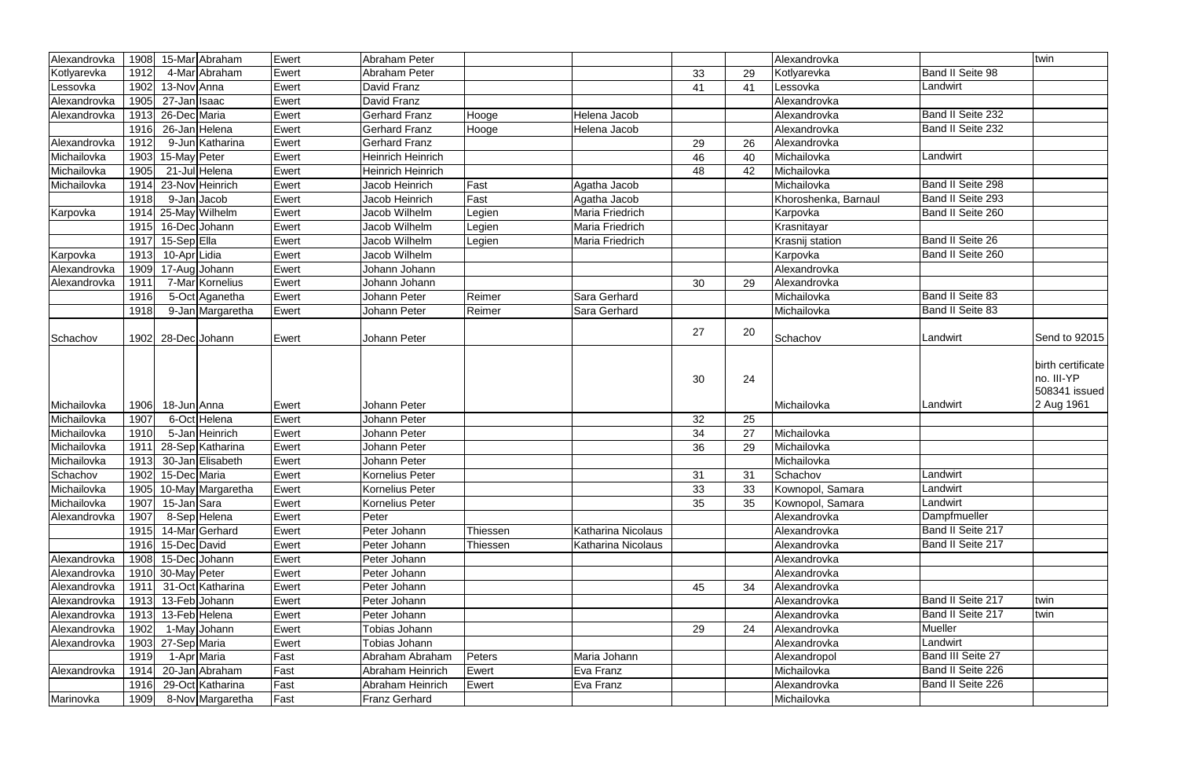| Alexandrovka | 1908 | 15-Mar Abraham         | Ewert | <b>Abraham Peter</b>     |          |                           |    |    | Alexandrovka         |                   | twin                                                           |
|--------------|------|------------------------|-------|--------------------------|----------|---------------------------|----|----|----------------------|-------------------|----------------------------------------------------------------|
|              | 1912 | 4-Mar Abraham          |       | Abraham Peter            |          |                           |    |    |                      | Band II Seite 98  |                                                                |
| Kotlyarevka  |      |                        | Ewert |                          |          |                           | 33 | 29 | Kotlyarevka          |                   |                                                                |
| Lessovka     | 1902 | 13-Nov Anna            | Ewert | David Franz              |          |                           | 41 | 41 | Lessovka             | Landwirt          |                                                                |
| Alexandrovka | 1905 | 27-Jan Isaac           | Ewert | David Franz              |          |                           |    |    | Alexandrovka         |                   |                                                                |
| Alexandrovka | 1913 | 26-Dec Maria           | Ewert | <b>Gerhard Franz</b>     | Hooge    | Helena Jacob              |    |    | Alexandrovka         | Band II Seite 232 |                                                                |
|              | 1916 | 26-Jan Helena          | Ewert | <b>Gerhard Franz</b>     | Hooge    | Helena Jacob              |    |    | Alexandrovka         | Band II Seite 232 |                                                                |
| Alexandrovka | 1912 | 9-Jun Katharina        | Ewert | <b>Gerhard Franz</b>     |          |                           | 29 | 26 | Alexandrovka         |                   |                                                                |
| Michailovka  | 1903 | 15-May Peter           | Ewert | <b>Heinrich Heinrich</b> |          |                           | 46 | 40 | Michailovka          | Landwirt          |                                                                |
| Michailovka  | 1905 | 21-Jul Helena          | Ewert | <b>Heinrich Heinrich</b> |          |                           | 48 | 42 | Michailovka          |                   |                                                                |
| Michailovka  | 1914 | 23-Nov Heinrich        | Ewert | Jacob Heinrich           | Fast     | Agatha Jacob              |    |    | Michailovka          | Band II Seite 298 |                                                                |
|              | 1918 | 9-Jan Jacob            | Ewert | Jacob Heinrich           | Fast     | Agatha Jacob              |    |    | Khoroshenka, Barnaul | Band II Seite 293 |                                                                |
| Karpovka     | 1914 | 25-May Wilhelm         | Ewert | Jacob Wilhelm            | Legien   | Maria Friedrich           |    |    | Karpovka             | Band II Seite 260 |                                                                |
|              | 1915 | 16-DecJohann           | Ewert | Jacob Wilhelm            | Legien   | Maria Friedrich           |    |    | Krasnitayar          |                   |                                                                |
|              | 1917 | 15-SepElla             | Ewert | Jacob Wilhelm            | Legien   | Maria Friedrich           |    |    | Krasnij station      | Band II Seite 26  |                                                                |
| Karpovka     | 1913 | 10-AprLidia            | Ewert | Jacob Wilhelm            |          |                           |    |    | Karpovka             | Band II Seite 260 |                                                                |
| Alexandrovka | 1909 | 17-Aug Johann          | Ewert | Johann Johann            |          |                           |    |    | Alexandrovka         |                   |                                                                |
| Alexandrovka | 1911 | 7-Mar Kornelius        | Ewert | Johann Johann            |          |                           | 30 | 29 | Alexandrovka         |                   |                                                                |
|              | 1916 | 5-Oct Aganetha         | Ewert | Johann Peter             | Reimer   | Sara Gerhard              |    |    | Michailovka          | Band II Seite 83  |                                                                |
|              | 1918 | 9-Jan Margaretha       | Ewert | Johann Peter             | Reimer   | Sara Gerhard              |    |    | Michailovka          | Band II Seite 83  |                                                                |
|              |      |                        |       |                          |          |                           |    |    |                      |                   |                                                                |
| Schachov     | 1902 | 28-DecJohann           | Ewert | Johann Peter             |          |                           | 27 | 20 | Schachov             | Landwirt          | Send to 92015                                                  |
| Michailovka  | 1906 | 18-Jun Anna            | Ewert | Johann Peter             |          |                           | 30 | 24 | Michailovka          | Landwirt          | birth certificate<br>no. III-YP<br>508341 issued<br>2 Aug 1961 |
| Michailovka  | 1907 | 6-Oct Helena           | Ewert | Johann Peter             |          |                           | 32 | 25 |                      |                   |                                                                |
| Michailovka  | 1910 | 5-Jan Heinrich         | Ewert | Johann Peter             |          |                           | 34 | 27 | Michailovka          |                   |                                                                |
| Michailovka  | 1911 | 28-Sep Katharina       | Ewert | Johann Peter             |          |                           | 36 | 29 | Michailovka          |                   |                                                                |
| Michailovka  | 1913 | 30-Jan Elisabeth       | Ewert | Johann Peter             |          |                           |    |    | Michailovka          |                   |                                                                |
| Schachov     |      | 1902 15-Dec Maria      | Ewert | <b>Kornelius Peter</b>   |          |                           | 31 | 31 | Schachov             | Landwirt          |                                                                |
| Michailovka  |      | 1905 10-May Margaretha | Ewert | Kornelius Peter          |          |                           | 33 | 33 | Kownopol, Samara     | Landwirt          |                                                                |
| Michailovka  | 1907 | 15-Jan Sara            | Ewert | Kornelius Peter          |          |                           | 35 | 35 | Kownopol, Samara     | Landwirt          |                                                                |
| Alexandrovka | 1907 | 8-Sep Helena           | Ewert | Peter                    |          |                           |    |    | Alexandrovka         | Dampfmueller      |                                                                |
|              | 1915 | 14-MarGerhard          | Ewert | Peter Johann             | Thiessen | <b>Katharina Nicolaus</b> |    |    | Alexandrovka         | Band II Seite 217 |                                                                |
|              |      | 1916 15-Dec David      | Ewert | Peter Johann             | Thiessen | Katharina Nicolaus        |    |    | Alexandrovka         | Band II Seite 217 |                                                                |
| Alexandrovka | 1908 | 15-DecJJohann          | Ewert | Peter Johann             |          |                           |    |    | Alexandrovka         |                   |                                                                |
| Alexandrovka |      | 1910 30-May Peter      | Ewert | Peter Johann             |          |                           |    |    | Alexandrovka         |                   |                                                                |
| Alexandrovka | 1911 | 31-Oct Katharina       | Ewert | Peter Johann             |          |                           | 45 | 34 | Alexandrovka         |                   |                                                                |
| Alexandrovka | 1913 | 13-Feb Johann          | Ewert | Peter Johann             |          |                           |    |    | Alexandrovka         | Band II Seite 217 | twin                                                           |
| Alexandrovka | 1913 | 13-Feb Helena          | Ewert | Peter Johann             |          |                           |    |    | Alexandrovka         | Band II Seite 217 | twin                                                           |
| Alexandrovka | 1902 | 1-May Johann           | Ewert | Tobias Johann            |          |                           | 29 | 24 | Alexandrovka         | Mueller           |                                                                |
| Alexandrovka | 1903 | 27-Sep Maria           | Ewert | Tobias Johann            |          |                           |    |    | Alexandrovka         | Landwirt          |                                                                |
|              | 1919 | 1-Apr Maria            | Fast  | Abraham Abraham          | Peters   | Maria Johann              |    |    | Alexandropol         | Band III Seite 27 |                                                                |
| Alexandrovka | 1914 | 20-Jan Abraham         | Fast  | Abraham Heinrich         | Ewert    | Eva Franz                 |    |    | Michailovka          | Band II Seite 226 |                                                                |
|              | 1916 | 29-Oct Katharina       | Fast  | Abraham Heinrich         | Ewert    | Eva Franz                 |    |    | Alexandrovka         | Band II Seite 226 |                                                                |
| Marinovka    | 1909 | 8-Nov Margaretha       | Fast  | <b>Franz Gerhard</b>     |          |                           |    |    | Michailovka          |                   |                                                                |
|              |      |                        |       |                          |          |                           |    |    |                      |                   |                                                                |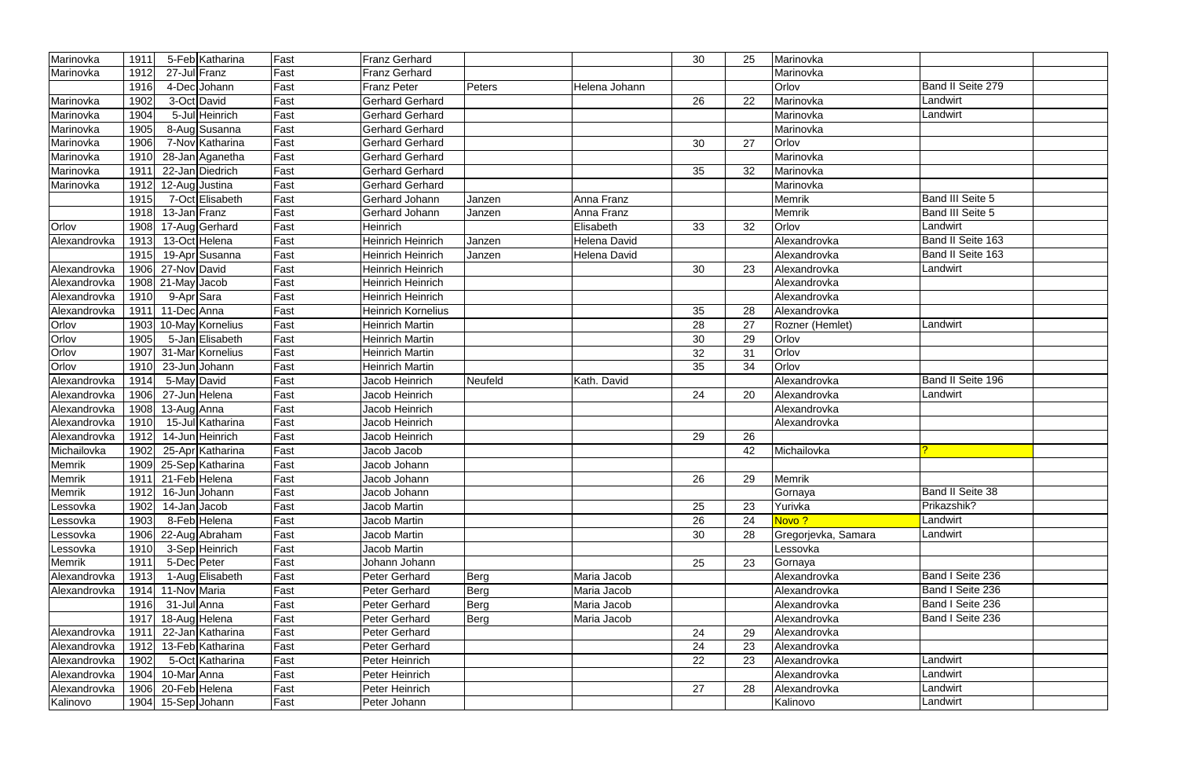| Marinovka    | 1911 |                     | 5-Feb Katharina  | Fast | <b>Franz Gerhard</b>     |             |               | 30 | 25 | Marinovka           |                         |  |
|--------------|------|---------------------|------------------|------|--------------------------|-------------|---------------|----|----|---------------------|-------------------------|--|
| Marinovka    | 1912 | 27-Jul Franz        |                  | Fast | Franz Gerhard            |             |               |    |    | Marinovka           |                         |  |
|              | 1916 |                     | 4-Dec Johann     | Fast | <b>Franz Peter</b>       | Peters      | Helena Johann |    |    | Orlov               | Band II Seite 279       |  |
| Marinovka    | 1902 |                     | 3-Oct David      | Fast | Gerhard Gerhard          |             |               | 26 | 22 | Marinovka           | Landwirt                |  |
| Marinovka    | 1904 |                     | 5-Jul Heinrich   | Fast | <b>Gerhard Gerhard</b>   |             |               |    |    | Marinovka           | Landwirt                |  |
| Marinovka    | 1905 |                     | 8-Aug Susanna    | Fast | <b>Gerhard Gerhard</b>   |             |               |    |    | Marinovka           |                         |  |
| Marinovka    | 1906 |                     | 7-Nov Katharina  | Fast | Gerhard Gerhard          |             |               | 30 | 27 | Orlov               |                         |  |
| Marinovka    | 1910 |                     | 28-Jan Aganetha  | Fast | <b>Gerhard Gerhard</b>   |             |               |    |    | Marinovka           |                         |  |
| Marinovka    | 1911 |                     | 22-Jan Diedrich  | Fast | <b>Gerhard Gerhard</b>   |             |               | 35 | 32 | Marinovka           |                         |  |
| Marinovka    | 1912 | 12-Aug Justina      |                  | Fast | <b>Gerhard Gerhard</b>   |             |               |    |    | Marinovka           |                         |  |
|              | 1915 |                     | 7-Oct Elisabeth  | Fast | Gerhard Johann           | Janzen      | Anna Franz    |    |    | Memrik              | <b>Band III Seite 5</b> |  |
|              | 1918 | 13-Jan Franz        |                  | Fast | Gerhard Johann           | Janzen      | Anna Franz    |    |    | Memrik              | Band III Seite 5        |  |
| Orlov        | 1908 |                     | 17-Aug Gerhard   | Fast | Heinrich                 |             | Elisabeth     | 33 | 32 | Orlov               | Landwirt                |  |
| Alexandrovka | 1913 |                     | 13-Oct Helena    | Fast | Heinrich Heinrich        | Janzen      | Helena David  |    |    | Alexandrovka        | Band II Seite 163       |  |
|              | 1915 |                     | 19-Apr Susanna   | Fast | <b>Heinrich Heinrich</b> | Janzen      | Helena David  |    |    | Alexandrovka        | Band II Seite 163       |  |
| Alexandrovka | 1906 | 27-Nov David        |                  | Fast | Heinrich Heinrich        |             |               | 30 | 23 | Alexandrovka        | Landwirt                |  |
| Alexandrovka |      | $1908$ 21-May Jacob |                  | Fast | <b>Heinrich Heinrich</b> |             |               |    |    | Alexandrovka        |                         |  |
| Alexandrovka | 1910 | 9-Apr Sara          |                  | Fast | <b>Heinrich Heinrich</b> |             |               |    |    | Alexandrovka        |                         |  |
| Alexandrovka | 1911 | 11-DecAnna          |                  | Fast | Heinrich Kornelius       |             |               | 35 | 28 | Alexandrovka        |                         |  |
| Orlov        | 1903 |                     | 10-May Kornelius | Fast | <b>Heinrich Martin</b>   |             |               | 28 | 27 | Rozner (Hemlet)     | Landwirt                |  |
| Orlov        | 1905 |                     | 5-Jan Elisabeth  | Fast | Heinrich Martin          |             |               | 30 | 29 | Orlov               |                         |  |
| Orlov        | 1907 |                     | 31-Mar Kornelius | Fast | <b>Heinrich Martin</b>   |             |               | 32 | 31 | Orlov               |                         |  |
| Orlov        | 1910 | 23-JunJJohann       |                  | Fast | Heinrich Martin          |             |               | 35 | 34 | Orlov               |                         |  |
| Alexandrovka | 1914 | 5-May David         |                  | Fast | Jacob Heinrich           | Neufeld     | Kath. David   |    |    | Alexandrovka        | Band II Seite 196       |  |
| Alexandrovka | 1906 | 27-Jun Helena       |                  | Fast | Jacob Heinrich           |             |               | 24 | 20 | Alexandrovka        | Landwirt                |  |
| Alexandrovka | 1908 | 13-Aug Anna         |                  | Fast | Jacob Heinrich           |             |               |    |    | Alexandrovka        |                         |  |
| Alexandrovka | 1910 |                     | 15-Jul Katharina | Fast | Jacob Heinrich           |             |               |    |    | Alexandrovka        |                         |  |
| Alexandrovka | 1912 |                     | 14-Jun Heinrich  | Fast | Jacob Heinrich           |             |               | 29 | 26 |                     |                         |  |
| Michailovka  | 1902 |                     | 25-Apr Katharina | Fast | Jacob Jacob              |             |               |    | 42 | Michailovka         |                         |  |
| Memrik       | 1909 |                     | 25-Sep Katharina | Fast | Jacob Johann             |             |               |    |    |                     |                         |  |
| Memrik       |      | 1911 21-Feb Helena  |                  | Fast | Jacob Johann             |             |               | 26 | 29 | Memrik              |                         |  |
| Memrik       | 1912 | 16-JunJJohann       |                  | Fast | Jacob Johann             |             |               |    |    | Gornaya             | <b>Band II Seite 38</b> |  |
| Lessovka     | 1902 | 14-Jan Jacob        |                  | Fast | Jacob Martin             |             |               | 25 | 23 | Yurivka             | Prikazshik?             |  |
| Lessovka     | 1903 |                     | 8-Feb Helena     | Fast | Jacob Martin             |             |               | 26 | 24 | Novo?               | Landwirt                |  |
| Lessovka     | 1906 |                     | 22-Aug Abraham   | Fast | Jacob Martin             |             |               | 30 | 28 | Gregorjevka, Samara | Landwirt                |  |
| Lessovka     | 1910 |                     | 3-Sep Heinrich   | Fast | Jacob Martin             |             |               |    |    | Lessovka            |                         |  |
| Memrik       | 1911 | 5-Dec Peter         |                  | Fast | Johann Johann            |             |               | 25 | 23 | Gornaya             |                         |  |
| Alexandrovka | 1913 |                     | 1-Aug Elisabeth  | Fast | Peter Gerhard            | <b>Berg</b> | Maria Jacob   |    |    | Alexandrovka        | Band I Seite 236        |  |
| Alexandrovka | 1914 | 11-Nov Maria        |                  | Fast | Peter Gerhard            | <b>Berg</b> | Maria Jacob   |    |    | Alexandrovka        | Band I Seite 236        |  |
|              | 1916 | 31-Jul Anna         |                  | Fast | Peter Gerhard            | <b>Berg</b> | Maria Jacob   |    |    | Alexandrovka        | Band I Seite 236        |  |
|              | 1917 | 18-Aug Helena       |                  | Fast | Peter Gerhard            | <b>Berg</b> | Maria Jacob   |    |    | Alexandrovka        | Band I Seite 236        |  |
| Alexandrovka | 1911 |                     | 22-Jan Katharina | Fast | Peter Gerhard            |             |               | 24 | 29 | Alexandrovka        |                         |  |
| Alexandrovka | 1912 |                     | 13-Feb Katharina | Fast | Peter Gerhard            |             |               | 24 | 23 | Alexandrovka        |                         |  |
| Alexandrovka | 1902 |                     | 5-Oct Katharina  | Fast | Peter Heinrich           |             |               | 22 | 23 | Alexandrovka        | Landwirt                |  |
| Alexandrovka | 1904 | 10-Mar Anna         |                  | Fast | Peter Heinrich           |             |               |    |    | Alexandrovka        | Landwirt                |  |
| Alexandrovka | 1906 | 20-Feb Helena       |                  | Fast | Peter Heinrich           |             |               | 27 | 28 | Alexandrovka        | Landwirt                |  |
| Kalinovo     |      | 1904 15-Sep Johann  |                  | Fast | Peter Johann             |             |               |    |    | Kalinovo            | Landwirt                |  |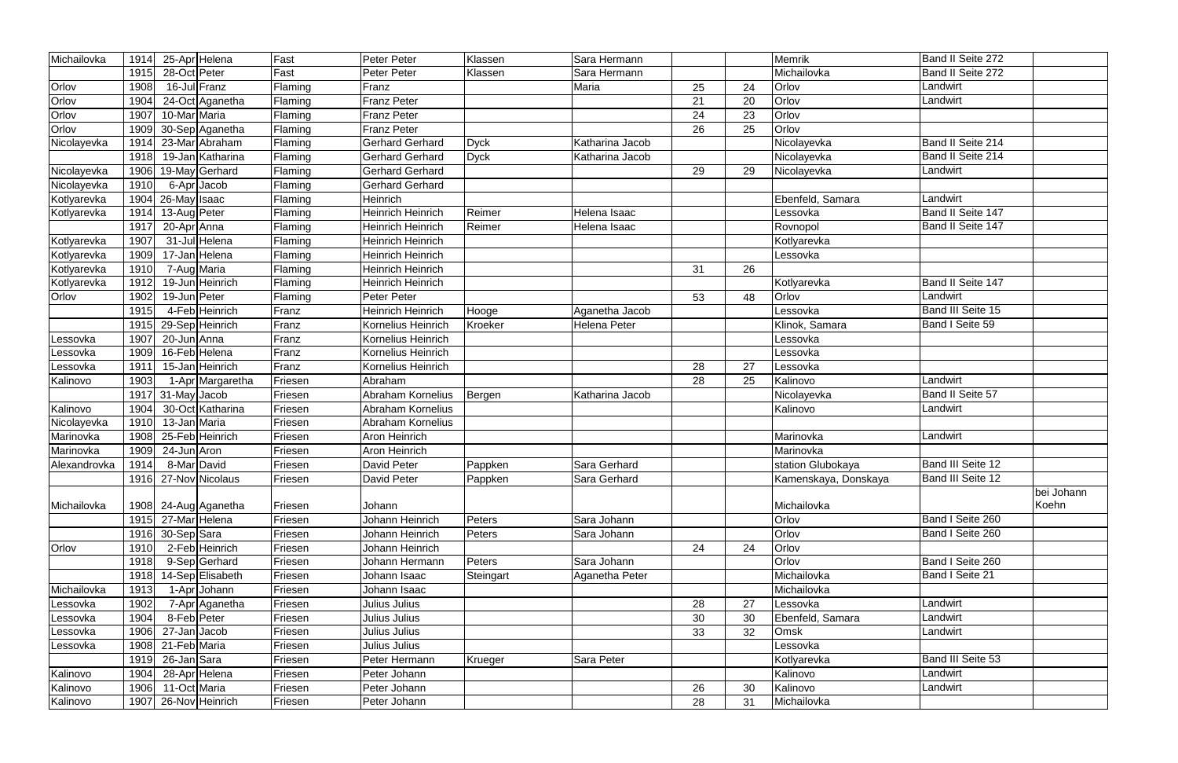| Michailovka  | 1914 | 25-Apr Helena              | Fast           | Peter Peter              | Klassen       | Sara Hermann    |    |    | Memrik               | Band II Seite 272 |            |
|--------------|------|----------------------------|----------------|--------------------------|---------------|-----------------|----|----|----------------------|-------------------|------------|
|              | 1915 | 28-Oct Peter               | Fast           | <b>Peter Peter</b>       | Klassen       | Sara Hermann    |    |    | Michailovka          | Band II Seite 272 |            |
| Orlov        | 1908 | 16-Jul Franz               | Flaming        | Franz                    |               | Maria           | 25 | 24 | Orlov                | Landwirt          |            |
| Orlov        | 1904 | 24-Oct Aganetha            | Flaming        | <b>Franz Peter</b>       |               |                 | 21 | 20 | Orlov                | Landwirt          |            |
| Orlov        | 1907 | 10-Mar Maria               | Flaming        | <b>Franz Peter</b>       |               |                 | 24 | 23 | Orlov                |                   |            |
| Orlov        | 1909 | 30-Sep Aganetha            | Flaming        | <b>Franz Peter</b>       |               |                 | 26 | 25 | Orlov                |                   |            |
| Nicolayevka  | 1914 | 23-Mar Abraham             | Flaming        | <b>Gerhard Gerhard</b>   | <b>Dyck</b>   | Katharina Jacob |    |    | Nicolayevka          | Band II Seite 214 |            |
|              | 1918 | 19-Jan Katharina           | Flaming        | <b>Gerhard Gerhard</b>   | <b>Dyck</b>   | Katharina Jacob |    |    | Nicolayevka          | Band II Seite 214 |            |
| Nicolayevka  | 1906 | 19-May Gerhard             | Flaming        | <b>Gerhard Gerhard</b>   |               |                 | 29 | 29 | Nicolayevka          | Landwirt          |            |
| Nicolayevka  | 1910 | 6-Apr <sub>Jacob</sub>     | Flaming        | <b>Gerhard Gerhard</b>   |               |                 |    |    |                      |                   |            |
| Kotlyarevka  | 1904 | 26-May Isaac               | Flaming        | Heinrich                 |               |                 |    |    | Ebenfeld, Samara     | Landwirt          |            |
| Kotlyarevka  | 1914 | 13-Aug Peter               | Flaming        | <b>Heinrich Heinrich</b> | Reimer        | Helena Isaac    |    |    | Lessovka             | Band II Seite 147 |            |
|              | 1917 | 20-Apr Anna                | Flaming        | <b>Heinrich Heinrich</b> | Reimer        | Helena Isaac    |    |    | Rovnopol             | Band II Seite 147 |            |
| Kotlyarevka  | 1907 | 31-Jul Helena              | Flaming        | Heinrich Heinrich        |               |                 |    |    | Kotlyarevka          |                   |            |
| Kotlyarevka  | 1909 | 17-Jan Helena              | Flaming        | Heinrich Heinrich        |               |                 |    |    | Lessovka             |                   |            |
| Kotlyarevka  | 1910 | 7-Aug Maria                | Flaming        | Heinrich Heinrich        |               |                 | 31 | 26 |                      |                   |            |
| Kotlyarevka  | 1912 | 19-Jun Heinrich            | Flaming        | Heinrich Heinrich        |               |                 |    |    | Kotlyarevka          | Band II Seite 147 |            |
| Orlov        | 1902 | 19-Jun Peter               | Flaming        | Peter Peter              |               |                 | 53 | 48 | Orlov                | Landwirt          |            |
|              | 1915 | 4-Feb Heinrich             | Franz          | Heinrich Heinrich        | Hooge         | Aganetha Jacob  |    |    | Lessovka             | Band III Seite 15 |            |
|              | 1915 | 29-Sep Heinrich            | Franz          | Kornelius Heinrich       | Kroeker       | Helena Peter    |    |    | Klinok, Samara       | Band I Seite 59   |            |
| Lessovka     | 1907 | 20-Jun Anna                | Franz          | Kornelius Heinrich       |               |                 |    |    | Lessovka             |                   |            |
| .essovka     | 1909 | 16-Feb Helena              | Franz          | Kornelius Heinrich       |               |                 |    |    | Lessovka             |                   |            |
| Lessovka     | 1911 | 15-Jan Heinrich            | Franz          | Kornelius Heinrich       |               |                 | 28 | 27 | Lessovka             |                   |            |
| Kalinovo     | 1903 | 1-Apr Margaretha           | Friesen        | Abraham                  |               |                 | 28 | 25 | Kalinovo             | Landwirt          |            |
|              | 1917 | 31-May Jacob               | Friesen        | Abraham Kornelius        | Bergen        | Katharina Jacob |    |    | Nicolayevka          | Band II Seite 57  |            |
| Kalinovo     | 1904 | 30-Oct Katharina           | Friesen        | Abraham Kornelius        |               |                 |    |    | Kalinovo             | Landwirt          |            |
| Nicolayevka  | 1910 | 13-Jan Maria               | Friesen        | Abraham Kornelius        |               |                 |    |    |                      |                   |            |
| Marinovka    | 1908 | 25-Feb Heinrich            | Friesen        | <b>Aron Heinrich</b>     |               |                 |    |    | Marinovka            | Landwirt          |            |
| Marinovka    | 1909 | 24-Jun Aron                | Friesen        | Aron Heinrich            |               |                 |    |    | Marinovka            |                   |            |
| Alexandrovka | 1914 | 8-Mar David                | Friesen        | David Peter              | Pappken       | Sara Gerhard    |    |    | station Glubokaya    | Band III Seite 12 |            |
|              |      | 1916 27-Nov Nicolaus       | <b>Friesen</b> | David Peter              | Pappken       | Sara Gerhard    |    |    | Kamenskaya, Donskaya | Band III Seite 12 |            |
|              |      |                            |                |                          |               |                 |    |    |                      |                   | bei Johann |
| Michailovka  |      | 1908 24-Aug Aganetha       | Friesen        | Johann                   |               |                 |    |    | Michailovka          |                   | Koehn      |
|              | 1915 | 27-Mar Helena              | Friesen        | Johann Heinrich          | Peters        | Sara Johann     |    |    | Orlov                | Band I Seite 260  |            |
|              | 1916 | 30-Sep Sara                | Friesen        | Johann Heinrich          | <b>Peters</b> | Sara Johann     |    |    | Orlov                | Band I Seite 260  |            |
| Orlov        | 1910 | 2-Feb Heinrich             | Friesen        | Johann Heinrich          |               |                 | 24 | 24 | Orlov                |                   |            |
|              | 1918 | 9-Sep Gerhard              | Friesen        | Johann Hermann           | Peters        | Sara Johann     |    |    | Orlov                | Band I Seite 260  |            |
|              | 1918 | 14-Sep Elisabeth           | Friesen        | Johann Isaac             | Steingart     | Aganetha Peter  |    |    | Michailovka          | Band I Seite 21   |            |
| Michailovka  | 1913 | 1-Apr Johann               | Friesen        | Johann Isaac             |               |                 |    |    | Michailovka          |                   |            |
| Lessovka     | 1902 | 7-Apr Aganetha             | Friesen        | Julius Julius            |               |                 | 28 | 27 | Lessovka             | Landwirt          |            |
| Lessovka     | 1904 | 8-Feb Peter                | Friesen        | Julius Julius            |               |                 | 30 | 30 | Ebenfeld, Samara     | Landwirt          |            |
| Lessovka     | 1906 | $\overline{27}$ -Jan Jacob | Friesen        | Julius Julius            |               |                 | 33 | 32 | Omsk                 | Landwirt          |            |
| Lessovka     | 1908 | 21-Feb Maria               | Friesen        | Julius Julius            |               |                 |    |    | Lessovka             |                   |            |
|              | 1919 | 26-Jan Sara                | Friesen        | Peter Hermann            | Krueger       | Sara Peter      |    |    | Kotlyarevka          | Band III Seite 53 |            |
| Kalinovo     | 1904 | 28-Apr Helena              | Friesen        | Peter Johann             |               |                 |    |    | Kalinovo             | Landwirt          |            |
| Kalinovo     | 1906 | 11-Oct Maria               | Friesen        | Peter Johann             |               |                 | 26 | 30 | Kalinovo             | Landwirt          |            |
| Kalinovo     | 1907 | 26-Nov Heinrich            | Friesen        | Peter Johann             |               |                 | 28 | 31 | Michailovka          |                   |            |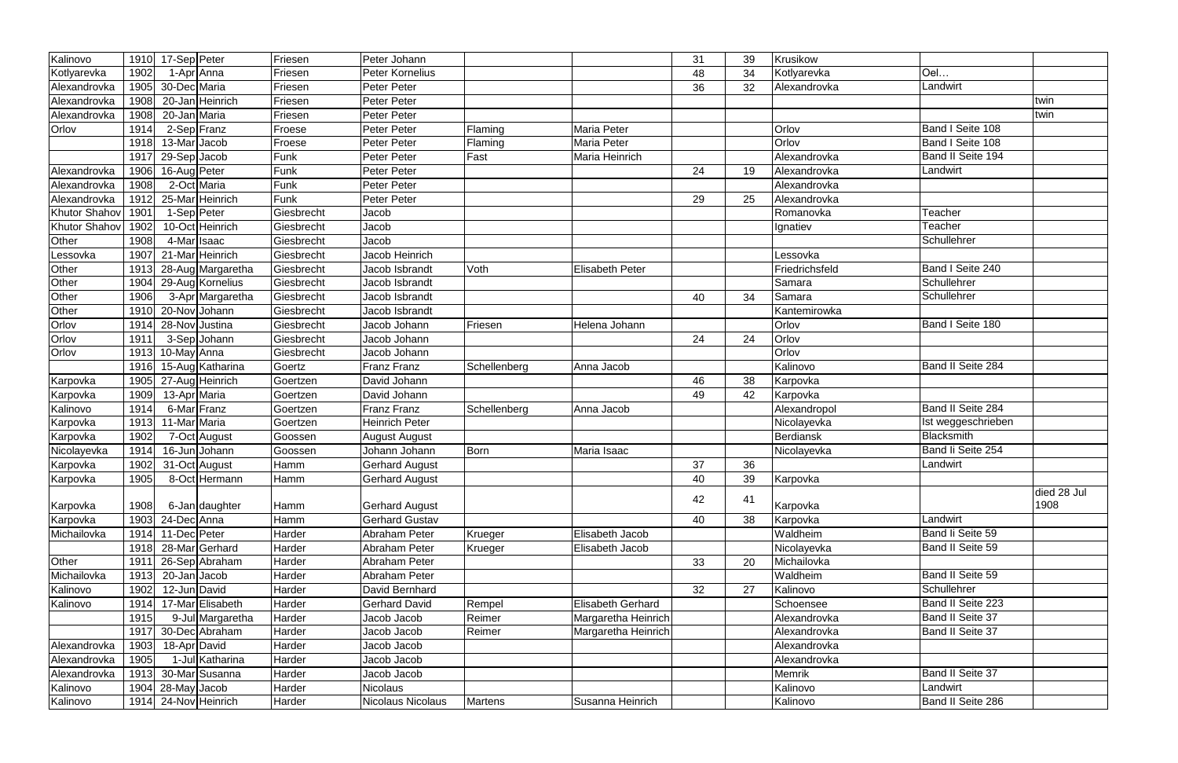| Kalinovo             | 1910 | 17-Sep Peter        | Friesen    | Peter Johann          |                |                        | 31 | 39 | Krusikow       |                         |                     |
|----------------------|------|---------------------|------------|-----------------------|----------------|------------------------|----|----|----------------|-------------------------|---------------------|
| Kotlyarevka          | 1902 | 1-Apr Anna          | Friesen    | Peter Kornelius       |                |                        | 48 | 34 | Kotlyarevka    | Oel                     |                     |
| Alexandrovka         | 1905 | 30-Dec Maria        | Friesen    | Peter Peter           |                |                        | 36 | 32 | Alexandrovka   | Landwirt                |                     |
| Alexandrovka         | 1908 | 20-Jan Heinrich     | Friesen    | Peter Peter           |                |                        |    |    |                |                         | twin                |
| Alexandrovka         | 1908 | 20-Jan Maria        | Friesen    | Peter Peter           |                |                        |    |    |                |                         | twin                |
| Orlov                | 1914 | 2-Sep Franz         | Froese     | <b>Peter Peter</b>    | Flaming        | Maria Peter            |    |    | Orlov          | Band I Seite 108        |                     |
|                      | 1918 | 13-MarJacob         | Froese     | Peter Peter           | Flaming        | Maria Peter            |    |    | Orlov          | Band I Seite 108        |                     |
|                      | 1917 | 29-Sep Jacob        | Funk       | Peter Peter           | Fast           | Maria Heinrich         |    |    | Alexandrovka   | Band II Seite 194       |                     |
| Alexandrovka         | 1906 | 16-Aug Peter        | Funk       | Peter Peter           |                |                        | 24 | 19 | Alexandrovka   | Landwirt                |                     |
| Alexandrovka         | 1908 | 2-Oct Maria         | Funk       | Peter Peter           |                |                        |    |    | Alexandrovka   |                         |                     |
| Alexandrovka         | 1912 | 25-Mar Heinrich     | Funk       | Peter Peter           |                |                        | 29 | 25 | Alexandrovka   |                         |                     |
| Khutor Shahov        | 1901 | 1-Sep Peter         | Giesbrecht | Jacob                 |                |                        |    |    | Romanovka      | Teacher                 |                     |
| Khutor Shahov        | 1902 | 10-Oct Heinrich     | Giesbrecht | Jacob                 |                |                        |    |    | Ignatiev       | Teacher                 |                     |
| Other                | 1908 | 4-Mar Isaac         | Giesbrecht | Jacob                 |                |                        |    |    |                | Schullehrer             |                     |
| Lessovka             | 1907 | 21-Mar Heinrich     | Giesbrecht | Jacob Heinrich        |                |                        |    |    | Lessovka       |                         |                     |
| Other                | 1913 | 28-Aug Margaretha   | Giesbrecht | Jacob Isbrandt        | Voth           | <b>Elisabeth Peter</b> |    |    | Friedrichsfeld | Band I Seite 240        |                     |
| Other                | 1904 | 29-Aug Kornelius    | Giesbrecht | Jacob Isbrandt        |                |                        |    |    | Samara         | Schullehrer             |                     |
| Other                | 1906 | 3-Apr Margaretha    | Giesbrecht | Jacob Isbrandt        |                |                        | 40 | 34 | Samara         | Schullehrer             |                     |
| Other                | 1910 | 20-Nov Johann       | Giesbrecht | Jacob Isbrandt        |                |                        |    |    | Kantemirowka   |                         |                     |
| Orlov                | 1914 | 28-Nov Justina      | Giesbrecht | Jacob Johann          | Friesen        | Helena Johann          |    |    | Orlov          | Band I Seite 180        |                     |
| Orlov                | 1911 | 3-Sep Johann        | Giesbrecht | Jacob Johann          |                |                        | 24 | 24 | Orlov          |                         |                     |
| Orlov                | 1913 | 10-May Anna         | Giesbrecht | Jacob Johann          |                |                        |    |    | Orlov          |                         |                     |
|                      | 1916 | 15-Aug Katharina    | Goertz     | <b>Franz Franz</b>    | Schellenberg   | Anna Jacob             |    |    | Kalinovo       | Band II Seite 284       |                     |
| Karpovka             | 1905 | 27-Aug Heinrich     | Goertzen   | David Johann          |                |                        | 46 | 38 | Karpovka       |                         |                     |
| Karpovka             | 1909 | 13-Apr Maria        | Goertzen   | David Johann          |                |                        | 49 | 42 | Karpovka       |                         |                     |
| Kalinovo             | 1914 | 6-Mar Franz         | Goertzen   | Franz Franz           | Schellenberg   | Anna Jacob             |    |    | Alexandropol   | Band II Seite 284       |                     |
| Karpovka             | 1913 | 11-Mar Maria        | Goertzen   | <b>Heinrich Peter</b> |                |                        |    |    | Nicolayevka    | Ist weggeschrieben      |                     |
| Karpovka             | 1902 | 7-Oct August        | Goossen    | <b>August August</b>  |                |                        |    |    | Berdiansk      | Blacksmith              |                     |
| Nicolayevka          | 1914 | 16-Jun Johann       | Goossen    | Johann Johann         | Born           | Maria Isaac            |    |    | Nicolayevka    | Band li Seite 254       |                     |
| Karpovka             | 1902 | 31-Oct August       | Hamm       | <b>Gerhard August</b> |                |                        | 37 | 36 |                | Landwirt                |                     |
| Karpovka             | 1905 | 8-Oct Hermann       | Hamm       | <b>Gerhard August</b> |                |                        | 40 | 39 | Karpovka       |                         |                     |
|                      | 1908 | 6-Jan daughter      | Hamm       | <b>Gerhard August</b> |                |                        | 42 | 41 | Karpovka       |                         | died 28 Jul<br>1908 |
| Karpovka<br>Karpovka | 1903 | 24-Dec Anna         | Hamm       | <b>Gerhard Gustav</b> |                |                        | 40 | 38 | Karpovka       | Landwirt                |                     |
| Michailovka          |      | $1914$ 11-Dec Peter | Harder     | Abraham Peter         | Krueger        | Elisabeth Jacob        |    |    | Waldheim       | Band li Seite 59        |                     |
|                      | 1918 | 28-Mar Gerhard      | Harder     | Abraham Peter         | Krueger        | Elisabeth Jacob        |    |    | Nicolayevka    | Band II Seite 59        |                     |
| Other                | 1911 | 26-Sep Abraham      | Harder     | Abraham Peter         |                |                        | 33 | 20 | Michailovka    |                         |                     |
| Michailovka          | 1913 | 20-Jan Jacob        | Harder     | Abraham Peter         |                |                        |    |    | Waldheim       | Band II Seite 59        |                     |
| Kalinovo             | 1902 | 12-Jun David        | Harder     | David Bernhard        |                |                        | 32 | 27 | Kalinovo       | Schullehrer             |                     |
| Kalinovo             | 1914 | 17-Mar Elisabeth    | Harder     | <b>Gerhard David</b>  | Rempel         | Elisabeth Gerhard      |    |    | Schoensee      | Band II Seite 223       |                     |
|                      | 1915 | 9-Jul Margaretha    | Harder     | Jacob Jacob           | Reimer         | Margaretha Heinrich    |    |    | Alexandrovka   | Band II Seite 37        |                     |
|                      | 1917 | 30-Dec Abraham      | Harder     | Jacob Jacob           | Reimer         | Margaretha Heinrich    |    |    | Alexandrovka   | <b>Band II Seite 37</b> |                     |
| Alexandrovka         | 1903 | 18-Apr David        | Harder     | Jacob Jacob           |                |                        |    |    | Alexandrovka   |                         |                     |
| Alexandrovka         | 1905 | 1-Jul Katharina     | Harder     | Jacob Jacob           |                |                        |    |    | Alexandrovka   |                         |                     |
| Alexandrovka         | 1913 | 30-Mar Susanna      | Harder     | Jacob Jacob           |                |                        |    |    | <b>Memrik</b>  | <b>Band II Seite 37</b> |                     |
| Kalinovo             | 1904 | 28-May Jacob        | Harder     | <b>Nicolaus</b>       |                |                        |    |    | Kalinovo       | Landwirt                |                     |
| Kalinovo             | 1914 | 24-Nov Heinrich     | Harder     | Nicolaus Nicolaus     | <b>Martens</b> | Susanna Heinrich       |    |    | Kalinovo       | Band II Seite 286       |                     |
|                      |      |                     |            |                       |                |                        |    |    |                |                         |                     |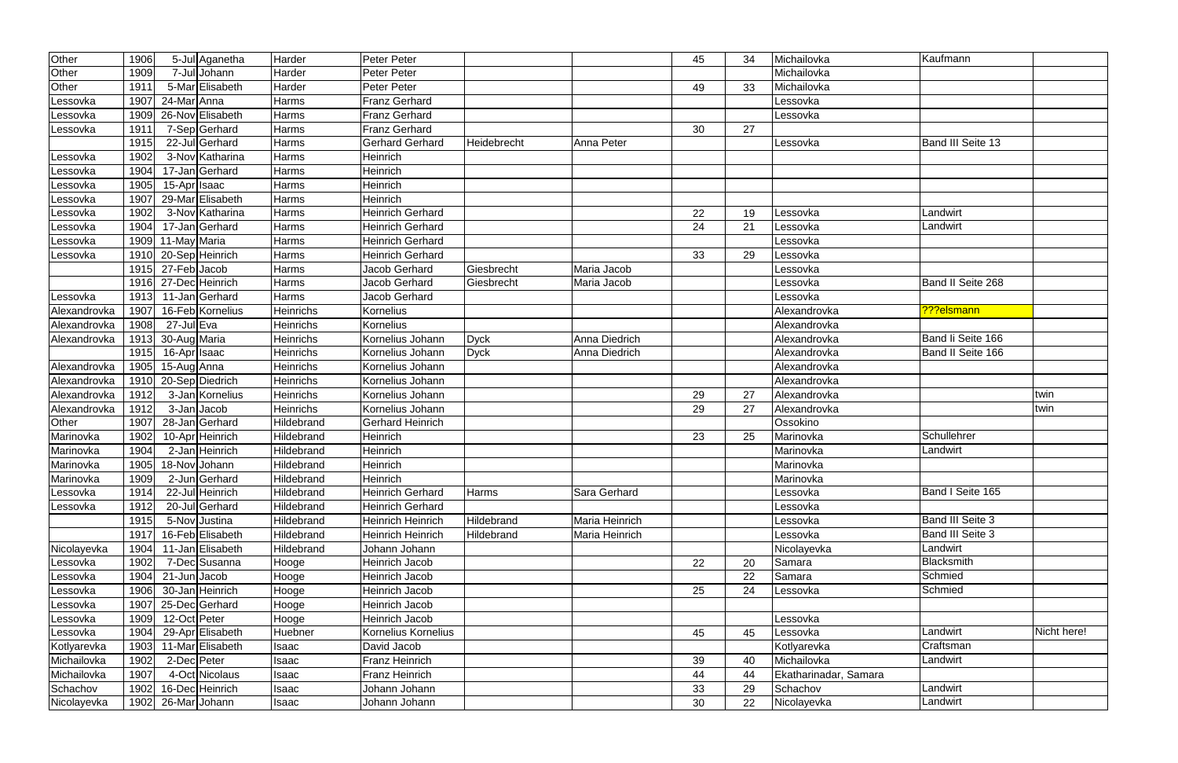| Other        | 1906 | 5-Jul Aganetha       | Harder           | Peter Peter              |             |                | 45 | 34 | Michailovka           | Kaufmann                |             |
|--------------|------|----------------------|------------------|--------------------------|-------------|----------------|----|----|-----------------------|-------------------------|-------------|
| Other        | 1909 | 7-Jul Johann         | Harder           | Peter Peter              |             |                |    |    | Michailovka           |                         |             |
| Other        | 1911 | 5-Mar Elisabeth      | Harder           | Peter Peter              |             |                | 49 | 33 | Michailovka           |                         |             |
| Lessovka     | 1907 | 24-Mar Anna          | Harms            | <b>Franz Gerhard</b>     |             |                |    |    | Lessovka              |                         |             |
| Lessovka     | 1909 | 26-Nov Elisabeth     | Harms            | <b>Franz Gerhard</b>     |             |                |    |    | Lessovka              |                         |             |
| Lessovka     | 1911 | 7-Sep Gerhard        | Harms            | <b>Franz Gerhard</b>     |             |                | 30 | 27 |                       |                         |             |
|              | 1915 | 22-Jul Gerhard       | Harms            | <b>Gerhard Gerhard</b>   | Heidebrecht | Anna Peter     |    |    | Lessovka              | Band III Seite 13       |             |
| Lessovka     | 1902 | 3-Nov Katharina      | Harms            | Heinrich                 |             |                |    |    |                       |                         |             |
| .essovka     | 1904 | 17-Jan Gerhard       | Harms            | Heinrich                 |             |                |    |    |                       |                         |             |
| Lessovka     | 1905 | 15-Apr Isaac         | Harms            | Heinrich                 |             |                |    |    |                       |                         |             |
| Lessovka     | 1907 | 29-Mar Elisabeth     | Harms            | Heinrich                 |             |                |    |    |                       |                         |             |
| .essovka     | 1902 | 3-Nov Katharina      | Harms            | <b>Heinrich Gerhard</b>  |             |                | 22 | 19 | Lessovka              | Landwirt                |             |
| Lessovka     | 1904 | 17-Jan Gerhard       | Harms            | <b>Heinrich Gerhard</b>  |             |                | 24 | 21 | Lessovka              | Landwirt                |             |
| Lessovka     | 1909 | 11-May Maria         | Harms            | Heinrich Gerhard         |             |                |    |    | Lessovka              |                         |             |
| Lessovka     |      | 1910 20-Sep Heinrich | Harms            | <b>Heinrich Gerhard</b>  |             |                | 33 | 29 | Lessovka              |                         |             |
|              |      | 1915 27-Feb Jacob    | Harms            | Jacob Gerhard            | Giesbrecht  | Maria Jacob    |    |    | Lessovka              |                         |             |
|              |      | 1916 27-Dec Heinrich | Harms            | Jacob Gerhard            | Giesbrecht  | Maria Jacob    |    |    | Lessovka              | Band II Seite 268       |             |
| Lessovka     | 1913 | 11-Jan Gerhard       | Harms            | Jacob Gerhard            |             |                |    |    | Lessovka              |                         |             |
| Alexandrovka | 1907 | 16-Feb Kornelius     | Heinrichs        | Kornelius                |             |                |    |    | Alexandrovka          | ???elsmann              |             |
| Alexandrovka | 1908 | 27-Jul Eva           | Heinrichs        | Kornelius                |             |                |    |    | Alexandrovka          |                         |             |
| Alexandrovka | 1913 | 30-Aug Maria         | Heinrichs        | Kornelius Johann         | <b>Dyck</b> | Anna Diedrich  |    |    | Alexandrovka          | Band li Seite 166       |             |
|              | 1915 | 16-Apr Isaac         | Heinrichs        | Kornelius Johann         | <b>Dyck</b> | Anna Diedrich  |    |    | Alexandrovka          | Band II Seite 166       |             |
| Alexandrovka | 1905 | 15-Aug Anna          | <b>Heinrichs</b> | Kornelius Johann         |             |                |    |    | Alexandrovka          |                         |             |
| Alexandrovka | 1910 | 20-Sep Diedrich      | Heinrichs        | Kornelius Johann         |             |                |    |    | Alexandrovka          |                         |             |
| Alexandrovka | 1912 | 3-Jan Kornelius      | <b>Heinrichs</b> | Kornelius Johann         |             |                | 29 | 27 | Alexandrovka          |                         | twin        |
| Alexandrovka | 1912 | 3-Jan Jacob          | Heinrichs        | Kornelius Johann         |             |                | 29 | 27 | Alexandrovka          |                         | twin        |
| Other        | 1907 | 28-Jan Gerhard       | Hildebrand       | <b>Gerhard Heinrich</b>  |             |                |    |    | Ossokino              |                         |             |
| Marinovka    | 1902 | 10-Apr Heinrich      | Hildebrand       | Heinrich                 |             |                | 23 | 25 | Marinovka             | Schullehrer             |             |
| Marinovka    | 1904 | 2-Jan Heinrich       | Hildebrand       | Heinrich                 |             |                |    |    | Marinovka             | Landwirt                |             |
| Marinovka    | 1905 | 18-Nov Johann        | Hildebrand       | Heinrich                 |             |                |    |    | Marinovka             |                         |             |
| Marinovka    | 1909 | 2-Jun Gerhard        | Hildebrand       | <b>Heinrich</b>          |             |                |    |    | Marinovka             |                         |             |
| Lessovka     | 1914 | 22-Jul Heinrich      | Hildebrand       | <b>Heinrich Gerhard</b>  | Harms       | Sara Gerhard   |    |    | Lessovka              | Band I Seite 165        |             |
| Lessovka     | 1912 | 20-Jul Gerhard       | Hildebrand       | <b>Heinrich Gerhard</b>  |             |                |    |    | Lessovka              |                         |             |
|              | 1915 | 5-Nov Justina        | Hildebrand       | <b>Heinrich Heinrich</b> | Hildebrand  | Maria Heinrich |    |    | Lessovka              | <b>Band III Seite 3</b> |             |
|              | 1917 | 16-Feb Elisabeth     | Hildebrand       | <b>Heinrich Heinrich</b> | Hildebrand  | Maria Heinrich |    |    | Lessovka              | Band III Seite 3        |             |
| Nicolayevka  | 1904 | 11-Jan Elisabeth     | Hildebrand       | Johann Johann            |             |                |    |    | Nicolayevka           | Landwirt                |             |
| Lessovka     | 1902 | 7-Dec Susanna        | Hooge            | Heinrich Jacob           |             |                | 22 | 20 | Samara                | Blacksmith              |             |
| Lessovka     | 1904 | 21-JunJJacob         | Hooge            | Heinrich Jacob           |             |                |    | 22 | Samara                | Schmied                 |             |
| .essovka     | 1906 | 30-Jan Heinrich      | Hooge            | Heinrich Jacob           |             |                | 25 | 24 | Lessovka              | Schmied                 |             |
| Lessovka     | 1907 | 25-Dec Gerhard       | Hooge            | Heinrich Jacob           |             |                |    |    |                       |                         |             |
| Lessovka     | 1909 | 12-Oct Peter         | Hooge            | Heinrich Jacob           |             |                |    |    | Lessovka              |                         |             |
| Lessovka     | 1904 | 29-Apr Elisabeth     | Huebner          | Kornelius Kornelius      |             |                | 45 | 45 | Lessovka              | Landwirt                | Nicht here! |
| Kotlyarevka  | 1903 | 11-Mar Elisabeth     | Isaac            | David Jacob              |             |                |    |    | Kotlyarevka           | Craftsman               |             |
| Michailovka  | 1902 | 2-Dec Peter          | Isaac            | Franz Heinrich           |             |                | 39 | 40 | Michailovka           | Landwirt                |             |
| Michailovka  | 1907 | 4-Oct Nicolaus       | <b>Isaac</b>     | <b>Franz Heinrich</b>    |             |                | 44 | 44 | Ekatharinadar, Samara |                         |             |
| Schachov     | 1902 | 16-Dec Heinrich      | <b>Isaac</b>     | Johann Johann            |             |                | 33 | 29 | Schachov              | Landwirt                |             |
| Nicolayevka  | 1902 | 26-Mar Johann        | Isaac            | Johann Johann            |             |                | 30 | 22 | Nicolayevka           | Landwirt                |             |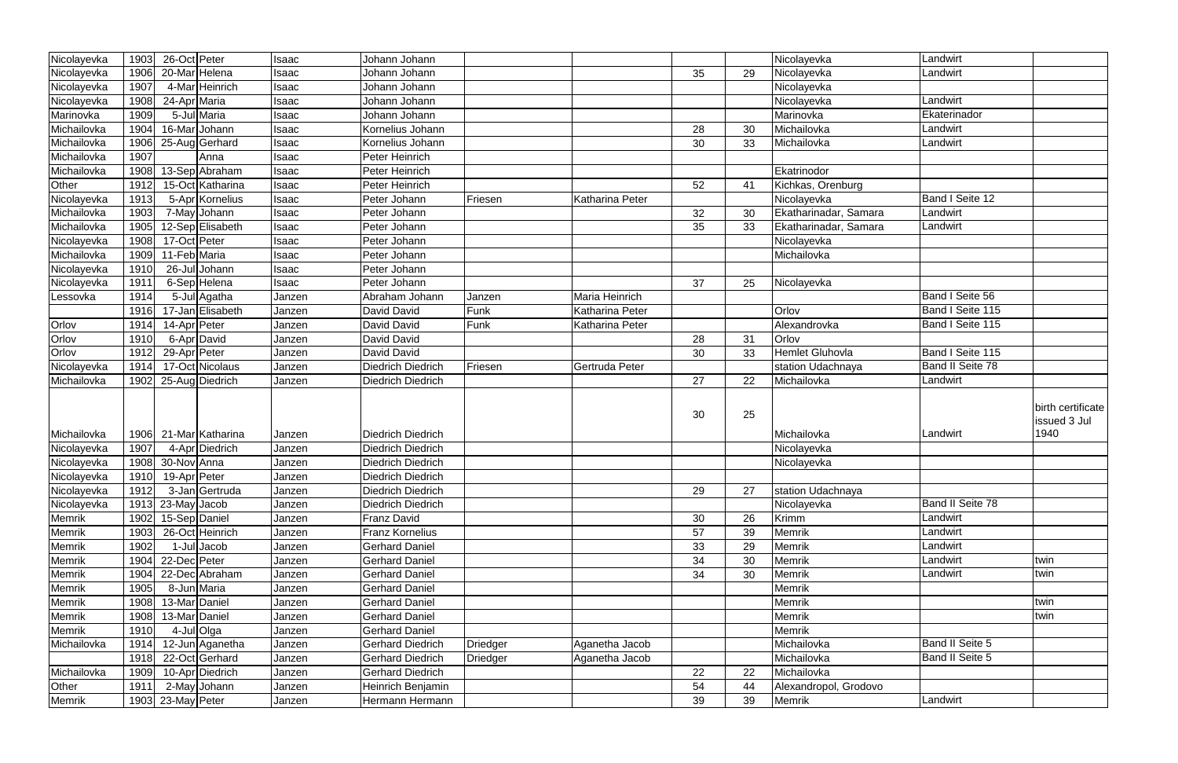| Nicolayevka | 1903 | 26-Oct Peter      |                  | Isaac  | Johann Johann            |                 |                 |    |    | Nicolayevka           | Landwirt                |                                           |
|-------------|------|-------------------|------------------|--------|--------------------------|-----------------|-----------------|----|----|-----------------------|-------------------------|-------------------------------------------|
| Nicolayevka | 1906 |                   | 20-Mar Helena    |        | Johann Johann            |                 |                 |    | 29 | Nicolayevka           | Landwirt                |                                           |
|             |      |                   | 4-Mar Heinrich   | Isaac  |                          |                 |                 | 35 |    |                       |                         |                                           |
| Nicolayevka | 1907 |                   |                  | Isaac  | Johann Johann            |                 |                 |    |    | Nicolayevka           |                         |                                           |
| Nicolayevka | 1908 | 24-Apr Maria      |                  | Isaac  | Johann Johann            |                 |                 |    |    | Nicolayevka           | Landwirt                |                                           |
| Marinovka   | 1909 |                   | 5-Jul Maria      | Isaac  | Johann Johann            |                 |                 |    |    | Marinovka             | Ekaterinador            |                                           |
| Michailovka | 1904 |                   | 16-Mar Johann    | Isaac  | Kornelius Johann         |                 |                 | 28 | 30 | Michailovka           | Landwirt                |                                           |
| Michailovka | 1906 |                   | 25-Aug Gerhard   | Isaac  | Kornelius Johann         |                 |                 | 30 | 33 | Michailovka           | Landwirt                |                                           |
| Michailovka | 1907 |                   | Anna             | Isaac  | Peter Heinrich           |                 |                 |    |    |                       |                         |                                           |
| Michailovka | 1908 |                   | 13-Sep Abraham   | Isaac  | Peter Heinrich           |                 |                 |    |    | Ekatrinodor           |                         |                                           |
| Other       | 1912 |                   | 15-Oct Katharina | Isaac  | Peter Heinrich           |                 |                 | 52 | 41 | Kichkas, Orenburg     |                         |                                           |
| Nicolayevka | 1913 |                   | 5-Apr Kornelius  | Isaac  | Peter Johann             | Friesen         | Katharina Peter |    |    | Nicolayevka           | Band I Seite 12         |                                           |
| Michailovka | 1903 |                   | 7-May Johann     | Isaac  | Peter Johann             |                 |                 | 32 | 30 | Ekatharinadar, Samara | Landwirt                |                                           |
| Michailovka | 1905 |                   | 12-Sep Elisabeth | Isaac  | Peter Johann             |                 |                 | 35 | 33 | Ekatharinadar, Samara | Landwirt                |                                           |
| Nicolayevka | 1908 | 17-Oct Peter      |                  | Isaac  | Peter Johann             |                 |                 |    |    | Nicolayevka           |                         |                                           |
| Michailovka | 1909 | 11-Feb Maria      |                  | Isaac  | Peter Johann             |                 |                 |    |    | Michailovka           |                         |                                           |
| Nicolayevka | 1910 |                   | 26-Jul Johann    | Isaac  | Peter Johann             |                 |                 |    |    |                       |                         |                                           |
| Nicolayevka | 1911 |                   | 6-Sep Helena     | Isaac  | Peter Johann             |                 |                 | 37 | 25 | Nicolayevka           |                         |                                           |
| Lessovka    | 1914 |                   | 5-Jul Agatha     | Janzen | Abraham Johann           | Janzen          | Maria Heinrich  |    |    |                       | Band I Seite 56         |                                           |
|             | 1916 |                   | 17-Jan Elisabeth | Janzen | David David              | Funk            | Katharina Peter |    |    | Orlov                 | Band I Seite 115        |                                           |
| Orlov       | 1914 | 14-Apr Peter      |                  | Janzen | David David              | Funk            | Katharina Peter |    |    | Alexandrovka          | Band I Seite 115        |                                           |
| Orlov       | 1910 |                   | 6-Apr David      | Janzen | David David              |                 |                 | 28 | 31 | Orlov                 |                         |                                           |
| Orlov       | 1912 | 29-Apr Peter      |                  | Janzen | David David              |                 |                 | 30 | 33 | Hemlet Gluhovla       | Band I Seite 115        |                                           |
| Nicolayevka | 1914 |                   | 17-Oct Nicolaus  | Janzen | <b>Diedrich Diedrich</b> | Friesen         | Gertruda Peter  |    |    | station Udachnaya     | <b>Band II Seite 78</b> |                                           |
| Michailovka | 1902 |                   | 25-Aug Diedrich  | Janzen | <b>Diedrich Diedrich</b> |                 |                 |    |    | Michailovka           | Landwirt                |                                           |
|             |      |                   |                  |        |                          |                 |                 | 27 | 22 |                       |                         |                                           |
| Michailovka | 1906 |                   | 21-Mar Katharina | Janzen | <b>Diedrich Diedrich</b> |                 |                 | 30 | 25 | Michailovka           | Landwirt                | birth certificate<br>issued 3 Jul<br>1940 |
| Nicolayevka | 1907 |                   | 4-Apr Diedrich   | Janzen | <b>Diedrich Diedrich</b> |                 |                 |    |    | Nicolayevka           |                         |                                           |
| Nicolayevka | 1908 | 30-Nov Anna       |                  | Janzen | Diedrich Diedrich        |                 |                 |    |    | Nicolayevka           |                         |                                           |
| Nicolayevka | 1910 | 19-Apr Peter      |                  | Janzen | Diedrich Diedrich        |                 |                 |    |    |                       |                         |                                           |
| Nicolayevka | 1912 |                   | 3-Jan Gertruda   | Janzen | <b>Diedrich Diedrich</b> |                 |                 | 29 | 27 | station Udachnaya     |                         |                                           |
| Nicolayevka | 1913 | 23-May Jacob      |                  | Janzen | <b>Diedrich Diedrich</b> |                 |                 |    |    | Nicolayevka           | <b>Band II Seite 78</b> |                                           |
| Memrik      | 1902 | 15-Sep Daniel     |                  | Janzen | Franz David              |                 |                 | 30 | 26 | <b>Krimm</b>          | Landwirt                |                                           |
| Memrik      | 1903 |                   | 26-Oct Heinrich  | Janzen | <b>Franz Kornelius</b>   |                 |                 | 57 | 39 | <b>Memrik</b>         | Landwirt                |                                           |
| Memrik      | 1902 |                   | 1-Jul Jacob      | Janzen | <b>Gerhard Daniel</b>    |                 |                 | 33 | 29 | <b>Memrik</b>         | Landwirt                |                                           |
| Memrik      | 1904 | 22-Dec Peter      |                  | Janzen | <b>Gerhard Daniel</b>    |                 |                 | 34 | 30 | Memrik                | Landwirt                | twin                                      |
| Memrik      | 1904 |                   | 22-Dec Abraham   | Janzen | <b>Gerhard Daniel</b>    |                 |                 | 34 | 30 | <b>Memrik</b>         | Landwirt                | twin                                      |
| Memrik      | 1905 |                   | 8-Jun Maria      | Janzen | <b>Gerhard Daniel</b>    |                 |                 |    |    | <b>Memrik</b>         |                         |                                           |
| Memrik      | 1908 | 13-Mar Daniel     |                  | Janzen | <b>Gerhard Daniel</b>    |                 |                 |    |    | Memrik                |                         | twin                                      |
| Memrik      | 1908 | 13-Mar Daniel     |                  | Janzen | <b>Gerhard Daniel</b>    |                 |                 |    |    | Memrik                |                         | twin                                      |
| Memrik      | 1910 |                   | 4-Jul Olga       | Janzen | <b>Gerhard Daniel</b>    |                 |                 |    |    | Memrik                |                         |                                           |
| Michailovka | 1914 |                   | 12-Jun Aganetha  | Janzen | <b>Gerhard Diedrich</b>  | <b>Driedger</b> | Aganetha Jacob  |    |    | Michailovka           | Band II Seite 5         |                                           |
|             | 1918 |                   | 22-Oct Gerhard   | Janzen | <b>Gerhard Diedrich</b>  | Driedger        | Aganetha Jacob  |    |    | Michailovka           | Band II Seite 5         |                                           |
| Michailovka | 1909 |                   | 10-Apr Diedrich  | Janzen | <b>Gerhard Diedrich</b>  |                 |                 | 22 | 22 | Michailovka           |                         |                                           |
| Other       | 1911 |                   | 2-May Johann     | Janzen | Heinrich Benjamin        |                 |                 | 54 | 44 | Alexandropol, Grodovo |                         |                                           |
|             |      |                   |                  |        |                          |                 |                 | 39 | 39 |                       | Landwirt                |                                           |
| Memrik      |      | 1903 23-May Peter |                  | Janzen | Hermann Hermann          |                 |                 |    |    | Memrik                |                         |                                           |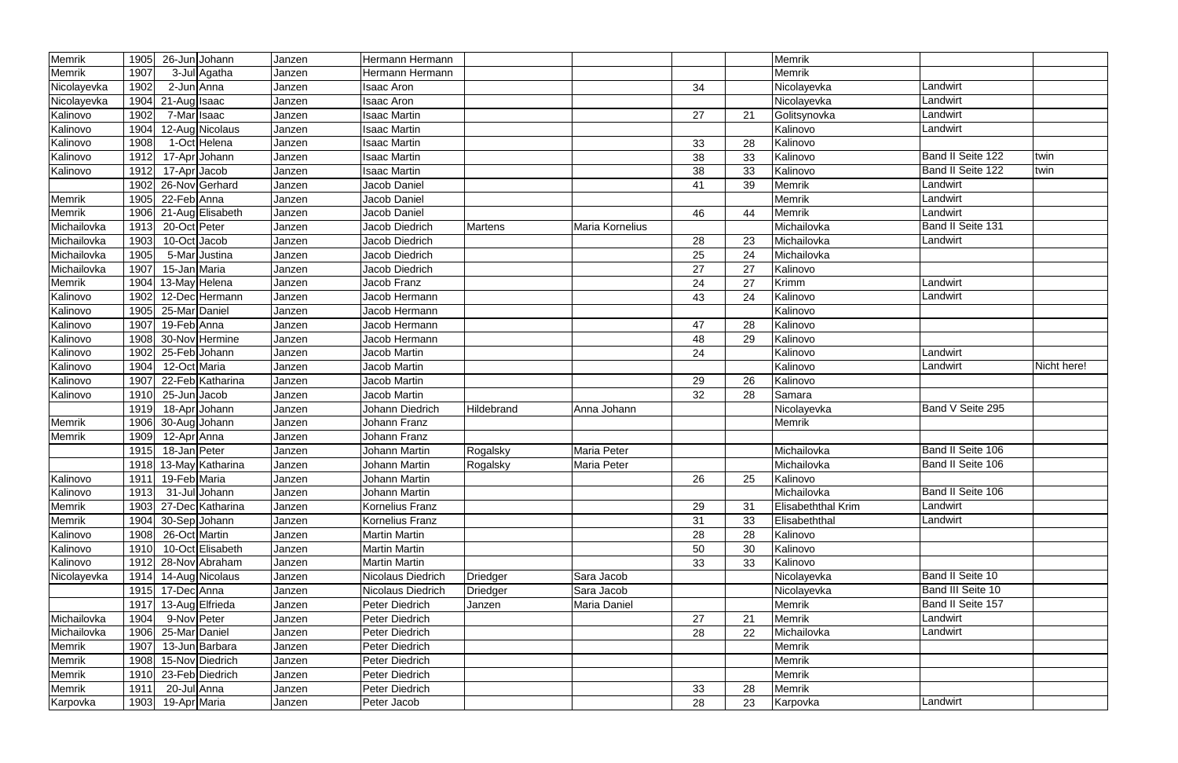| Memrik      | 1905 | 26-Jun Johann                  | Janzen | Hermann Hermann        |                |                    |    |    | Memrik                    |                   |             |
|-------------|------|--------------------------------|--------|------------------------|----------------|--------------------|----|----|---------------------------|-------------------|-------------|
| Memrik      | 1907 | 3-Jul Agatha                   | Janzen | Hermann Hermann        |                |                    |    |    | <b>Memrik</b>             |                   |             |
| Nicolayevka | 1902 | 2-Jun Anna                     | Janzen | Isaac Aron             |                |                    | 34 |    | Nicolayevka               | Landwirt          |             |
| Nicolayevka | 1904 | 21-Auglisaac                   | Janzen | Isaac Aron             |                |                    |    |    | Nicolayevka               | Landwirt          |             |
| Kalinovo    | 1902 | 7-Mar Isaac                    | Janzen | <b>Isaac Martin</b>    |                |                    | 27 | 21 | Golitsynovka              | Landwirt          |             |
| Kalinovo    | 1904 | 12-Aug Nicolaus                | Janzen | <b>Isaac Martin</b>    |                |                    |    |    | Kalinovo                  | Landwirt          |             |
| Kalinovo    | 1908 | 1-Oct Helena                   | Janzen | Isaac Martin           |                |                    | 33 | 28 | Kalinovo                  |                   |             |
| Kalinovo    | 1912 | 17-Apr Johann                  | Janzen | <b>Isaac Martin</b>    |                |                    | 38 | 33 | Kalinovo                  | Band II Seite 122 | twin        |
| Kalinovo    | 1912 | 17-Apr Jacob                   | Janzen | <b>Isaac Martin</b>    |                |                    | 38 | 33 | Kalinovo                  | Band II Seite 122 | twin        |
|             | 1902 | 26-Nov Gerhard                 | Janzen | Jacob Daniel           |                |                    | 41 | 39 | Memrik                    | Landwirt          |             |
| Memrik      | 1905 | 22-Feb Anna                    | Janzen | Jacob Daniel           |                |                    |    |    | Memrik                    | Landwirt          |             |
| Memrik      | 1906 | 21-Aug Elisabeth               | Janzen | Jacob Daniel           |                |                    | 46 | 44 | <b>Memrik</b>             | Landwirt          |             |
| Michailovka | 1913 | 20-Oct Peter                   | Janzen | Jacob Diedrich         | <b>Martens</b> | Maria Kornelius    |    |    | Michailovka               | Band II Seite 131 |             |
| Michailovka | 1903 | 10-Oct Jacob                   | Janzen | Jacob Diedrich         |                |                    | 28 | 23 | Michailovka               | Landwirt          |             |
| Michailovka | 1905 | 5-Mar Justina                  | Janzen | Jacob Diedrich         |                |                    | 25 | 24 | Michailovka               |                   |             |
| Michailovka | 1907 | 15-Jan Maria                   | Janzen | Jacob Diedrich         |                |                    | 27 | 27 | Kalinovo                  |                   |             |
| Memrik      | 1904 | 13-May Helena                  | Janzen | Jacob Franz            |                |                    | 24 | 27 | Krimm                     | Landwirt          |             |
| Kalinovo    | 1902 | 12-DecHermann                  | Janzen | Jacob Hermann          |                |                    | 43 | 24 | Kalinovo                  | Landwirt          |             |
| Kalinovo    | 1905 | 25-Mar Daniel                  | Janzen | Jacob Hermann          |                |                    |    |    | Kalinovo                  |                   |             |
| Kalinovo    | 1907 | 19-Feb Anna                    | Janzen | Jacob Hermann          |                |                    | 47 | 28 | Kalinovo                  |                   |             |
| Kalinovo    | 1908 | 30-Nov Hermine                 | Janzen | Jacob Hermann          |                |                    | 48 | 29 | Kalinovo                  |                   |             |
| Kalinovo    | 1902 | 25-Feb Johann                  | Janzen | Jacob Martin           |                |                    | 24 |    | Kalinovo                  | Landwirt          |             |
| Kalinovo    | 1904 | 12-Oct Maria                   | Janzen | Jacob Martin           |                |                    |    |    | Kalinovo                  | Landwirt          | Nicht here! |
| Kalinovo    | 1907 | $\overline{22}$ -Feb Katharina | Janzen | Jacob Martin           |                |                    | 29 | 26 | Kalinovo                  |                   |             |
| Kalinovo    | 1910 | 25-JunJacob                    | Janzen | Jacob Martin           |                |                    | 32 | 28 | Samara                    |                   |             |
|             | 1919 | 18-Apr Johann                  | Janzen | Johann Diedrich        | Hildebrand     | Anna Johann        |    |    | Nicolayevka               | Band V Seite 295  |             |
| Memrik      | 1906 | 30-Aug Johann                  | Janzen | Johann Franz           |                |                    |    |    | Memrik                    |                   |             |
| Memrik      | 1909 | 12-Apr Anna                    | Janzen | Johann Franz           |                |                    |    |    |                           |                   |             |
|             | 1915 | 18-Jan Peter                   | Janzen | <b>Johann Martin</b>   | Rogalsky       | <b>Maria Peter</b> |    |    | Michailovka               | Band II Seite 106 |             |
|             | 1918 | 13-May Katharina               | Janzen | Johann Martin          | Rogalsky       | Maria Peter        |    |    | Michailovka               | Band II Seite 106 |             |
| Kalinovo    |      | 1911 19-Feb Maria              | Janzen | Johann Martin          |                |                    | 26 | 25 | Kalinovo                  |                   |             |
| Kalinovo    | 1913 | 31-Jul Johann                  | Janzen | Johann Martin          |                |                    |    |    | Michailovka               | Band II Seite 106 |             |
| Memrik      | 1903 | $\overline{27}$ -Dec Katharina | Janzen | Kornelius Franz        |                |                    | 29 | 31 | <b>Elisabeththal Krim</b> | Landwirt          |             |
| Memrik      | 1904 | 30-Sep Johann                  | Janzen | <b>Kornelius Franz</b> |                |                    | 31 | 33 | Elisabeththal             | Landwirt          |             |
| Kalinovo    | 1908 | 26-Oct Martin                  | Janzen | <b>Martin Martin</b>   |                |                    | 28 | 28 | Kalinovo                  |                   |             |
| Kalinovo    | 1910 | 10-Oct Elisabeth               | Janzen | <b>Martin Martin</b>   |                |                    | 50 | 30 | Kalinovo                  |                   |             |
| Kalinovo    | 1912 | 28-Nov Abraham                 | Janzen | <b>Martin Martin</b>   |                |                    | 33 | 33 | Kalinovo                  |                   |             |
| Nicolayevka |      | 1914 14-Aug Nicolaus           | Janzen | Nicolaus Diedrich      | Driedger       | Sara Jacob         |    |    | Nicolayevka               | Band II Seite 10  |             |
|             |      | 1915 17-Dec Anna               | Janzen | Nicolaus Diedrich      | Driedger       | Sara Jacob         |    |    | Nicolayevka               | Band III Seite 10 |             |
|             | 1917 | 13-Aug Elfrieda                | Janzen | <b>Peter Diedrich</b>  | Janzen         | Maria Daniel       |    |    | <b>Memrik</b>             | Band II Seite 157 |             |
| Michailovka | 1904 | 9-Nov Peter                    | Janzen | Peter Diedrich         |                |                    | 27 | 21 | Memrik                    | Landwirt          |             |
| Michailovka | 1906 | 25-Mar Daniel                  | Janzen | Peter Diedrich         |                |                    | 28 | 22 | Michailovka               | Landwirt          |             |
| Memrik      | 1907 | 13-Jun Barbara                 | Janzen | Peter Diedrich         |                |                    |    |    | Memrik                    |                   |             |
| Memrik      | 1908 | 15-Nov Diedrich                | Janzen | <b>Peter Diedrich</b>  |                |                    |    |    | <b>Memrik</b>             |                   |             |
| Memrik      | 1910 | 23-Feb Diedrich                | Janzen | Peter Diedrich         |                |                    |    |    | <b>Memrik</b>             |                   |             |
| Memrik      | 1911 | 20-Jul Anna                    | Janzen | Peter Diedrich         |                |                    | 33 | 28 | Memrik                    |                   |             |
| Karpovka    |      | 1903 19-Apr Maria              | Janzen | Peter Jacob            |                |                    | 28 | 23 | Karpovka                  | Landwirt          |             |
|             |      |                                |        |                        |                |                    |    |    |                           |                   |             |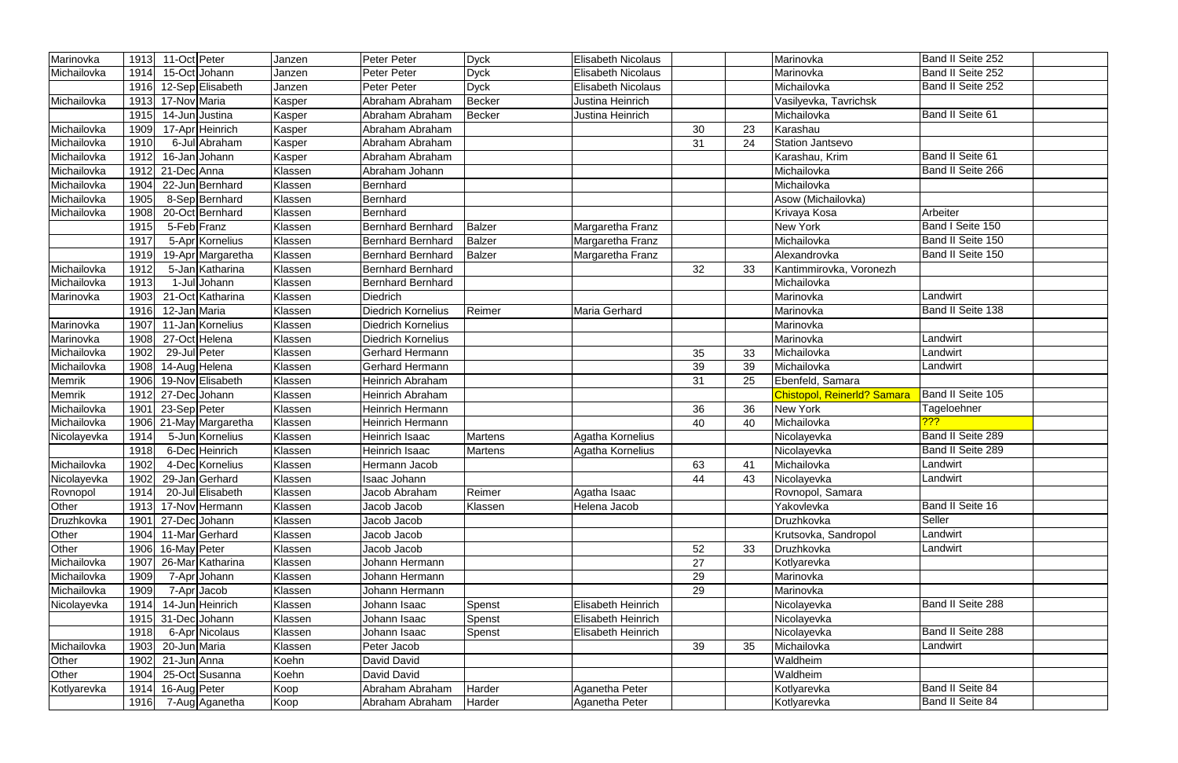| Marinovka   | 1913 | 11-Oct Peter  |                   | Janzen  | <b>Peter Peter</b>       | <b>Dyck</b>   | <b>Elisabeth Nicolaus</b> |    |    | Marinovka                   | Band II Seite 252       |
|-------------|------|---------------|-------------------|---------|--------------------------|---------------|---------------------------|----|----|-----------------------------|-------------------------|
| Michailovka | 1914 |               | 15-Oct Johann     | Janzen  | <b>Peter Peter</b>       | <b>Dyck</b>   | <b>Elisabeth Nicolaus</b> |    |    | Marinovka                   | Band II Seite 252       |
|             | 1916 |               | 12-Sep Elisabeth  | Janzen  | <b>Peter Peter</b>       | <b>Dyck</b>   | <b>Elisabeth Nicolaus</b> |    |    | Michailovka                 | Band II Seite 252       |
| Michailovka | 1913 | 17-Nov Maria  |                   | Kasper  | Abraham Abraham          | <b>Becker</b> | Justina Heinrich          |    |    | Vasilyevka, Tavrichsk       |                         |
|             | 1915 |               | 14-Jun Justina    | Kasper  | Abraham Abraham          | <b>Becker</b> | Justina Heinrich          |    |    | Michailovka                 | <b>Band II Seite 61</b> |
| Michailovka | 1909 |               | 17-Apr Heinrich   | Kasper  | Abraham Abraham          |               |                           | 30 | 23 | Karashau                    |                         |
| Michailovka | 1910 |               | 6-Jul Abraham     | Kasper  | Abraham Abraham          |               |                           | 31 | 24 | <b>Station Jantsevo</b>     |                         |
| Michailovka | 1912 |               | 16-Jan Johann     | Kasper  | Abraham Abraham          |               |                           |    |    | Karashau, Krim              | Band II Seite 61        |
| Michailovka | 1912 | 21-Dec Anna   |                   | Klassen | Abraham Johann           |               |                           |    |    | Michailovka                 | Band II Seite 266       |
| Michailovka | 1904 |               | 22-Jun Bernhard   | Klassen | <b>Bernhard</b>          |               |                           |    |    | Michailovka                 |                         |
| Michailovka | 1905 |               | 8-Sep Bernhard    | Klassen | Bernhard                 |               |                           |    |    | Asow (Michailovka)          |                         |
| Michailovka | 1908 |               | 20-Oct Bernhard   | Klassen | <b>Bernhard</b>          |               |                           |    |    | Krivaya Kosa                | Arbeiter                |
|             | 1915 | 5-Feb Franz   |                   | Klassen | <b>Bernhard Bernhard</b> | <b>Balzer</b> | Margaretha Franz          |    |    | New York                    | Band I Seite 150        |
|             | 1917 |               | 5-Apr Kornelius   | Klassen | <b>Bernhard Bernhard</b> | <b>Balzer</b> | Margaretha Franz          |    |    | Michailovka                 | Band II Seite 150       |
|             | 1919 |               | 19-Apr Margaretha | Klassen | <b>Bernhard Bernhard</b> | <b>Balzer</b> | Margaretha Franz          |    |    | Alexandrovka                | Band II Seite 150       |
| Michailovka | 1912 |               | 5-Jan Katharina   | Klassen | <b>Bernhard Bernhard</b> |               |                           | 32 | 33 | Kantimmirovka, Voronezh     |                         |
| Michailovka | 1913 |               | 1-Jul Johann      | Klassen | <b>Bernhard Bernhard</b> |               |                           |    |    | Michailovka                 |                         |
| Marinovka   | 1903 |               | 21-Oct Katharina  | Klassen | Diedrich                 |               |                           |    |    | Marinovka                   | Landwirt                |
|             | 1916 | 12-Jan Maria  |                   | Klassen | Diedrich Kornelius       | Reimer        | Maria Gerhard             |    |    | Marinovka                   | Band II Seite 138       |
| Marinovka   | 1907 |               | 11-Jan Kornelius  | Klassen | Diedrich Kornelius       |               |                           |    |    | Marinovka                   |                         |
| Marinovka   | 1908 |               | 27-Oct Helena     | Klassen | Diedrich Kornelius       |               |                           |    |    | Marinovka                   | Landwirt                |
| Michailovka | 1902 | 29-Jul Peter  |                   | Klassen | Gerhard Hermann          |               |                           | 35 | 33 | Michailovka                 | Landwirt                |
| Michailovka | 1908 | 14-Aug Helena |                   | Klassen | Gerhard Hermann          |               |                           | 39 | 39 | Michailovka                 | Landwirt                |
| Memrik      | 1906 |               | 19-Nov Elisabeth  | Klassen | Heinrich Abraham         |               |                           | 31 | 25 | Ebenfeld, Samara            |                         |
| Memrik      | 1912 | 27-DecJJohann |                   | Klassen | Heinrich Abraham         |               |                           |    |    | Chistopol, Reinerld? Samara | Band II Seite 105       |
| Michailovka | 1901 | 23-Sep Peter  |                   | Klassen | Heinrich Hermann         |               |                           | 36 | 36 | New York                    | Tageloehner             |
| Michailovka | 1906 |               | 21-May Margaretha | Klassen | Heinrich Hermann         |               |                           | 40 | 40 | Michailovka                 | 722                     |
| Nicolayevka | 1914 |               | 5-Jun Kornelius   | Klassen | Heinrich Isaac           | Martens       | Agatha Kornelius          |    |    | Nicolayevka                 | Band II Seite 289       |
|             | 1918 |               | 6-Dec Heinrich    | Klassen | Heinrich Isaac           | Martens       | Agatha Kornelius          |    |    | Nicolayevka                 | Band II Seite 289       |
| Michailovka | 1902 |               | 4-Dec Kornelius   | Klassen | Hermann Jacob            |               |                           | 63 | 41 | Michailovka                 | Landwirt                |
| Nicolayevka | 1902 |               | 29-Jan Gerhard    | Klassen | Isaac Johann             |               |                           | 44 | 43 | Nicolayevka                 | Landwirt                |
| Rovnopol    | 1914 |               | 20-Jul Elisabeth  | Klassen | Jacob Abraham            | Reimer        | Agatha Isaac              |    |    | Rovnopol, Samara            |                         |
| Other       | 1913 |               | 17-Nov Hermann    | Klassen | Jacob Jacob              | Klassen       | Helena Jacob              |    |    | Yakovlevka                  | <b>Band II Seite 16</b> |
| Druzhkovka  | 1901 | 27-Dec Johann |                   | Klassen | Jacob Jacob              |               |                           |    |    | Druzhkovka                  | Seller                  |
| Other       | 1904 |               | 11-MarGerhard     | Klassen | Jacob Jacob              |               |                           |    |    | Krutsovka, Sandropol        | Landwirt                |
| Other       | 1906 | 16-May Peter  |                   | Klassen | Jacob Jacob              |               |                           | 52 | 33 | Druzhkovka                  | Landwirt                |
| Michailovka | 1907 |               | 26-Mar Katharina  | Klassen | Johann Hermann           |               |                           | 27 |    | Kotlyarevka                 |                         |
| Michailovka | 1909 |               | 7-Apr Johann      | Klassen | Johann Hermann           |               |                           | 29 |    | Marinovka                   |                         |
| Michailovka | 1909 |               | 7-Apr Jacob       | Klassen | Johann Hermann           |               |                           | 29 |    | Marinovka                   |                         |
| Nicolayevka | 1914 |               | 14-Jun Heinrich   | Klassen | Johann Isaac             | Spenst        | Elisabeth Heinrich        |    |    | Nicolayevka                 | Band II Seite 288       |
|             | 1915 | 31-Dec Johann |                   | Klassen | Johann Isaac             | Spenst        | Elisabeth Heinrich        |    |    | Nicolayevka                 |                         |
|             | 1918 |               | 6-Apr Nicolaus    | Klassen | Johann Isaac             | Spenst        | <b>Elisabeth Heinrich</b> |    |    | Nicolayevka                 | Band II Seite 288       |
| Michailovka | 1903 | 20-Jun Maria  |                   | Klassen | Peter Jacob              |               |                           | 39 | 35 | Michailovka                 | Landwirt                |
| Other       | 1902 | 21-Jun Anna   |                   | Koehn   | David David              |               |                           |    |    | Waldheim                    |                         |
| Other       | 1904 |               | 25-Oct Susanna    | Koehn   | David David              |               |                           |    |    | Waldheim                    |                         |
| Kotlyarevka | 1914 | 16-Aug Peter  |                   | Koop    | Abraham Abraham          | Harder        | Aganetha Peter            |    |    | Kotlyarevka                 | Band II Seite 84        |
|             | 1916 |               | 7-Aug Aganetha    | Koop    | Abraham Abraham          | Harder        | Aganetha Peter            |    |    | Kotlyarevka                 | Band II Seite 84        |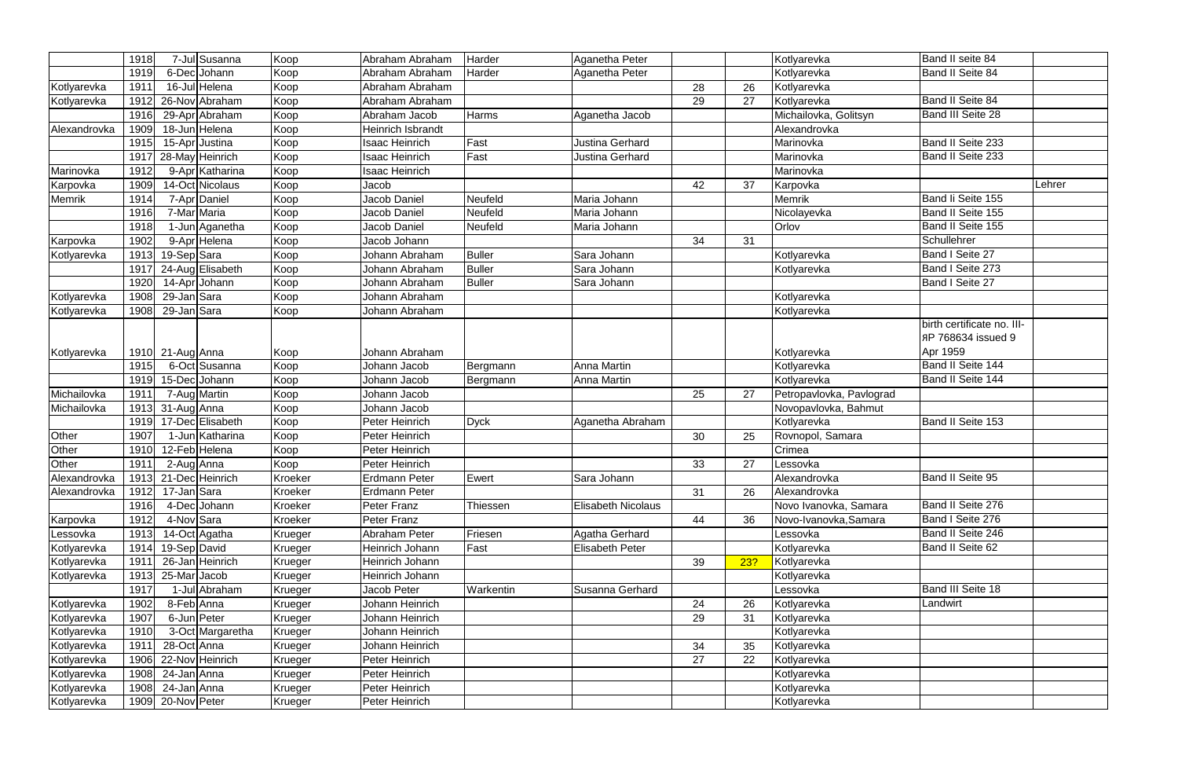|              | 1918 |                  | 7-Jul Susanna        | Koop    | Abraham Abraham       | Harder        | Aganetha Peter            |    |     | Kotlyarevka              | Band II seite 84                                             |        |
|--------------|------|------------------|----------------------|---------|-----------------------|---------------|---------------------------|----|-----|--------------------------|--------------------------------------------------------------|--------|
|              | 1919 |                  | 6-Dec Johann         | Koop    | Abraham Abraham       | Harder        | Aganetha Peter            |    |     | Kotlyarevka              | Band II Seite 84                                             |        |
| Kotlyarevka  | 1911 |                  | 16-Jul Helena        | Koop    | Abraham Abraham       |               |                           | 28 | 26  | Kotlyarevka              |                                                              |        |
| Kotlyarevka  | 1912 |                  | 26-Nov Abraham       | Koop    | Abraham Abraham       |               |                           | 29 | 27  | Kotlyarevka              | Band II Seite 84                                             |        |
|              | 1916 |                  | 29-Apr Abraham       | Koop    | Abraham Jacob         | Harms         | Aganetha Jacob            |    |     | Michailovka, Golitsyn    | <b>Band III Seite 28</b>                                     |        |
| Alexandrovka | 1909 |                  | 18-Jun Helena        | Koop    | Heinrich Isbrandt     |               |                           |    |     | Alexandrovka             |                                                              |        |
|              | 1915 |                  | 15-Apr Justina       | Koop    | <b>Isaac Heinrich</b> | Fast          | Justina Gerhard           |    |     | Marinovka                | Band II Seite 233                                            |        |
|              | 1917 |                  | 28-May Heinrich      | Koop    | <b>Isaac Heinrich</b> | Fast          | Justina Gerhard           |    |     | Marinovka                | Band II Seite 233                                            |        |
| Marinovka    | 1912 |                  | 9-Apr Katharina      | Koop    | <b>Isaac Heinrich</b> |               |                           |    |     | Marinovka                |                                                              |        |
| Karpovka     | 1909 |                  | 14-Oct Nicolaus      | Koop    | Jacob                 |               |                           | 42 | 37  | Karpovka                 |                                                              | Lehrer |
| Memrik       | 1914 |                  | 7-Apr Daniel         | Koop    | Jacob Daniel          | Neufeld       | Maria Johann              |    |     | Memrik                   | Band li Seite 155                                            |        |
|              | 1916 | 7-Mar Maria      |                      | Koop    | Jacob Daniel          | Neufeld       | Maria Johann              |    |     | Nicolayevka              | Band II Seite 155                                            |        |
|              | 1918 |                  | 1-Jun Aganetha       | Koop    | Jacob Daniel          | Neufeld       | Maria Johann              |    |     | Orlov                    | Band II Seite 155                                            |        |
| Karpovka     | 1902 |                  | 9-Apr Helena         | Koop    | Jacob Johann          |               |                           | 34 | 31  |                          | Schullehrer                                                  |        |
| Kotlyarevka  | 1913 | 19-Sep Sara      |                      | Koop    | Johann Abraham        | <b>Buller</b> | Sara Johann               |    |     | Kotlyarevka              | Band I Seite 27                                              |        |
|              | 1917 |                  | 24-Aug Elisabeth     | Koop    | Johann Abraham        | <b>Buller</b> | Sara Johann               |    |     | Kotlyarevka              | Band I Seite 273                                             |        |
|              | 1920 |                  | 14-Apr Johann        | Koop    | Johann Abraham        | <b>Buller</b> | Sara Johann               |    |     |                          | Band I Seite 27                                              |        |
| Kotlyarevka  | 1908 | 29-Jan Sara      |                      | Koop    | Johann Abraham        |               |                           |    |     | Kotlyarevka              |                                                              |        |
| Kotlyarevka  | 1908 | 29-Jan Sara      |                      | Koop    | Johann Abraham        |               |                           |    |     | Kotlyarevka              |                                                              |        |
| Kotlyarevka  |      | 1910 21-Aug Anna |                      | Koop    | Johann Abraham        |               |                           |    |     | Kotlyarevka              | birth certificate no. III-<br>AP 768634 issued 9<br>Apr 1959 |        |
|              | 1915 |                  | 6-Oct Susanna        | Koop    | Johann Jacob          | Bergmann      | Anna Martin               |    |     | Kotlyarevka              | Band II Seite 144                                            |        |
|              | 1919 |                  | 15-Dec Johann        | Koop    | Johann Jacob          | Bergmann      | <b>Anna Martin</b>        |    |     | Kotlyarevka              | Band II Seite 144                                            |        |
| Michailovka  | 1911 |                  | 7-Aug Martin         | Koop    | Johann Jacob          |               |                           | 25 | 27  | Petropavlovka, Pavlograd |                                                              |        |
| Michailovka  | 1913 | 31-Aug Anna      |                      | Koop    | Johann Jacob          |               |                           |    |     | Novopavlovka, Bahmut     |                                                              |        |
|              | 1919 |                  | 17-Dec Elisabeth     | Koop    | Peter Heinrich        | <b>Dyck</b>   | Aganetha Abraham          |    |     | Kotlyarevka              | Band II Seite 153                                            |        |
| Other        | 1907 | 1-Jun            | Katharina            | Koop    | Peter Heinrich        |               |                           | 30 | 25  | Rovnopol, Samara         |                                                              |        |
| Other        | 1910 |                  | 12-Feb Helena        | Koop    | Peter Heinrich        |               |                           |    |     | Crimea                   |                                                              |        |
| Other        | 1911 | 2-Aug Anna       |                      | Koop    | Peter Heinrich        |               |                           | 33 | 27  | Lessovka                 |                                                              |        |
| Alexandrovka |      |                  | 1913 21-Dec Heinrich | Kroeker | Erdmann Peter         | Ewert         | Sara Johann               |    |     | Alexandrovka             | <b>Band II Seite 95</b>                                      |        |
| Alexandrovka | 1912 | 17-Jan Sara      |                      | Kroeker | Erdmann Peter         |               |                           | 31 | 26  | Alexandrovka             |                                                              |        |
|              | 1916 |                  | 4-Dec Johann         | Kroeker | Peter Franz           | Thiessen      | <b>Elisabeth Nicolaus</b> |    |     | Novo Ivanovka, Samara    | Band II Seite 276                                            |        |
| Karpovka     | 1912 | 4-Nov Sara       |                      | Kroeker | Peter Franz           |               |                           | 44 | 36  | Novo-Ivanovka, Samara    | Band I Seite 276                                             |        |
| Lessovka     | 1913 |                  | 14-Oct Agatha        | Krueger | Abraham Peter         | Friesen       | Agatha Gerhard            |    |     | Lessovka                 | Band II Seite 246                                            |        |
| Kotlyarevka  | 1914 | 19-Sep David     |                      | Krueger | Heinrich Johann       | Fast          | <b>Elisabeth Peter</b>    |    |     | Kotlyarevka              | Band II Seite 62                                             |        |
| Kotlyarevka  | 1911 |                  | 26-Jan Heinrich      | Krueger | Heinrich Johann       |               |                           | 39 | 23? | Kotlyarevka              |                                                              |        |
| Kotlyarevka  | 1913 | 25-Mar Jacob     |                      | Krueger | Heinrich Johann       |               |                           |    |     | Kotlyarevka              |                                                              |        |
|              | 1917 |                  | 1-Jul Abraham        | Krueger | Jacob Peter           | Warkentin     | Susanna Gerhard           |    |     | Lessovka                 | Band III Seite 18                                            |        |
| Kotlyarevka  | 1902 | 8-Feb Anna       |                      | Krueger | Johann Heinrich       |               |                           | 24 | 26  | Kotlyarevka              | Landwirt                                                     |        |
| Kotlyarevka  | 1907 | 6-Jun Peter      |                      | Krueger | Johann Heinrich       |               |                           | 29 | 31  | Kotlyarevka              |                                                              |        |
| Kotlyarevka  | 1910 |                  | 3-Oct Margaretha     | Krueger | Johann Heinrich       |               |                           |    |     | Kotlyarevka              |                                                              |        |
| Kotlyarevka  | 1911 | 28-Oct Anna      |                      | Krueger | Johann Heinrich       |               |                           | 34 | 35  | Kotlyarevka              |                                                              |        |
| Kotlyarevka  | 1906 |                  | 22-Nov Heinrich      | Krueger | Peter Heinrich        |               |                           | 27 | 22  | Kotlyarevka              |                                                              |        |
| Kotlyarevka  | 1908 | 24-Jan Anna      |                      | Krueger | Peter Heinrich        |               |                           |    |     | Kotlyarevka              |                                                              |        |
| Kotlyarevka  | 1908 | 24-Jan Anna      |                      | Krueger | Peter Heinrich        |               |                           |    |     | Kotlyarevka              |                                                              |        |
| Kotlyarevka  | 1909 | 20-Nov Peter     |                      | Krueger | Peter Heinrich        |               |                           |    |     | Kotlyarevka              |                                                              |        |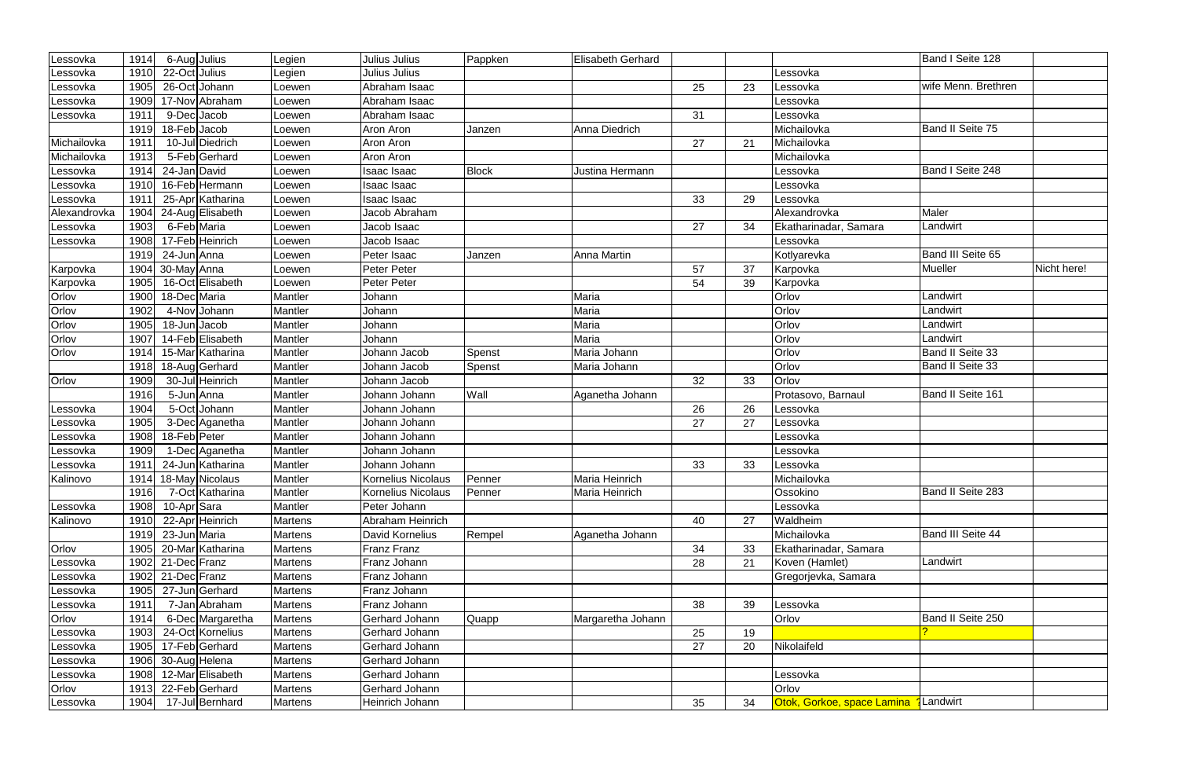| Lessovka        | 1914 | 6-Aug Julius      |                                | Legien         | Julius Julius      | Pappken      | <b>Elisabeth Gerhard</b> |    |    |                                              | Band I Seite 128    |             |
|-----------------|------|-------------------|--------------------------------|----------------|--------------------|--------------|--------------------------|----|----|----------------------------------------------|---------------------|-------------|
| _essovka        | 1910 | 22-Oct Julius     |                                | Legien         | Julius Julius      |              |                          |    |    | Lessovka                                     |                     |             |
| .essovka        | 1905 |                   | 26-Oct Johann                  | Loewen         | Abraham Isaac      |              |                          | 25 | 23 | Lessovka                                     | wife Menn. Brethren |             |
| Lessovka        | 1909 |                   | 17-Nov Abraham                 | Loewen         | Abraham Isaac      |              |                          |    |    | Lessovka                                     |                     |             |
| Lessovka        | 1911 | 9-DecJacob        |                                | Loewen         | Abraham Isaac      |              |                          | 31 |    | Lessovka                                     |                     |             |
|                 | 1919 | 18-Feb Jacob      |                                | Loewen         | Aron Aron          | Janzen       | Anna Diedrich            |    |    | Michailovka                                  | Band II Seite 75    |             |
| Michailovka     | 1911 |                   | 10-Jul Diedrich                | Loewen         | Aron Aron          |              |                          | 27 | 21 | Michailovka                                  |                     |             |
| Michailovka     | 1913 |                   | 5-Feb Gerhard                  | Loewen         | Aron Aron          |              |                          |    |    | Michailovka                                  |                     |             |
| .essovka        | 1914 | 24-Jan David      |                                | Loewen         | Isaac Isaac        | <b>Block</b> | Justina Hermann          |    |    | _essovka                                     | Band I Seite 248    |             |
| _essovka        | 1910 |                   | 16-Feb Hermann                 | _oewen         | Isaac Isaac        |              |                          |    |    | Lessovka                                     |                     |             |
| Lessovka        | 1911 |                   | 25-Apr Katharina               | Loewen         | Isaac Isaac        |              |                          | 33 | 29 | Lessovka                                     |                     |             |
| Alexandrovka    | 1904 |                   | $\overline{24}$ -Aug Elisabeth | Loewen         | Jacob Abraham      |              |                          |    |    | Alexandrovka                                 | Maler               |             |
| _essovka        | 1903 | 6-Feb Maria       |                                | Loewen         | Jacob Isaac        |              |                          | 27 | 34 | Ekatharinadar, Samara                        | Landwirt            |             |
| Lessovka        | 1908 |                   | 17-Feb Heinrich                | _oewen         | Jacob Isaac        |              |                          |    |    | Lessovka                                     |                     |             |
|                 | 1919 | 24-Jun Anna       |                                | Loewen         | Peter Isaac        | Janzen       | <b>Anna Martin</b>       |    |    | Kotlyarevka                                  | Band III Seite 65   |             |
| Karpovka        | 1904 | 30-May Anna       |                                | Loewen         | <b>Peter Peter</b> |              |                          | 57 | 37 | Karpovka                                     | Mueller             | Nicht here! |
| Karpovka        | 1905 |                   | 16-Oct Elisabeth               | Loewen         | Peter Peter        |              |                          | 54 | 39 | Karpovka                                     |                     |             |
| Orlov           | 1900 | 18-Dec Maria      |                                | Mantler        | Johann             |              | Maria                    |    |    | Orlov                                        | Landwirt            |             |
| Orlov           | 1902 |                   | 4-Nov Johann                   | Mantler        | Johann             |              | Maria                    |    |    | Orlov                                        | Landwirt            |             |
| Orlov           | 1905 | 18-Jun Jacob      |                                | Mantler        | Johann             |              | Maria                    |    |    | Orlov                                        | Landwirt            |             |
| Orlov           | 1907 |                   | 14-Feb Elisabeth               | Mantler        | Johann             |              | Maria                    |    |    | Orlov                                        | Landwirt            |             |
| Orlov           | 1914 |                   | 15-Mar Katharina               | Mantler        | Johann Jacob       | Spenst       | Maria Johann             |    |    | Orlov                                        | Band II Seite 33    |             |
|                 | 1918 |                   | 18-Aug Gerhard                 | Mantler        | Johann Jacob       | Spenst       | Maria Johann             |    |    | Orlov                                        | Band II Seite 33    |             |
| Orlov           | 1909 |                   | 30-Jul Heinrich                | Mantler        | Johann Jacob       |              |                          | 32 | 33 | Orlov                                        |                     |             |
|                 | 1916 | 5-Jun Anna        |                                | Mantler        | Johann Johann      | Wall         | Aganetha Johann          |    |    | Protasovo, Barnaul                           | Band II Seite 161   |             |
| Lessovka        | 1904 |                   | 5-Oct Johann                   | Mantler        | Johann Johann      |              |                          | 26 | 26 | Lessovka                                     |                     |             |
| Lessovka        | 1905 |                   | 3-Dec Aganetha                 | Mantler        | Johann Johann      |              |                          | 27 | 27 | Lessovka                                     |                     |             |
| .essovka        | 1908 | 18-Feb Peter      |                                | Mantler        | Johann Johann      |              |                          |    |    | _essovka                                     |                     |             |
| Lessovka        | 1909 |                   | 1-Dec Aganetha                 | Mantler        | Johann Johann      |              |                          |    |    | Lessovka                                     |                     |             |
| Lessovka        | 1911 |                   | 24-Jun Katharina               | Mantler        | Johann Johann      |              |                          | 33 | 33 | Lessovka                                     |                     |             |
| Kalinovo        |      |                   | 1914 18-May Nicolaus           | Mantler        | Kornelius Nicolaus | Penner       | Maria Heinrich           |    |    | Michailovka                                  |                     |             |
|                 | 1916 |                   | 7-Oct Katharina                | Mantler        | Kornelius Nicolaus | Penner       | Maria Heinrich           |    |    | Ossokino                                     | Band II Seite 283   |             |
| Lessovka        | 1908 | 10-Apr Sara       |                                | Mantler        | Peter Johann       |              |                          |    |    | Lessovka                                     |                     |             |
| Kalinovo        | 1910 |                   | 22-Apr Heinrich                | <b>Martens</b> | Abraham Heinrich   |              |                          | 40 | 27 | Waldheim                                     |                     |             |
|                 | 1919 | 23-Jun Maria      |                                | <b>Martens</b> | David Kornelius    | Rempel       | Aganetha Johann          |    |    | Michailovka                                  | Band III Seite 44   |             |
| Orlov           | 1905 |                   | 20-Mar Katharina               | <b>Martens</b> | Franz Franz        |              |                          | 34 | 33 | Ekatharinadar, Samara                        |                     |             |
| Lessovka        | 1902 | 21-Dec Franz      |                                | <b>Martens</b> | Franz Johann       |              |                          | 28 | 21 | Koven (Hamlet)                               | Landwirt            |             |
| Lessovka        |      | 1902 21-Dec Franz |                                | Martens        | Franz Johann       |              |                          |    |    | Gregorjevka, Samara                          |                     |             |
| Lessovka        | 1905 |                   | 27-Jun Gerhard                 | <b>Martens</b> | Franz Johann       |              |                          |    |    |                                              |                     |             |
| Lessovka        | 1911 |                   | 7-Jan Abraham                  | <b>Martens</b> | Franz Johann       |              |                          | 38 | 39 | Lessovka                                     |                     |             |
| Orlov           | 1914 |                   | 6-Dec Margaretha               | Martens        | Gerhard Johann     | Quapp        | Margaretha Johann        |    |    | Orlov                                        | Band II Seite 250   |             |
| <b>Lessovka</b> | 1903 |                   | 24-Oct Kornelius               | <b>Martens</b> | Gerhard Johann     |              |                          | 25 | 19 |                                              |                     |             |
| Lessovka        | 1905 |                   | 17-Feb Gerhard                 | <b>Martens</b> | Gerhard Johann     |              |                          | 27 | 20 | Nikolaifeld                                  |                     |             |
| Lessovka        | 1906 | 30-Aug Helena     |                                | Martens        | Gerhard Johann     |              |                          |    |    |                                              |                     |             |
| Lessovka        | 1908 |                   | 12-Mar Elisabeth               | Martens        | Gerhard Johann     |              |                          |    |    | Lessovka                                     |                     |             |
| Orlov           | 1913 |                   | 22-Feb Gerhard                 | <b>Martens</b> | Gerhard Johann     |              |                          |    |    | Orlov                                        |                     |             |
| Lessovka        | 1904 |                   | 17-Jul Bernhard                | Martens        | Heinrich Johann    |              |                          | 35 | 34 | <b>Otok, Gorkoe, space Lamina 1</b> Landwirt |                     |             |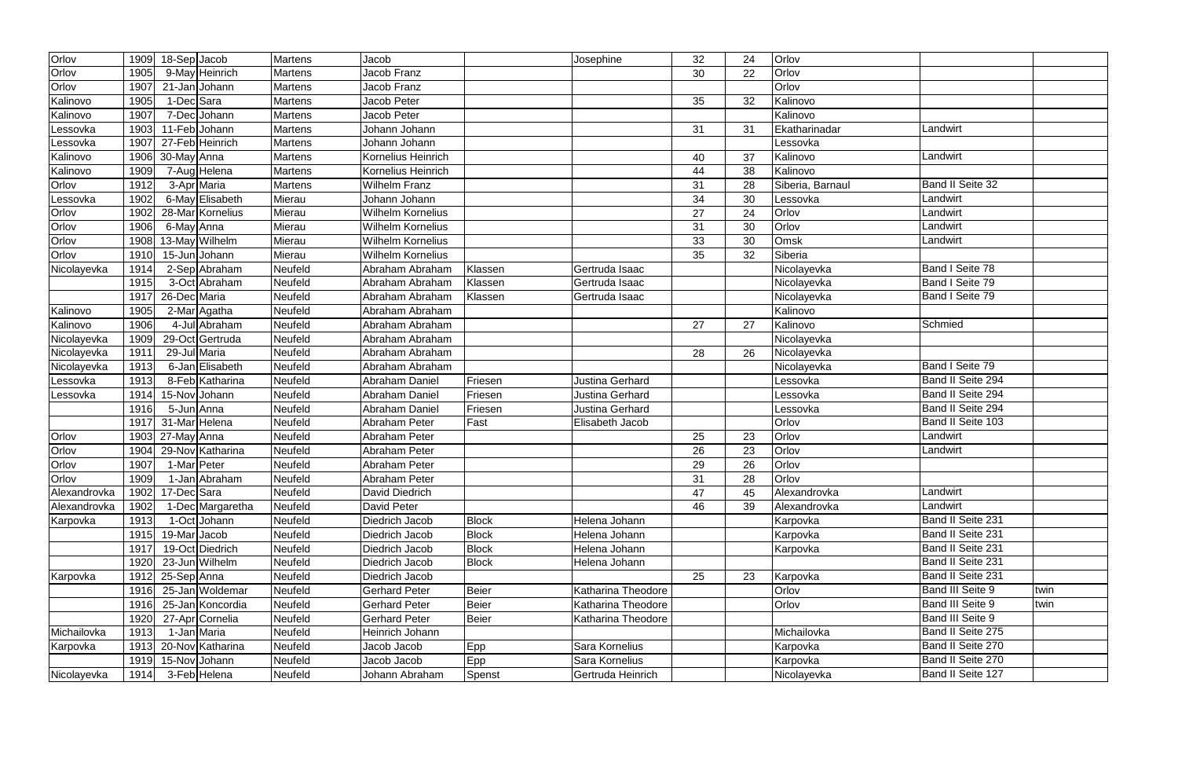| Orlov        | 1909 | 18-Sep Jacob     |                  | <b>Martens</b> | Jacob                    |              | Josephine          | 32 | 24 | Orlov            |                   |      |
|--------------|------|------------------|------------------|----------------|--------------------------|--------------|--------------------|----|----|------------------|-------------------|------|
| Orlov        | 1905 | 9-May Heinrich   |                  | <b>Martens</b> | Jacob Franz              |              |                    | 30 | 22 | Orlov            |                   |      |
| Orlov        | 1907 | 21-Jan Johann    |                  | Martens        | Jacob Franz              |              |                    |    |    | Orlov            |                   |      |
| Kalinovo     | 1905 | 1-DecSara        |                  | Martens        | Jacob Peter              |              |                    | 35 | 32 | Kalinovo         |                   |      |
| Kalinovo     | 1907 | 7-Dec Johann     |                  | <b>Martens</b> | Jacob Peter              |              |                    |    |    | Kalinovo         |                   |      |
| Lessovka     | 1903 | 11-Feb Johann    |                  | <b>Martens</b> | Johann Johann            |              |                    | 31 | 31 | Ekatharinadar    | Landwirt          |      |
| Lessovka     | 1907 | 27-Feb Heinrich  |                  | Martens        | Johann Johann            |              |                    |    |    | Lessovka         |                   |      |
| Kalinovo     | 1906 | 30-May Anna      |                  | Martens        | Kornelius Heinrich       |              |                    | 40 | 37 | Kalinovo         | Landwirt          |      |
| Kalinovo     | 1909 | 7-Aug Helena     |                  | Martens        | Kornelius Heinrich       |              |                    | 44 | 38 | Kalinovo         |                   |      |
| Orlov        | 1912 | 3-Apr Maria      |                  | Martens        | Wilhelm Franz            |              |                    | 31 | 28 | Siberia, Barnaul | Band II Seite 32  |      |
| Lessovka     | 1902 | 6-May Elisabeth  |                  | Mierau         | Johann Johann            |              |                    | 34 | 30 | Lessovka         | Landwirt          |      |
| Orlov        | 1902 | 28-Mar Kornelius |                  | Mierau         | Wilhelm Kornelius        |              |                    | 27 | 24 | Orlov            | Landwirt          |      |
| Orlov        | 1906 | 6-May Anna       |                  | Mierau         | Wilhelm Kornelius        |              |                    | 31 | 30 | Orlov            | Landwirt          |      |
| Orlov        | 1908 | 13-May Wilhelm   |                  | Mierau         | <b>Wilhelm Kornelius</b> |              |                    | 33 | 30 | Omsk             | Landwirt          |      |
| Orlov        | 1910 | 15-JunJJohann    |                  | Mierau         | <b>Wilhelm Kornelius</b> |              |                    | 35 | 32 | Siberia          |                   |      |
| Nicolayevka  | 1914 | 2-Sep Abraham    |                  | Neufeld        | Abraham Abraham          | Klassen      | Gertruda Isaac     |    |    | Nicolayevka      | Band I Seite 78   |      |
|              | 1915 |                  | 3-Oct Abraham    | Neufeld        | Abraham Abraham          | Klassen      | Gertruda Isaac     |    |    | Nicolayevka      | Band I Seite 79   |      |
|              | 1917 | 26-Dec Maria     |                  | Neufeld        | Abraham Abraham          | Klassen      | Gertruda Isaac     |    |    | Nicolayevka      | Band I Seite 79   |      |
| Kalinovo     | 1905 | 2-Mar Agatha     |                  | Neufeld        | Abraham Abraham          |              |                    |    |    | Kalinovo         |                   |      |
| Kalinovo     | 1906 |                  | 4-Jul Abraham    | Neufeld        | Abraham Abraham          |              |                    | 27 | 27 | Kalinovo         | Schmied           |      |
| Nicolayevka  | 1909 | 29-Oct Gertruda  |                  | Neufeld        | Abraham Abraham          |              |                    |    |    | Nicolayevka      |                   |      |
| Nicolayevka  | 1911 | 29-Jul Maria     |                  | Neufeld        | Abraham Abraham          |              |                    | 28 | 26 | Nicolayevka      |                   |      |
| Nicolayevka  | 1913 |                  | 6-Jan Elisabeth  | Neufeld        | Abraham Abraham          |              |                    |    |    | Nicolayevka      | Band I Seite 79   |      |
| _essovka     | 1913 |                  | 8-Feb Katharina  | Neufeld        | Abraham Daniel           | Friesen      | Justina Gerhard    |    |    | Lessovka         | Band II Seite 294 |      |
| Lessovka     | 1914 | 15-Nov Johann    |                  | Neufeld        | Abraham Daniel           | Friesen      | Justina Gerhard    |    |    | Lessovka         | Band II Seite 294 |      |
|              | 1916 | 5-Jun Anna       |                  | Neufeld        | Abraham Daniel           | Friesen      | Justina Gerhard    |    |    | Lessovka         | Band II Seite 294 |      |
|              | 1917 | 31-Mar Helena    |                  | Neufeld        | Abraham Peter            | Fast         | Elisabeth Jacob    |    |    | Orlov            | Band II Seite 103 |      |
| Orlov        | 1903 | 27-May Anna      |                  | Neufeld        | Abraham Peter            |              |                    | 25 | 23 | Orlov            | Landwirt          |      |
| Orlov        | 1904 | 29-Nov Katharina |                  | Neufeld        | Abraham Peter            |              |                    | 26 | 23 | Orlov            | Landwirt          |      |
| Orlov        | 1907 | 1-Mar Peter      |                  | Neufeld        | Abraham Peter            |              |                    | 29 | 26 | Orlov            |                   |      |
| Orlov        | 1909 |                  | 1-Jan Abraham    | Neufeld        | Abraham Peter            |              |                    | 31 | 28 | Orlov            |                   |      |
| Alexandrovka | 1902 | 17-DecSara       |                  | Neufeld        | David Diedrich           |              |                    | 47 | 45 | Alexandrovka     | Landwirt          |      |
| Alexandrovka | 1902 |                  | 1-Dec Margaretha | Neufeld        | David Peter              |              |                    | 46 | 39 | Alexandrovka     | Landwirt          |      |
| Karpovka     | 1913 | 1-Oct Johann     |                  | Neufeld        | <b>Diedrich Jacob</b>    | <b>Block</b> | Helena Johann      |    |    | Karpovka         | Band II Seite 231 |      |
|              | 1915 | 19-Mar Jacob     |                  | Neufeld        | Diedrich Jacob           | <b>Block</b> | Helena Johann      |    |    | Karpovka         | Band II Seite 231 |      |
|              | 1917 | 19-Oct Diedrich  |                  | Neufeld        | Diedrich Jacob           | <b>Block</b> | Helena Johann      |    |    | Karpovka         | Band II Seite 231 |      |
|              | 1920 | 23-Jun Wilhelm   |                  | Neufeld        | Diedrich Jacob           | <b>Block</b> | Helena Johann      |    |    |                  | Band II Seite 231 |      |
| Karpovka     | 1912 | 25-Sep Anna      |                  | Neufeld        | Diedrich Jacob           |              |                    | 25 | 23 | Karpovka         | Band II Seite 231 |      |
|              | 1916 | 25-Jan Woldemar  |                  | Neufeld        | <b>Gerhard Peter</b>     | <b>Beier</b> | Katharina Theodore |    |    | Orlov            | Band III Seite 9  | twin |
|              | 1916 | 25-Jan Koncordia |                  | Neufeld        | <b>Gerhard Peter</b>     | <b>Beier</b> | Katharina Theodore |    |    | Orlov            | Band III Seite 9  | twin |
|              | 1920 | 27-Apr Cornelia  |                  | Neufeld        | Gerhard Peter            | <b>Beier</b> | Katharina Theodore |    |    |                  | Band III Seite 9  |      |
| Michailovka  | 1913 | 1-Jan Maria      |                  | Neufeld        | Heinrich Johann          |              |                    |    |    | Michailovka      | Band II Seite 275 |      |
| Karpovka     | 1913 | 20-Nov Katharina |                  | Neufeld        | Jacob Jacob              | Epp          | Sara Kornelius     |    |    | Karpovka         | Band II Seite 270 |      |
|              | 1919 | 15-Nov Johann    |                  | Neufeld        | Jacob Jacob              | Epp          | Sara Kornelius     |    |    | Karpovka         | Band II Seite 270 |      |
| Nicolayevka  | 1914 | 3-Feb Helena     |                  | Neufeld        | Johann Abraham           | Spenst       | Gertruda Heinrich  |    |    | Nicolayevka      | Band II Seite 127 |      |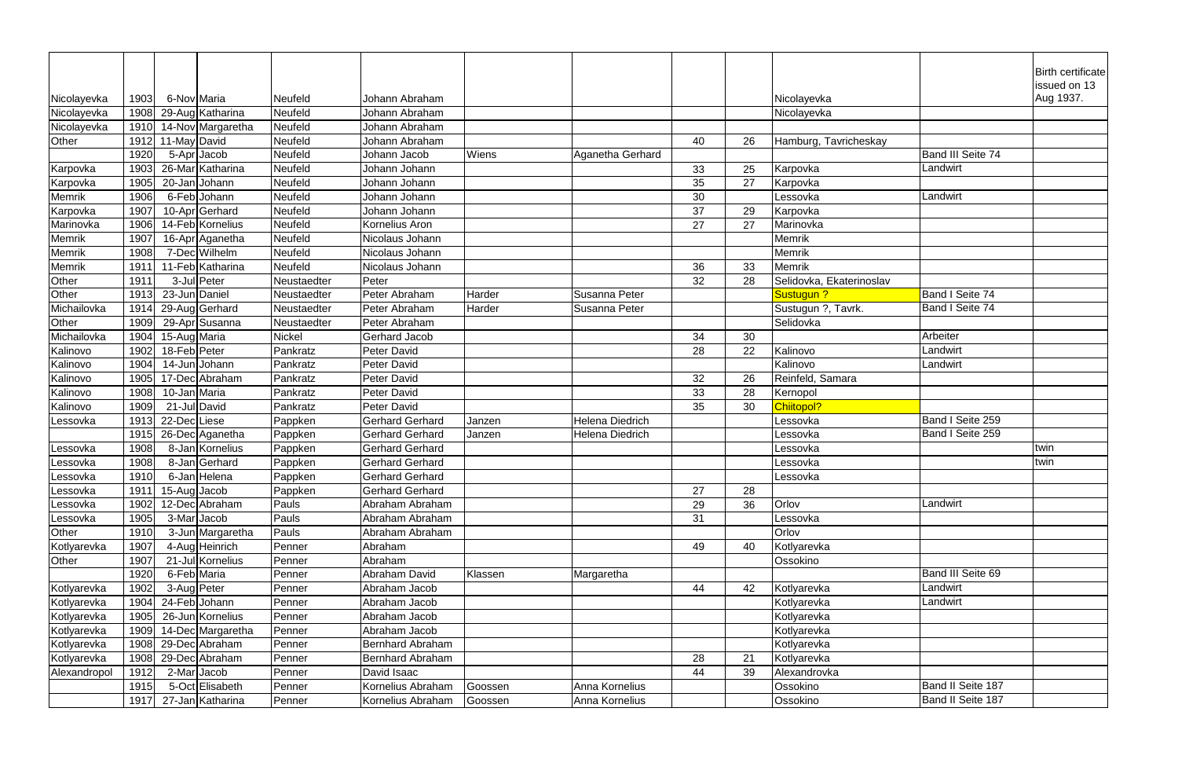|               |      |               |                                |               |                         |         |                        |    |    |                          |                   | Birth certificate |
|---------------|------|---------------|--------------------------------|---------------|-------------------------|---------|------------------------|----|----|--------------------------|-------------------|-------------------|
|               |      |               |                                |               |                         |         |                        |    |    |                          |                   | issued on 13      |
| Nicolayevka   | 1903 | 6-Nov Maria   |                                | Neufeld       | Johann Abraham          |         |                        |    |    | Nicolayevka              |                   | Aug 1937.         |
| Nicolayevka   | 1908 |               | 29-Aug Katharina               | Neufeld       | Johann Abraham          |         |                        |    |    | Nicolayevka              |                   |                   |
| Nicolayevka   | 1910 |               | 14-Nov Margaretha              | Neufeld       | Johann Abraham          |         |                        |    |    |                          |                   |                   |
| Other         | 1912 | 11-May David  |                                | Neufeld       | Johann Abraham          |         |                        | 40 | 26 | Hamburg, Tavricheskay    |                   |                   |
|               | 1920 |               | 5-Apr Jacob                    | Neufeld       | Johann Jacob            | Wiens   | Aganetha Gerhard       |    |    |                          | Band III Seite 74 |                   |
| Karpovka      | 1903 |               | 26-Mar Katharina               | Neufeld       | Johann Johann           |         |                        | 33 | 25 | Karpovka                 | Landwirt          |                   |
| Karpovka      | 1905 |               | 20-JanJJohann                  | Neufeld       | Johann Johann           |         |                        | 35 | 27 | Karpovka                 |                   |                   |
| Memrik        | 1906 |               | 6-Feb Johann                   | Neufeld       | Johann Johann           |         |                        | 30 |    | Lessovka                 | Landwirt          |                   |
| Karpovka      | 1907 |               | 10-Apr Gerhard                 | Neufeld       | Johann Johann           |         |                        | 37 | 29 | Karpovka                 |                   |                   |
| Marinovka     | 1906 |               | 14-Feb Kornelius               | Neufeld       | Kornelius Aron          |         |                        | 27 | 27 | Marinovka                |                   |                   |
| Memrik        | 1907 |               | 16-Apr Aganetha                | Neufeld       | Nicolaus Johann         |         |                        |    |    | Memrik                   |                   |                   |
| <b>Memrik</b> | 1908 |               | 7-Dec Wilhelm                  | Neufeld       | Nicolaus Johann         |         |                        |    |    | Memrik                   |                   |                   |
| Memrik        | 1911 |               | 11-Feb Katharina               | Neufeld       | Nicolaus Johann         |         |                        | 36 | 33 | <b>Memrik</b>            |                   |                   |
| Other         | 1911 |               | 3-Jul Peter                    | Neustaedter   | Peter                   |         |                        | 32 | 28 | Selidovka, Ekaterinoslav |                   |                   |
| Other         | 1913 | 23-Jun Daniel |                                | Neustaedter   | Peter Abraham           | Harder  | Susanna Peter          |    |    | Sustugun ?               | Band I Seite 74   |                   |
| Michailovka   | 1914 |               | 29-Aug Gerhard                 | Neustaedter   | Peter Abraham           | Harder  | Susanna Peter          |    |    | Sustugun ?, Tavrk.       | Band I Seite 74   |                   |
| Other         | 1909 |               | 29-Apr Susanna                 | Neustaedter   | Peter Abraham           |         |                        |    |    | Selidovka                |                   |                   |
| Michailovka   | 1904 | 15-Aug Maria  |                                | <b>Nickel</b> | <b>Gerhard Jacob</b>    |         |                        | 34 | 30 |                          | Arbeiter          |                   |
| Kalinovo      | 1902 | 18-Feb Peter  |                                | Pankratz      | <b>Peter David</b>      |         |                        | 28 | 22 | Kalinovo                 | Landwirt          |                   |
| Kalinovo      | 1904 |               | 14-JunJJohann                  | Pankratz      | Peter David             |         |                        |    |    | Kalinovo                 | Landwirt          |                   |
| Kalinovo      | 1905 |               | 17-Dec Abraham                 | Pankratz      | Peter David             |         |                        | 32 | 26 | Reinfeld, Samara         |                   |                   |
| Kalinovo      | 1908 | 10-Jan Maria  |                                | Pankratz      | Peter David             |         |                        | 33 | 28 | Kernopol                 |                   |                   |
| Kalinovo      | 1909 | 21-Jul David  |                                | Pankratz      | Peter David             |         |                        | 35 | 30 | Chiitopol?               |                   |                   |
| Lessovka      | 1913 | 22-DecLiese   |                                | Pappken       | <b>Gerhard Gerhard</b>  | Janzen  | <b>Helena Diedrich</b> |    |    | Lessovka                 | Band I Seite 259  |                   |
|               | 1915 |               | 26-Dec Aganetha                | Pappken       | <b>Gerhard Gerhard</b>  | Janzen  | <b>Helena Diedrich</b> |    |    | Lessovka                 | Band I Seite 259  |                   |
| Lessovka      | 1908 |               | 8-Jan Kornelius                | Pappken       | <b>Gerhard Gerhard</b>  |         |                        |    |    | Lessovka                 |                   | twin              |
| Lessovka      | 1908 |               | 8-Jan Gerhard                  | Pappken       | <b>Gerhard Gerhard</b>  |         |                        |    |    | Lessovka                 |                   | twin              |
| Lessovka      | 1910 |               | 6-Jan Helena                   | Pappken       | <b>Gerhard Gerhard</b>  |         |                        |    |    | Lessovka                 |                   |                   |
| Lessovka      | 1911 | 15-Aug Jacob  |                                | Pappken       | <b>Gerhard Gerhard</b>  |         |                        | 27 | 28 |                          |                   |                   |
| Lessovka      | 1902 |               | 12-Dec Abraham                 | Pauls         | Abraham Abraham         |         |                        | 29 | 36 | Orlov                    | Landwirt          |                   |
| Lessovka      | 1905 |               | 3-Mar Jacob                    | Pauls         | Abraham Abraham         |         |                        | 31 |    | Lessovka                 |                   |                   |
| Other         | 1910 |               | 3-Jun Margaretha               | Pauls         | Abraham Abraham         |         |                        |    |    | Orlov                    |                   |                   |
| Kotlyarevka   | 1907 |               | 4-Aug Heinrich                 | Penner        | Abraham                 |         |                        | 49 | 40 | Kotlyarevka              |                   |                   |
| Other         | 1907 |               | 21-Jul Kornelius               | Penner        | Abraham                 |         |                        |    |    | Ossokino                 |                   |                   |
|               | 1920 | 6-Feb Maria   |                                | Penner        | Abraham David           | Klassen | Margaretha             |    |    |                          | Band III Seite 69 |                   |
| Kotlyarevka   | 1902 | 3-Aug Peter   |                                | Penner        | Abraham Jacob           |         |                        | 44 | 42 | Kotlyarevka              | Landwirt          |                   |
| Kotlyarevka   | 1904 |               | 24-Feb Johann                  | Penner        | Abraham Jacob           |         |                        |    |    | Kotlyarevka              | Landwirt          |                   |
| Kotlyarevka   | 1905 |               | $\overline{26}$ -Jun Kornelius | Penner        | Abraham Jacob           |         |                        |    |    | Kotlyarevka              |                   |                   |
| Kotlyarevka   | 1909 |               | 14-Dec Margaretha              | Penner        | Abraham Jacob           |         |                        |    |    | Kotlyarevka              |                   |                   |
| Kotlyarevka   | 1908 |               | 29-Dec Abraham                 | Penner        | <b>Bernhard Abraham</b> |         |                        |    |    | Kotlyarevka              |                   |                   |
| Kotlyarevka   | 1908 |               | 29-Dec Abraham                 | Penner        | <b>Bernhard Abraham</b> |         |                        | 28 | 21 | Kotlyarevka              |                   |                   |
| Alexandropol  | 1912 |               | 2-Mar Jacob                    | Penner        | David Isaac             |         |                        | 44 | 39 | Alexandrovka             |                   |                   |
|               | 1915 |               | 5-Oct Elisabeth                | Penner        | Kornelius Abraham       | Goossen | Anna Kornelius         |    |    | Ossokino                 | Band II Seite 187 |                   |
|               | 1917 |               | 27-Jan Katharina               | Penner        | Kornelius Abraham       | Goossen | Anna Kornelius         |    |    | Ossokino                 | Band II Seite 187 |                   |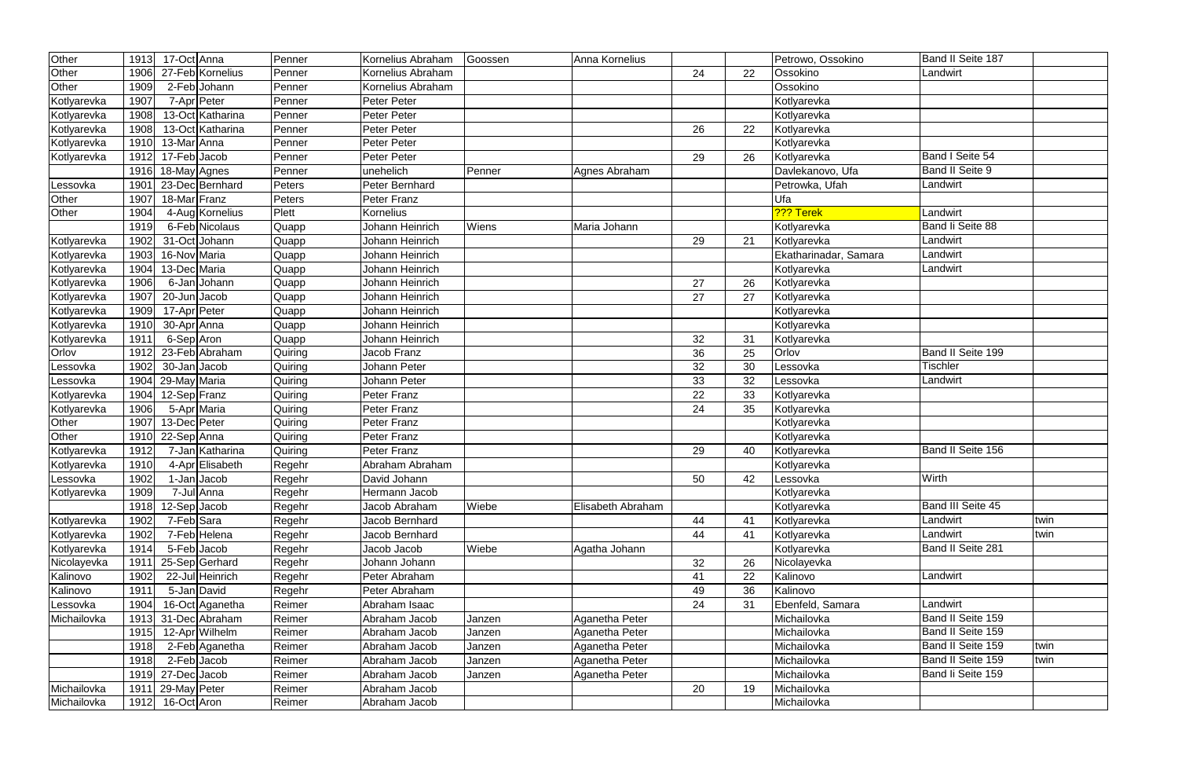| Other       | 1913 | 17-Oct Anna       | Penner  | Kornelius Abraham | Goossen | Anna Kornelius    |    |    | Petrowo, Ossokino     | Band II Seite 187      |      |
|-------------|------|-------------------|---------|-------------------|---------|-------------------|----|----|-----------------------|------------------------|------|
| Other       | 1906 | 27-Feb Kornelius  | Penner  | Kornelius Abraham |         |                   | 24 | 22 | Ossokino              | Landwirt               |      |
| Other       | 1909 | 2-Feb Johann      | Penner  | Kornelius Abraham |         |                   |    |    | Ossokino              |                        |      |
| Kotlyarevka | 1907 | 7-Apr Peter       | Penner  | Peter Peter       |         |                   |    |    | Kotlyarevka           |                        |      |
| Kotlyarevka | 1908 | 13-Oct Katharina  | Penner  | Peter Peter       |         |                   |    |    | Kotlyarevka           |                        |      |
| Kotlyarevka | 1908 | 13-Oct Katharina  | Penner  | Peter Peter       |         |                   | 26 | 22 | Kotlyarevka           |                        |      |
| Kotlyarevka | 1910 | 13-Mar Anna       | Penner  | Peter Peter       |         |                   |    |    | Kotlyarevka           |                        |      |
| Kotlyarevka | 1912 | 17-Feb Jacob      | Penner  | Peter Peter       |         |                   | 29 | 26 | Kotlyarevka           | Band I Seite 54        |      |
|             | 1916 | 18-May Agnes      | Penner  | unehelich         | Penner  | Agnes Abraham     |    |    | Davlekanovo, Ufa      | <b>Band II Seite 9</b> |      |
| Lessovka    | 1901 | 23-Dec Bernhard   | Peters  | Peter Bernhard    |         |                   |    |    | Petrowka, Ufah        | Landwirt               |      |
| Other       | 1907 | 18-Mar Franz      | Peters  | Peter Franz       |         |                   |    |    | Ufa                   |                        |      |
| Other       | 1904 | 4-Aug Kornelius   | Plett   | Kornelius         |         |                   |    |    | ??? Terek             | Landwirt               |      |
|             | 1919 | 6-Feb Nicolaus    | Quapp   | Johann Heinrich   | Wiens   | Maria Johann      |    |    | Kotlyarevka           | Band li Seite 88       |      |
| Kotlyarevka | 1902 | 31-Oct Johann     | Quapp   | Johann Heinrich   |         |                   | 29 | 21 | Kotlyarevka           | Landwirt               |      |
| Kotlyarevka | 1903 | 16-Nov Maria      | Quapp   | Johann Heinrich   |         |                   |    |    | Ekatharinadar, Samara | Landwirt               |      |
| Kotlyarevka | 1904 | 13-Dec Maria      | Quapp   | Johann Heinrich   |         |                   |    |    | Kotlyarevka           | Landwirt               |      |
| Kotlyarevka | 1906 | 6-Jan Johann      | Quapp   | Johann Heinrich   |         |                   | 27 | 26 | Kotlyarevka           |                        |      |
| Kotlyarevka | 1907 | 20-Jun Jacob      | Quapp   | Johann Heinrich   |         |                   | 27 | 27 | Kotlyarevka           |                        |      |
| Kotlyarevka | 1909 | 17-Apr Peter      | Quapp   | Johann Heinrich   |         |                   |    |    | Kotlyarevka           |                        |      |
| Kotlyarevka | 1910 | 30-Apr Anna       | Quapp   | Johann Heinrich   |         |                   |    |    | Kotlyarevka           |                        |      |
| Kotlyarevka | 1911 | 6-Sep Aron        | Quapp   | Johann Heinrich   |         |                   | 32 | 31 | Kotlyarevka           |                        |      |
| Orlov       | 1912 | 23-Feb Abraham    | Quiring | Jacob Franz       |         |                   | 36 | 25 | Orlov                 | Band II Seite 199      |      |
| Lessovka    | 1902 | 30-Jan Jacob      | Quiring | Johann Peter      |         |                   | 32 | 30 | Lessovka              | <b>Tischler</b>        |      |
| Lessovka    | 1904 | 29-May Maria      | Quiring | Johann Peter      |         |                   | 33 | 32 | Lessovka              | Landwirt               |      |
| Kotlyarevka | 1904 | 12-Sep Franz      | Quiring | Peter Franz       |         |                   | 22 | 33 | Kotlyarevka           |                        |      |
| Kotlyarevka | 1906 | 5-Apr Maria       | Quiring | Peter Franz       |         |                   | 24 | 35 | Kotlyarevka           |                        |      |
| Other       | 1907 | 13-Dec Peter      | Quiring | Peter Franz       |         |                   |    |    | Kotlyarevka           |                        |      |
| Other       | 1910 | 22-Sep Anna       | Quiring | Peter Franz       |         |                   |    |    | Kotlyarevka           |                        |      |
| Kotlyarevka | 1912 | 7-Jan Katharina   | Quiring | Peter Franz       |         |                   | 29 | 40 | Kotlyarevka           | Band II Seite 156      |      |
| Kotlyarevka | 1910 | 4-Apr Elisabeth   | Regehr  | Abraham Abraham   |         |                   |    |    | Kotlyarevka           |                        |      |
| Lessovka    | 1902 | 1-Jan Jacob       | Regehr  | David Johann      |         |                   | 50 | 42 | Lessovka              | Wirth                  |      |
| Kotlyarevka | 1909 | 7-Jul Anna        | Regehr  | Hermann Jacob     |         |                   |    |    | Kotlyarevka           |                        |      |
|             | 1918 | 12-Sep Jacob      | Regehr  | Jacob Abraham     | Wiebe   | Elisabeth Abraham |    |    | Kotlyarevka           | Band III Seite 45      |      |
| Kotlyarevka | 1902 | 7-Feb Sara        | Regehr  | Jacob Bernhard    |         |                   | 44 | 41 | Kotlyarevka           | Landwirt               | twin |
| Kotlyarevka | 1902 | 7-Feb Helena      | Regehr  | Jacob Bernhard    |         |                   | 44 | 41 | Kotlyarevka           | Landwirt               | twin |
| Kotlyarevka | 1914 | 5-Feb Jacob       | Regehr  | Jacob Jacob       | Wiebe   | Agatha Johann     |    |    | Kotlyarevka           | Band II Seite 281      |      |
| Nicolayevka | 1911 | 25-Sep Gerhard    | Regehr  | Johann Johann     |         |                   | 32 | 26 | Nicolayevka           |                        |      |
| Kalinovo    | 1902 | 22-Jul Heinrich   | Regehr  | Peter Abraham     |         |                   | 41 | 22 | Kalinovo              | Landwirt               |      |
| Kalinovo    | 1911 | 5-Jan David       | Regehr  | Peter Abraham     |         |                   | 49 | 36 | Kalinovo              |                        |      |
| Lessovka    | 1904 | 16-Oct Aganetha   | Reimer  | Abraham Isaac     |         |                   | 24 | 31 | Ebenfeld, Samara      | Landwirt               |      |
| Michailovka | 1913 | 31-Dec Abraham    | Reimer  | Abraham Jacob     | Janzen  | Aganetha Peter    |    |    | Michailovka           | Band II Seite 159      |      |
|             | 1915 | 12-Apr Wilhelm    | Reimer  | Abraham Jacob     | Janzen  | Aganetha Peter    |    |    | Michailovka           | Band II Seite 159      |      |
|             | 1918 | 2-Feb Aganetha    | Reimer  | Abraham Jacob     | Janzen  | Aganetha Peter    |    |    | Michailovka           | Band II Seite 159      | twin |
|             | 1918 | 2-Feb Jacob       | Reimer  | Abraham Jacob     | Janzen  | Aganetha Peter    |    |    | Michailovka           | Band II Seite 159      | twin |
|             |      | 1919 27-Dec Jacob | Reimer  | Abraham Jacob     | Janzen  | Aganetha Peter    |    |    | Michailovka           | Band li Seite 159      |      |
| Michailovka | 1911 | 29-May Peter      | Reimer  | Abraham Jacob     |         |                   | 20 | 19 | Michailovka           |                        |      |
| Michailovka | 1912 | 16-Oct Aron       | Reimer  | Abraham Jacob     |         |                   |    |    | Michailovka           |                        |      |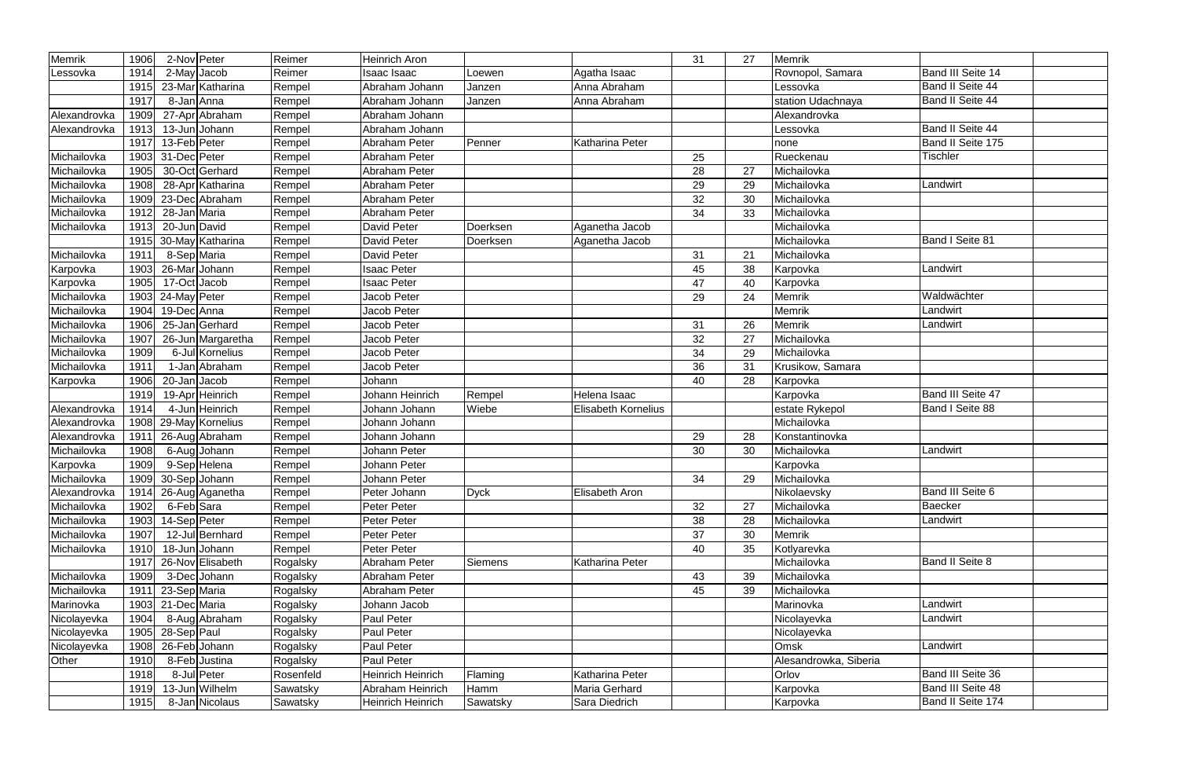| Memrik       | 1906 | 2-Nov Peter                  | Reimer    | Heinrich Aron            |                |                            | 31 | 27 | <b>Memrik</b>         |                          |
|--------------|------|------------------------------|-----------|--------------------------|----------------|----------------------------|----|----|-----------------------|--------------------------|
| Lessovka     | 1914 | 2-May Jacob                  | Reimer    | Isaac Isaac              | Loewen         | Agatha Isaac               |    |    | Rovnopol, Samara      | <b>Band III Seite 14</b> |
|              | 1915 | 23-Mar Katharina             | Rempel    | Abraham Johann           | Janzen         | Anna Abraham               |    |    | Lessovka              | Band II Seite 44         |
|              | 1917 | 8-Jan Anna                   | Rempel    | Abraham Johann           | Janzen         | Anna Abraham               |    |    | station Udachnaya     | Band II Seite 44         |
| Alexandrovka | 1909 | 27-Apr Abraham               | Rempel    | Abraham Johann           |                |                            |    |    | Alexandrovka          |                          |
| Alexandrovka | 1913 | 13-Jun Johann                | Rempel    | Abraham Johann           |                |                            |    |    | Lessovka              | Band II Seite 44         |
|              | 1917 | 13-Feb Peter                 | Rempel    | Abraham Peter            | Penner         | Katharina Peter            |    |    | none                  | Band II Seite 175        |
| Michailovka  | 1903 | 31-Dec Peter                 | Rempel    | Abraham Peter            |                |                            | 25 |    | Rueckenau             | <b>Tischler</b>          |
| Michailovka  | 1905 | 30-Oct Gerhard               | Rempel    | Abraham Peter            |                |                            | 28 | 27 | Michailovka           |                          |
| Michailovka  | 1908 | 28-Apr Katharina             | Rempel    | Abraham Peter            |                |                            | 29 | 29 | Michailovka           | Landwirt                 |
| Michailovka  | 1909 | 23-Dec Abraham               | Rempel    | Abraham Peter            |                |                            | 32 | 30 | Michailovka           |                          |
| Michailovka  | 1912 | 28-Jan Maria                 | Rempel    | Abraham Peter            |                |                            | 34 | 33 | Michailovka           |                          |
| Michailovka  | 1913 | 20-Jun David                 | Rempel    | David Peter              | Doerksen       | Aganetha Jacob             |    |    | Michailovka           |                          |
|              |      | 1915 30-May Katharina        | Rempel    | David Peter              | Doerksen       | Aganetha Jacob             |    |    | Michailovka           | <b>Band I Seite 81</b>   |
| Michailovka  | 1911 | 8-Sep Maria                  | Rempel    | David Peter              |                |                            | 31 | 21 | Michailovka           |                          |
| Karpovka     | 1903 | 26-Mar Johann                | Rempel    | <b>Isaac Peter</b>       |                |                            | 45 | 38 | Karpovka              | Landwirt                 |
| Karpovka     | 1905 | 17-Oct Jacob                 | Rempel    | <b>Isaac Peter</b>       |                |                            | 47 | 40 | Karpovka              |                          |
| Michailovka  | 1903 | 24-May Peter                 | Rempel    | Jacob Peter              |                |                            | 29 | 24 | Memrik                | Waldwächter              |
| Michailovka  | 1904 | 19-Dec Anna                  | Rempel    | Jacob Peter              |                |                            |    |    | Memrik                | Landwirt                 |
| Michailovka  | 1906 | 25-Jan Gerhard               | Rempel    | Jacob Peter              |                |                            | 31 | 26 | <b>Memrik</b>         | Landwirt                 |
| Michailovka  | 1907 | 26-Jun Margaretha            | Rempel    | Jacob Peter              |                |                            | 32 | 27 | Michailovka           |                          |
| Michailovka  | 1909 | 6-Jul Kornelius              | Rempel    | Jacob Peter              |                |                            | 34 | 29 | Michailovka           |                          |
| Michailovka  | 1911 | 1-Jan Abraham                | Rempel    | Jacob Peter              |                |                            | 36 | 31 | Krusikow, Samara      |                          |
| Karpovka     | 1906 | 20-Jan Jacob                 | Rempel    | Johann                   |                |                            | 40 | 28 | Karpovka              |                          |
|              | 1919 | 19-Apr Heinrich              | Rempel    | Johann Heinrich          | Rempel         | Helena Isaac               |    |    | Karpovka              | Band III Seite 47        |
| Alexandrovka | 1914 | $\overline{4}$ -Jun Heinrich | Rempel    | Johann Johann            | Wiebe          | <b>Elisabeth Kornelius</b> |    |    | estate Rykepol        | Band I Seite 88          |
| Alexandrovka |      | 1908 29-May Kornelius        | Rempel    | Johann Johann            |                |                            |    |    | Michailovka           |                          |
| Alexandrovka | 1911 | 26-Aug Abraham               | Rempel    | Johann Johann            |                |                            | 29 | 28 | Konstantinovka        |                          |
| Michailovka  | 1908 | 6-Aug Johann                 | Rempel    | Johann Peter             |                |                            | 30 | 30 | Michailovka           | Landwirt                 |
| Karpovka     | 1909 | 9-Sep Helena                 | Rempel    | Johann Peter             |                |                            |    |    | Karpovka              |                          |
| Michailovka  | 1909 | 30-Sep Johann                | Rempel    | Johann Peter             |                |                            | 34 | 29 | Michailovka           |                          |
| Alexandrovka | 1914 | 26-Aug Aganetha              | Rempel    | Peter Johann             | <b>Dyck</b>    | <b>Elisabeth Aron</b>      |    |    | Nikolaevsky           | <b>Band III Seite 6</b>  |
| Michailovka  | 1902 | 6-Feb Sara                   | Rempel    | Peter Peter              |                |                            | 32 | 27 | Michailovka           | <b>Baecker</b>           |
| Michailovka  | 1903 | 14-Sep Peter                 | Rempel    | Peter Peter              |                |                            | 38 | 28 | Michailovka           | Landwirt                 |
| Michailovka  | 1907 | 12-Jul Bernhard              | Rempel    | Peter Peter              |                |                            | 37 | 30 | Memrik                |                          |
| Michailovka  | 1910 | 18-Jun Johann                | Rempel    | Peter Peter              |                |                            | 40 | 35 | Kotlyarevka           |                          |
|              | 1917 | 26-Nov Elisabeth             | Rogalsky  | Abraham Peter            | <b>Siemens</b> | Katharina Peter            |    |    | Michailovka           | <b>Band II Seite 8</b>   |
| Michailovka  | 1909 | 3-Dec Johann                 | Rogalsky  | Abraham Peter            |                |                            | 43 | 39 | Michailovka           |                          |
| Michailovka  |      | 1911 $23$ -Sep Maria         | Rogalsky  | Abraham Peter            |                |                            | 45 | 39 | Michailovka           |                          |
| Marinovka    |      | 1903 21-Dec Maria            | Rogalsky  | Johann Jacob             |                |                            |    |    | Marinovka             | Landwirt                 |
| Nicolayevka  | 1904 | 8-Aug Abraham                | Rogalsky  | Paul Peter               |                |                            |    |    | Nicolayevka           | Landwirt                 |
| Nicolayevka  | 1905 | 28-Sep Paul                  | Rogalsky  | Paul Peter               |                |                            |    |    | Nicolayevka           |                          |
| Nicolayevka  | 1908 | 26-Feb Johann                | Rogalsky  | Paul Peter               |                |                            |    |    | Omsk                  | Landwirt                 |
| Other        | 1910 | 8-Feb Justina                | Rogalsky  | Paul Peter               |                |                            |    |    | Alesandrowka, Siberia |                          |
|              | 1918 | 8-Jul Peter                  | Rosenfeld | Heinrich Heinrich        | Flaming        | Katharina Peter            |    |    | Orlov                 | <b>Band III Seite 36</b> |
|              | 1919 | 13-Jun Wilhelm               | Sawatsky  | Abraham Heinrich         | Hamm           | Maria Gerhard              |    |    | Karpovka              | Band III Seite 48        |
|              | 1915 | 8-Jan Nicolaus               | Sawatsky  | <b>Heinrich Heinrich</b> | Sawatsky       | Sara Diedrich              |    |    | Karpovka              | Band II Seite 174        |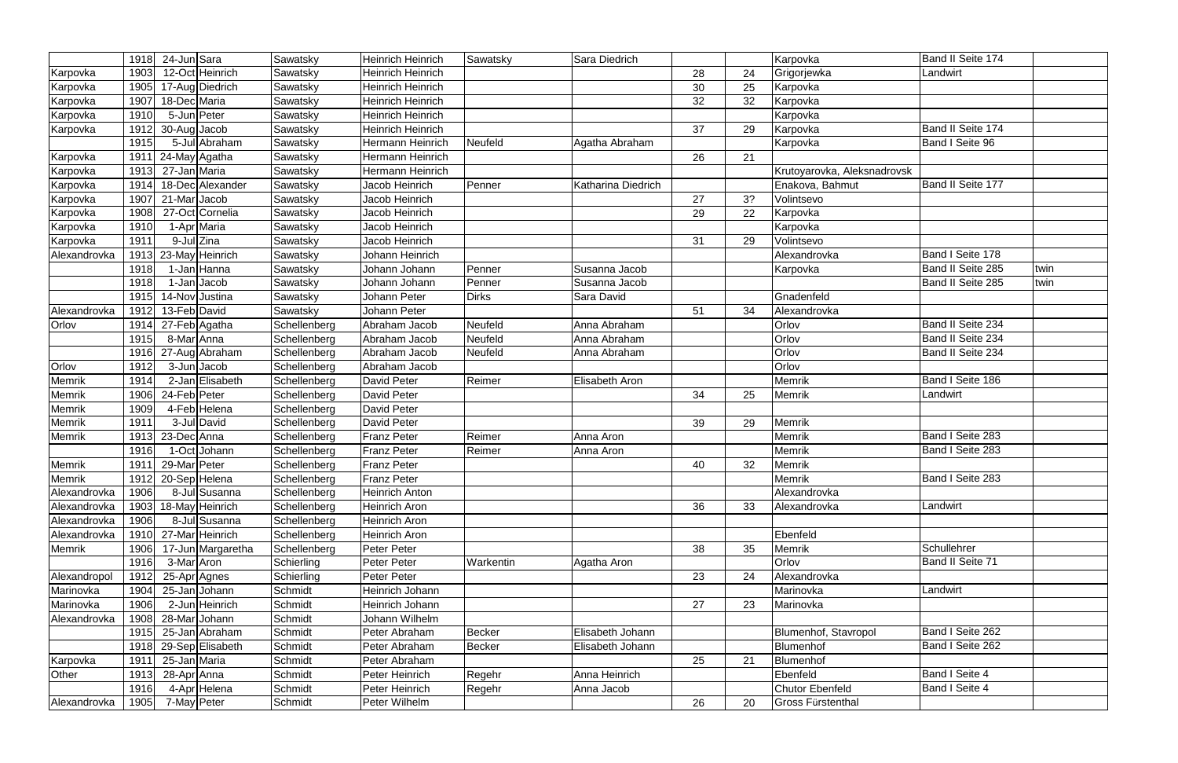|                          | 1918 | 24-Jun Sara             |                   | Sawatsky     | <b>Heinrich Heinrich</b> | Sawatsky     | Sara Diedrich      |    |    | Karpovka                    | Band II Seite 174     |      |
|--------------------------|------|-------------------------|-------------------|--------------|--------------------------|--------------|--------------------|----|----|-----------------------------|-----------------------|------|
| Karpovka                 | 1903 |                         | 12-Oct Heinrich   | Sawatsky     | <b>Heinrich Heinrich</b> |              |                    | 28 | 24 | Grigorjewka                 | Landwirt              |      |
| Karpovka                 | 1905 |                         | 17-Aug Diedrich   | Sawatsky     | <b>Heinrich Heinrich</b> |              |                    | 30 | 25 | Karpovka                    |                       |      |
| Karpovka                 | 1907 | 18-Dec Maria            |                   | Sawatsky     | <b>Heinrich Heinrich</b> |              |                    | 32 | 32 | Karpovka                    |                       |      |
| Karpovka                 | 1910 | 5-Jun Peter             |                   | Sawatsky     | <b>Heinrich Heinrich</b> |              |                    |    |    | Karpovka                    |                       |      |
| Karpovka                 | 1912 | 30-Aug Jacob            |                   | Sawatsky     | Heinrich Heinrich        |              |                    | 37 | 29 | Karpovka                    | Band II Seite 174     |      |
|                          | 1915 |                         | 5-Jul Abraham     | Sawatsky     | Hermann Heinrich         | Neufeld      | Agatha Abraham     |    |    | Karpovka                    | Band I Seite 96       |      |
| Karpovka                 | 1911 | $\sqrt{24}$ -May Agatha |                   | Sawatsky     | Hermann Heinrich         |              |                    | 26 | 21 |                             |                       |      |
| Karpovka                 | 1913 | 27-Jan Maria            |                   | Sawatsky     | Hermann Heinrich         |              |                    |    |    | Krutoyarovka, Aleksnadrovsk |                       |      |
| Karpovka                 | 1914 |                         | 18-Dec Alexander  | Sawatsky     | Jacob Heinrich           | Penner       | Katharina Diedrich |    |    | Enakova, Bahmut             | Band II Seite 177     |      |
| Karpovka                 | 1907 | 21-MarJacob             |                   | Sawatsky     | Jacob Heinrich           |              |                    | 27 | 3? | Volintsevo                  |                       |      |
| Karpovka                 | 1908 |                         | 27-Oct Cornelia   | Sawatsky     | Jacob Heinrich           |              |                    | 29 | 22 | Karpovka                    |                       |      |
| Karpovka                 | 1910 | 1-Apr Maria             |                   | Sawatsky     | Jacob Heinrich           |              |                    |    |    | Karpovka                    |                       |      |
|                          | 1911 | 9-Jul Zina              |                   | Sawatsky     | Jacob Heinrich           |              |                    | 31 | 29 | Volintsevo                  |                       |      |
| Karpovka<br>Alexandrovka | 1913 | 23-May Heinrich         |                   | Sawatsky     | Johann Heinrich          |              |                    |    |    | Alexandrovka                | Band I Seite 178      |      |
|                          |      |                         |                   |              |                          | Penner       |                    |    |    |                             | Band II Seite 285     | twin |
|                          | 1918 |                         | 1-Jan Hanna       | Sawatsky     | Johann Johann            |              | Susanna Jacob      |    |    | Karpovka                    | Band II Seite 285     |      |
|                          | 1918 | 1-Jan Jacob             |                   | Sawatsky     | Johann Johann            | Penner       | Susanna Jacob      |    |    |                             |                       | twin |
|                          | 1915 | 14-Nov Justina          |                   | Sawatsky     | Johann Peter             | <b>Dirks</b> | Sara David         |    |    | Gnadenfeld                  |                       |      |
| Alexandrovka             | 1912 | 13-Feb David            |                   | Sawatsky     | Johann Peter             |              |                    | 51 | 34 | Alexandrovka                |                       |      |
| Orlov                    | 1914 | 27-Feb Agatha           |                   | Schellenberg | Abraham Jacob            | Neufeld      | Anna Abraham       |    |    | Orlov                       | Band II Seite 234     |      |
|                          | 1915 | 8-Mar Anna              |                   | Schellenberg | Abraham Jacob            | Neufeld      | Anna Abraham       |    |    | Orlov                       | Band II Seite 234     |      |
|                          | 1916 |                         | 27-Aug Abraham    | Schellenberg | Abraham Jacob            | Neufeld      | Anna Abraham       |    |    | Orlov                       | Band II Seite 234     |      |
| Orlov                    | 1912 | 3-Jun Jacob             |                   | Schellenberg | Abraham Jacob            |              |                    |    |    | Orlov                       |                       |      |
| Memrik                   | 1914 |                         | 2-Jan Elisabeth   | Schellenberg | <b>David Peter</b>       | Reimer       | Elisabeth Aron     |    |    | Memrik                      | Band I Seite 186      |      |
| Memrik                   | 1906 | 24-Feb Peter            |                   | Schellenberg | <b>David Peter</b>       |              |                    | 34 | 25 | Memrik                      | Landwirt              |      |
| Memrik                   | 1909 |                         | 4-Feb Helena      | Schellenberg | David Peter              |              |                    |    |    |                             |                       |      |
| Memrik                   | 1911 |                         | 3-Jul David       | Schellenberg | <b>David Peter</b>       |              |                    | 39 | 29 | Memrik                      |                       |      |
| Memrik                   | 1913 | 23-Dec Anna             |                   | Schellenberg | <b>Franz Peter</b>       | Reimer       | Anna Aron          |    |    | Memrik                      | Band I Seite 283      |      |
|                          | 1916 |                         | 1-Oct Johann      | Schellenberg | <b>Franz Peter</b>       | Reimer       | Anna Aron          |    |    | Memrik                      | Band I Seite 283      |      |
| Memrik                   | 1911 | 29-Mar Peter            |                   | Schellenberg | <b>Franz Peter</b>       |              |                    | 40 | 32 | Memrik                      |                       |      |
| Memrik                   |      | 1912 20-Sep Helena      |                   | Schellenberg | <b>Franz Peter</b>       |              |                    |    |    | <b>Memrik</b>               | Band I Seite 283      |      |
| Alexandrovka             | 1906 |                         | 8-Jul Susanna     | Schellenberg | <b>Heinrich Anton</b>    |              |                    |    |    | Alexandrovka                |                       |      |
| Alexandrovka             | 1903 |                         | 18-May Heinrich   | Schellenberg | Heinrich Aron            |              |                    | 36 | 33 | Alexandrovka                | Landwirt              |      |
| Alexandrovka             | 1906 |                         | 8-Jul Susanna     | Schellenberg | <b>Heinrich Aron</b>     |              |                    |    |    |                             |                       |      |
| Alexandrovka             | 1910 |                         | 27-Mar Heinrich   | Schellenberg | Heinrich Aron            |              |                    |    |    | Ebenfeld                    |                       |      |
| Memrik                   | 1906 |                         | 17-Jun Margaretha | Schellenberg | Peter Peter              |              |                    | 38 | 35 | Memrik                      | Schullehrer           |      |
|                          | 1916 | 3-Mar Aron              |                   | Schierling   | Peter Peter              | Warkentin    | Agatha Aron        |    |    | Orlov                       | Band II Seite 71      |      |
| Alexandropol             | 1912 | 25-Apr Agnes            |                   | Schierling   | Peter Peter              |              |                    | 23 | 24 | Alexandrovka                |                       |      |
| Marinovka                | 1904 | 25-Jan Johann           |                   | Schmidt      | Heinrich Johann          |              |                    |    |    | Marinovka                   | Landwirt              |      |
| Marinovka                | 1906 |                         | 2-Jun Heinrich    | Schmidt      | Heinrich Johann          |              |                    | 27 | 23 | Marinovka                   |                       |      |
| Alexandrovka             | 1908 | 28-Mar Johann           |                   | Schmidt      | Johann Wilhelm           |              |                    |    |    |                             |                       |      |
|                          | 1915 |                         | 25-Jan Abraham    | Schmidt      | Peter Abraham            | Becker       | Elisabeth Johann   |    |    | Blumenhof, Stavropol        | Band I Seite 262      |      |
|                          | 1918 |                         | 29-Sep Elisabeth  | Schmidt      | Peter Abraham            | Becker       | Elisabeth Johann   |    |    | Blumenhof                   | Band I Seite 262      |      |
| Karpovka                 | 1911 | 25-Jan Maria            |                   | Schmidt      | Peter Abraham            |              |                    | 25 | 21 | Blumenhof                   |                       |      |
| Other                    | 1913 | 28-Apr Anna             |                   | Schmidt      | Peter Heinrich           | Regehr       | Anna Heinrich      |    |    | Ebenfeld                    | <b>Band I Seite 4</b> |      |
|                          | 1916 |                         | 4-Apr Helena      | Schmidt      | Peter Heinrich           | Regehr       | Anna Jacob         |    |    | <b>Chutor Ebenfeld</b>      | Band I Seite 4        |      |
| Alexandrovka             | 1905 | 7-May Peter             |                   | Schmidt      | Peter Wilhelm            |              |                    | 26 | 20 | Gross Fürstenthal           |                       |      |
|                          |      |                         |                   |              |                          |              |                    |    |    |                             |                       |      |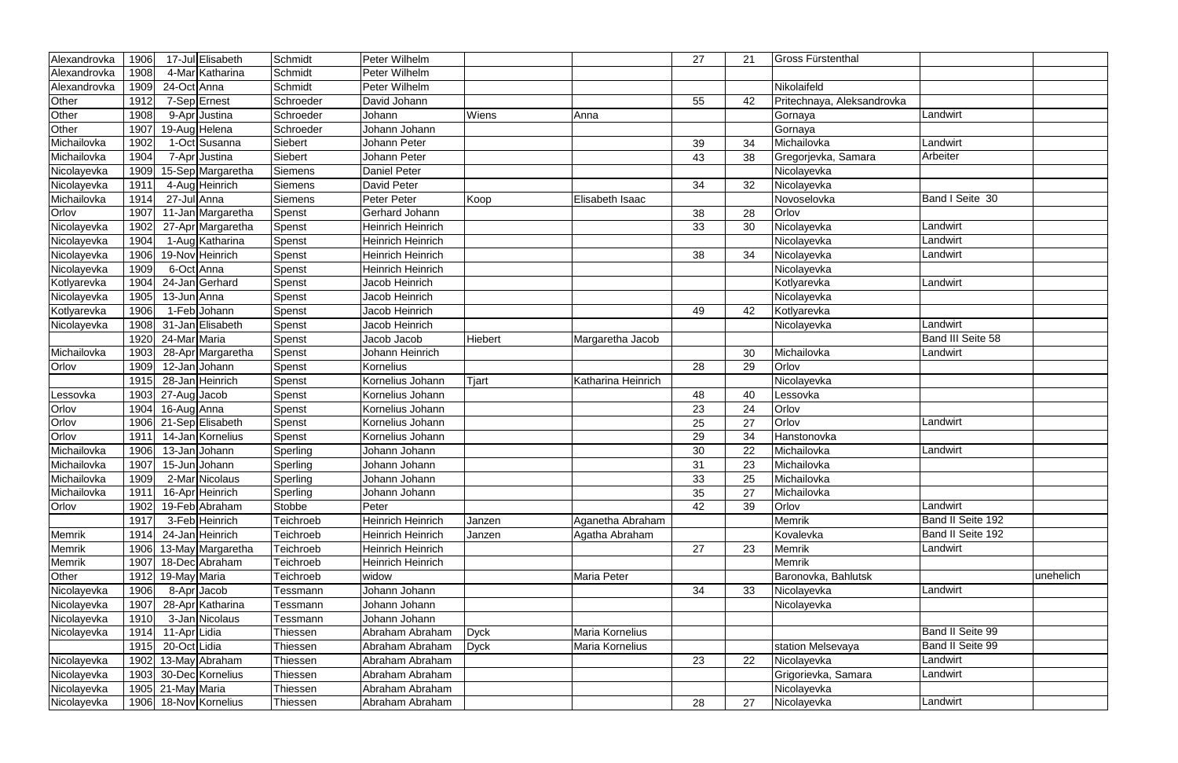| Alexandrovka | 1906 |                   | 17-Jul Elisabeth       | Schmidt        | Peter Wilhelm            |             |                    | 27 | 21 | Gross Fürstenthal          |                   |           |
|--------------|------|-------------------|------------------------|----------------|--------------------------|-------------|--------------------|----|----|----------------------------|-------------------|-----------|
| Alexandrovka | 1908 |                   | 4-Mar Katharina        | Schmidt        | Peter Wilhelm            |             |                    |    |    |                            |                   |           |
| Alexandrovka | 1909 | 24-Oct Anna       |                        | Schmidt        | Peter Wilhelm            |             |                    |    |    | Nikolaifeld                |                   |           |
| Other        | 1912 |                   | 7-Sep Ernest           | Schroeder      | David Johann             |             |                    | 55 | 42 | Pritechnaya, Aleksandrovka |                   |           |
| Other        | 1908 |                   | 9-Apr Justina          | Schroeder      | Johann                   | Wiens       | Anna               |    |    | Gornaya                    | Landwirt          |           |
| Other        | 1907 |                   | 19-Aug Helena          | Schroeder      | Johann Johann            |             |                    |    |    | Gornaya                    |                   |           |
| Michailovka  | 1902 |                   | 1-Oct Susanna          | Siebert        | Johann Peter             |             |                    | 39 | 34 | Michailovka                | Landwirt          |           |
| Michailovka  | 1904 |                   | 7-Apr Justina          | Siebert        | Johann Peter             |             |                    | 43 | 38 | Gregorjevka, Samara        | Arbeiter          |           |
| Nicolayevka  | 1909 |                   | 15-Sep Margaretha      | <b>Siemens</b> | <b>Daniel Peter</b>      |             |                    |    |    | Nicolayevka                |                   |           |
| Nicolayevka  | 1911 |                   | 4-Aug Heinrich         | Siemens        | David Peter              |             |                    | 34 | 32 | Nicolayevka                |                   |           |
| Michailovka  | 1914 | 27-Jul Anna       |                        | <b>Siemens</b> | Peter Peter              | Koop        | Elisabeth Isaac    |    |    | Novoselovka                | Band I Seite 30   |           |
| Orlov        | 1907 |                   | 11-Jan Margaretha      | Spenst         | Gerhard Johann           |             |                    | 38 | 28 | Orlov                      |                   |           |
| Nicolayevka  | 1902 |                   | 27-Apr Margaretha      | Spenst         | <b>Heinrich Heinrich</b> |             |                    | 33 | 30 | Nicolayevka                | Landwirt          |           |
| Nicolayevka  | 1904 |                   | 1-Aug Katharina        | Spenst         | <b>Heinrich Heinrich</b> |             |                    |    |    | Nicolayevka                | Landwirt          |           |
| Nicolayevka  | 1906 |                   | 19-Nov Heinrich        | Spenst         | <b>Heinrich Heinrich</b> |             |                    | 38 | 34 | Nicolayevka                | Landwirt          |           |
| Nicolayevka  | 1909 | 6-Oct Anna        |                        | Spenst         | Heinrich Heinrich        |             |                    |    |    | Nicolayevka                |                   |           |
| Kotlyarevka  | 1904 |                   | 24-Jan Gerhard         | Spenst         | Jacob Heinrich           |             |                    |    |    | Kotlyarevka                | Landwirt          |           |
| Nicolayevka  | 1905 | 13-Jun Anna       |                        | Spenst         | Jacob Heinrich           |             |                    |    |    | Nicolayevka                |                   |           |
| Kotlyarevka  | 1906 |                   | I-Feb Johann           | Spenst         | Jacob Heinrich           |             |                    | 49 | 42 | Kotlyarevka                |                   |           |
| Nicolayevka  | 1908 |                   | 31-Jan Elisabeth       | Spenst         | Jacob Heinrich           |             |                    |    |    | Nicolayevka                | Landwirt          |           |
|              | 1920 | 24-Mar Maria      |                        | Spenst         | Jacob Jacob              | Hiebert     | Margaretha Jacob   |    |    |                            | Band III Seite 58 |           |
| Michailovka  | 1903 |                   | 28-Apr Margaretha      | Spenst         | Johann Heinrich          |             |                    |    | 30 | Michailovka                | Landwirt          |           |
| Orlov        | 1909 | 12-Jan Johann     |                        | Spenst         | <b>Kornelius</b>         |             |                    | 28 | 29 | Orlov                      |                   |           |
|              | 1915 |                   | 28-Jan Heinrich        | Spenst         | Kornelius Johann         | Tjart       | Katharina Heinrich |    |    | Nicolayevka                |                   |           |
| Lessovka     | 1903 | 27-Aug Jacob      |                        | Spenst         | Kornelius Johann         |             |                    | 48 | 40 | Lessovka                   |                   |           |
| Orlov        | 1904 | 16-Aug Anna       |                        | Spenst         | Kornelius Johann         |             |                    | 23 | 24 | Orlov                      |                   |           |
| Orlov        | 1906 |                   | 21-Sep Elisabeth       | Spenst         | Kornelius Johann         |             |                    | 25 | 27 | Orlov                      | _andwirt          |           |
| Orlov        | 1911 |                   | 14-Jan Kornelius       | Spenst         | Kornelius Johann         |             |                    | 29 | 34 | Hanstonovka                |                   |           |
| Michailovka  | 1906 |                   | 13-Jan Johann          | Sperling       | Johann Johann            |             |                    | 30 | 22 | Michailovka                | Landwirt          |           |
| Michailovka  | 1907 |                   | 15-JunJJohann          | Sperling       | Johann Johann            |             |                    | 31 | 23 | Michailovka                |                   |           |
| Michailovka  | 1909 |                   | 2-Mar Nicolaus         | Sperling       | Johann Johann            |             |                    | 33 | 25 | Michailovka                |                   |           |
| Michailovka  | 1911 |                   | 16-Apr Heinrich        | Sperling       | Johann Johann            |             |                    | 35 | 27 | Michailovka                |                   |           |
| Orlov        | 1902 |                   | 19-Feb Abraham         | Stobbe         | Peter                    |             |                    | 42 | 39 | Orlov                      | Landwirt          |           |
|              | 1917 |                   | 3-Feb Heinrich         | Teichroeb      | <b>Heinrich Heinrich</b> | Janzen      | Aganetha Abraham   |    |    | Memrik                     | Band II Seite 192 |           |
| Memrik       | 1914 |                   | 24-Jan Heinrich        | Teichroeb      | <b>Heinrich Heinrich</b> | Janzen      | Agatha Abraham     |    |    | Kovalevka                  | Band II Seite 192 |           |
| Memrik       | 1906 |                   | 13-May Margaretha      | Teichroeb      | <b>Heinrich Heinrich</b> |             |                    | 27 | 23 | <b>Memrik</b>              | Landwirt          |           |
| Memrik       | 1907 |                   | 18-Dec Abraham         | Teichroeb      | <b>Heinrich Heinrich</b> |             |                    |    |    | Memrik                     |                   |           |
| Other        | 1912 | 19-May Maria      |                        | Teichroeb      | widow                    |             | Maria Peter        |    |    | Baronovka, Bahlutsk        |                   | unehelich |
| Nicolayevka  | 1906 |                   | 8-Apr <sub>Jacob</sub> | Tessmann       | Johann Johann            |             |                    | 34 | 33 | Nicolayevka                | Landwirt          |           |
| Nicolayevka  | 1907 |                   | 28-Apr Katharina       | Tessmann       | Johann Johann            |             |                    |    |    | Nicolayevka                |                   |           |
| Nicolayevka  | 1910 |                   | 3-Jan Nicolaus         | Tessmann       | Johann Johann            |             |                    |    |    |                            |                   |           |
| Nicolayevka  | 1914 | 11-Apr Lidia      |                        | Thiessen       | Abraham Abraham          | <b>Dyck</b> | Maria Kornelius    |    |    |                            | Band II Seite 99  |           |
|              | 1915 | 20-Oct Lidia      |                        | Thiessen       | Abraham Abraham          | <b>Dyck</b> | Maria Kornelius    |    |    | station Melsevaya          | Band II Seite 99  |           |
| Nicolayevka  | 1902 |                   | 13-May Abraham         | Thiessen       | Abraham Abraham          |             |                    | 23 | 22 | Nicolayevka                | Landwirt          |           |
| Nicolayevka  | 1903 |                   | 30-Dec Kornelius       | Thiessen       | Abraham Abraham          |             |                    |    |    | Grigorievka, Samara        | Landwirt          |           |
| Nicolayevka  |      | 1905 21-May Maria |                        | Thiessen       | Abraham Abraham          |             |                    |    |    | Nicolayevka                |                   |           |
| Nicolayevka  |      |                   | 1906 18-Nov Kornelius  | Thiessen       | Abraham Abraham          |             |                    | 28 | 27 | Nicolayevka                | Landwirt          |           |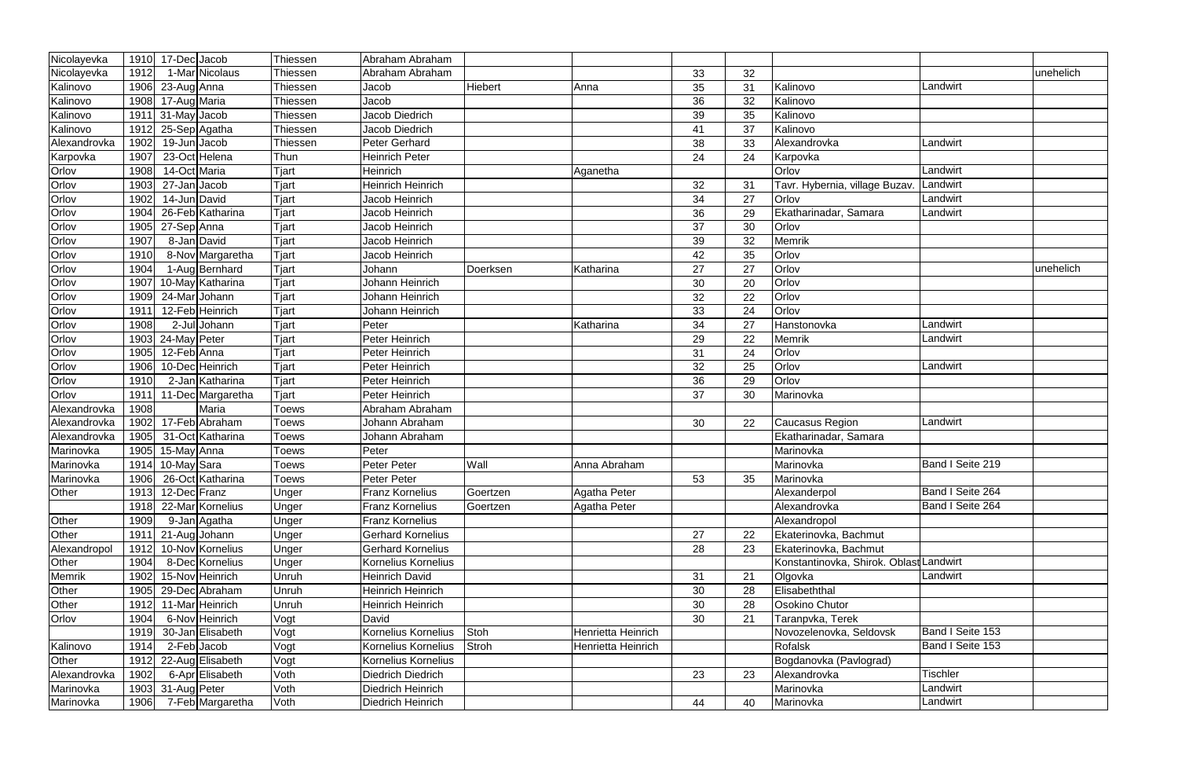| Nicolayevka    |      | 1910 17-Dec Jacob   |                                | Thiessen     | Abraham Abraham          |                |                    |    |    |                                        |                  |           |
|----------------|------|---------------------|--------------------------------|--------------|--------------------------|----------------|--------------------|----|----|----------------------------------------|------------------|-----------|
| Nicolayevka    | 1912 |                     | 1-Mar Nicolaus                 | Thiessen     | Abraham Abraham          |                |                    | 33 | 32 |                                        |                  | unehelich |
| Kalinovo       | 1906 | 23-Aug Anna         |                                | Thiessen     | Jacob                    | <b>Hiebert</b> | Anna               | 35 | 31 | Kalinovo                               | Landwirt         |           |
| Kalinovo       | 1908 | 17-Aug Maria        |                                | Thiessen     | Jacob                    |                |                    | 36 | 32 | Kalinovo                               |                  |           |
| Kalinovo       |      | $1911$ 31-May Jacob |                                | Thiessen     | Jacob Diedrich           |                |                    | 39 | 35 | Kalinovo                               |                  |           |
| Kalinovo       | 1912 | 25-Sep Agatha       |                                | Thiessen     | Jacob Diedrich           |                |                    | 41 | 37 | Kalinovo                               |                  |           |
| Alexandrovka   | 1902 | 19-Jun Jacob        |                                | Thiessen     | Peter Gerhard            |                |                    | 38 | 33 | Alexandrovka                           | Landwirt         |           |
| Karpovka       | 1907 | 23-Oct Helena       |                                | Thun         | <b>Heinrich Peter</b>    |                |                    | 24 | 24 | Karpovka                               |                  |           |
| Orlov          | 1908 | 14-Oct Maria        |                                | Tjart        | Heinrich                 |                | Aganetha           |    |    | Orlov                                  | Landwirt         |           |
| Orlov          | 1903 | 27-Jan Jacob        |                                | Tjart        | <b>Heinrich Heinrich</b> |                |                    | 32 | 31 | Tavr. Hybernia, village Buzav          | Landwirt         |           |
|                | 1902 | 14-Jun David        |                                | Tjart        | Jacob Heinrich           |                |                    | 34 | 27 | Orlov                                  | Landwirt         |           |
| Orlov<br>Orlov | 1904 |                     | $\overline{26}$ -Feb Katharina | Tjart        | Jacob Heinrich           |                |                    | 36 | 29 | Ekatharinadar, Samara                  | Landwirt         |           |
| Orlov          | 1905 | 27-Sep Anna         |                                | Tjart        | Jacob Heinrich           |                |                    | 37 | 30 | Orlov                                  |                  |           |
| Orlov          | 1907 | 8-Jan David         |                                | Tjart        | Jacob Heinrich           |                |                    | 39 | 32 | Memrik                                 |                  |           |
| Orlov          | 1910 |                     | 8-Nov Margaretha               | Tjart        | Jacob Heinrich           |                |                    | 42 | 35 | Orlov                                  |                  |           |
| Orlov          | 1904 |                     | 1-Aug Bernhard                 | Tjart        | Johann                   | Doerksen       | Katharina          | 27 | 27 | Orlov                                  |                  | unehelich |
| Orlov          | 1907 |                     | 10-May Katharina               | Tjart        | Johann Heinrich          |                |                    | 30 | 20 | Orlov                                  |                  |           |
|                | 1909 | 24-Mar Johann       |                                | Tjart        | Johann Heinrich          |                |                    | 32 | 22 | Orlov                                  |                  |           |
| Orlov<br>Orlov | 1911 |                     | 12-Feb Heinrich                | Tjart        | Johann Heinrich          |                |                    | 33 | 24 | Orlov                                  |                  |           |
| Orlov          | 1908 |                     | 2-Jul Johann                   | Tjart        | Peter                    |                | Katharina          | 34 | 27 | Hanstonovka                            | Landwirt         |           |
| Orlov          | 1903 | 24-May Peter        |                                | Tjart        | Peter Heinrich           |                |                    | 29 | 22 | Memrik                                 | Landwirt         |           |
| Orlov          | 1905 | 12-Feb Anna         |                                | Tjart        | Peter Heinrich           |                |                    | 31 | 24 | Orlov                                  |                  |           |
| Orlov          | 1906 |                     | 10-DecHeinrich                 | Tjart        | Peter Heinrich           |                |                    | 32 | 25 | Orlov                                  | Landwirt         |           |
| Orlov          | 1910 |                     | 2-Jan Katharina                | Tjart        | Peter Heinrich           |                |                    | 36 | 29 | Orlov                                  |                  |           |
| Orlov          | 1911 |                     | 11-Dec Margaretha              | Tjart        | Peter Heinrich           |                |                    | 37 | 30 | Marinovka                              |                  |           |
| Alexandrovka   | 1908 |                     | Maria                          | <b>Toews</b> | Abraham Abraham          |                |                    |    |    |                                        |                  |           |
| Alexandrovka   | 1902 |                     | 17-Feb Abraham                 | <b>Toews</b> | Johann Abraham           |                |                    | 30 | 22 | Caucasus Region                        | Landwirt         |           |
| Alexandrovka   | 1905 |                     | 31-Oct Katharina               | Toews        | Johann Abraham           |                |                    |    |    | Ekatharinadar, Samara                  |                  |           |
| Marinovka      | 1905 | 15-May Anna         |                                | Toews        | Peter                    |                |                    |    |    | Marinovka                              |                  |           |
| Marinovka      | 1914 | 10-May Sara         |                                | <b>Toews</b> | <b>Peter Peter</b>       | Wall           | Anna Abraham       |    |    | Marinovka                              | Band I Seite 219 |           |
| Marinovka      | 1906 |                     | 26-Oct Katharina               | <b>Toews</b> | <b>Peter Peter</b>       |                |                    | 53 | 35 | Marinovka                              |                  |           |
| Other          |      | 1913 12-Dec Franz   |                                | Unger        | <b>Franz Kornelius</b>   | Goertzen       | Agatha Peter       |    |    | Alexanderpol                           | Band I Seite 264 |           |
|                | 1918 |                     | 22-Mar Kornelius               | Unger        | <b>Franz Kornelius</b>   | Goertzen       | Agatha Peter       |    |    | Alexandrovka                           | Band I Seite 264 |           |
| Other          | 1909 |                     | 9-Jan Agatha                   | Unger        | <b>Franz Kornelius</b>   |                |                    |    |    | Alexandropol                           |                  |           |
| Other          | 1911 | 21-Aug Johann       |                                | Unger        | <b>Gerhard Kornelius</b> |                |                    | 27 | 22 | Ekaterinovka, Bachmut                  |                  |           |
| Alexandropol   | 1912 |                     | 10-Nov Kornelius               | <b>Unger</b> | <b>Gerhard Kornelius</b> |                |                    | 28 | 23 | Ekaterinovka, Bachmut                  |                  |           |
| Other          | 1904 |                     | 8-Dec Kornelius                | Unger        | Kornelius Kornelius      |                |                    |    |    | Konstantinovka, Shirok. OblastLandwirt |                  |           |
| <b>Memrik</b>  | 1902 |                     | 15-Nov Heinrich                | Unruh        | Heinrich David           |                |                    | 31 | 21 | Olgovka                                | Landwirt         |           |
| Other          | 1905 |                     | 29-Dec Abraham                 | Unruh        | <b>Heinrich Heinrich</b> |                |                    | 30 | 28 | Elisabeththal                          |                  |           |
| Other          | 1912 |                     | 11-Mar Heinrich                | Unruh        | Heinrich Heinrich        |                |                    | 30 | 28 | Osokino Chutor                         |                  |           |
| Orlov          | 1904 |                     | 6-Nov Heinrich                 | Vogt         | David                    |                |                    | 30 | 21 | Taranpvka, Terek                       |                  |           |
|                | 1919 |                     | 30-Jan Elisabeth               | Vogt         | Kornelius Kornelius      | Stoh           | Henrietta Heinrich |    |    | Novozelenovka, Seldovsk                | Band I Seite 153 |           |
| Kalinovo       | 1914 | 2-Feb Jacob         |                                | Vogt         | Kornelius Kornelius      | <b>Stroh</b>   | Henrietta Heinrich |    |    | <b>Rofalsk</b>                         | Band I Seite 153 |           |
| Other          | 1912 |                     | 22-Aug Elisabeth               | Vogt         | Kornelius Kornelius      |                |                    |    |    | Bogdanovka (Pavlograd)                 |                  |           |
| Alexandrovka   | 1902 |                     | 6-Apr Elisabeth                | Voth         | <b>Diedrich Diedrich</b> |                |                    | 23 | 23 | Alexandrovka                           | <b>Tischler</b>  |           |
| Marinovka      | 1903 | 31-Aug Peter        |                                | Voth         | <b>Diedrich Heinrich</b> |                |                    |    |    | Marinovka                              | Landwirt         |           |
| Marinovka      | 1906 |                     | 7-Feb Margaretha               | Voth         | <b>Diedrich Heinrich</b> |                |                    | 44 | 40 | Marinovka                              | Landwirt         |           |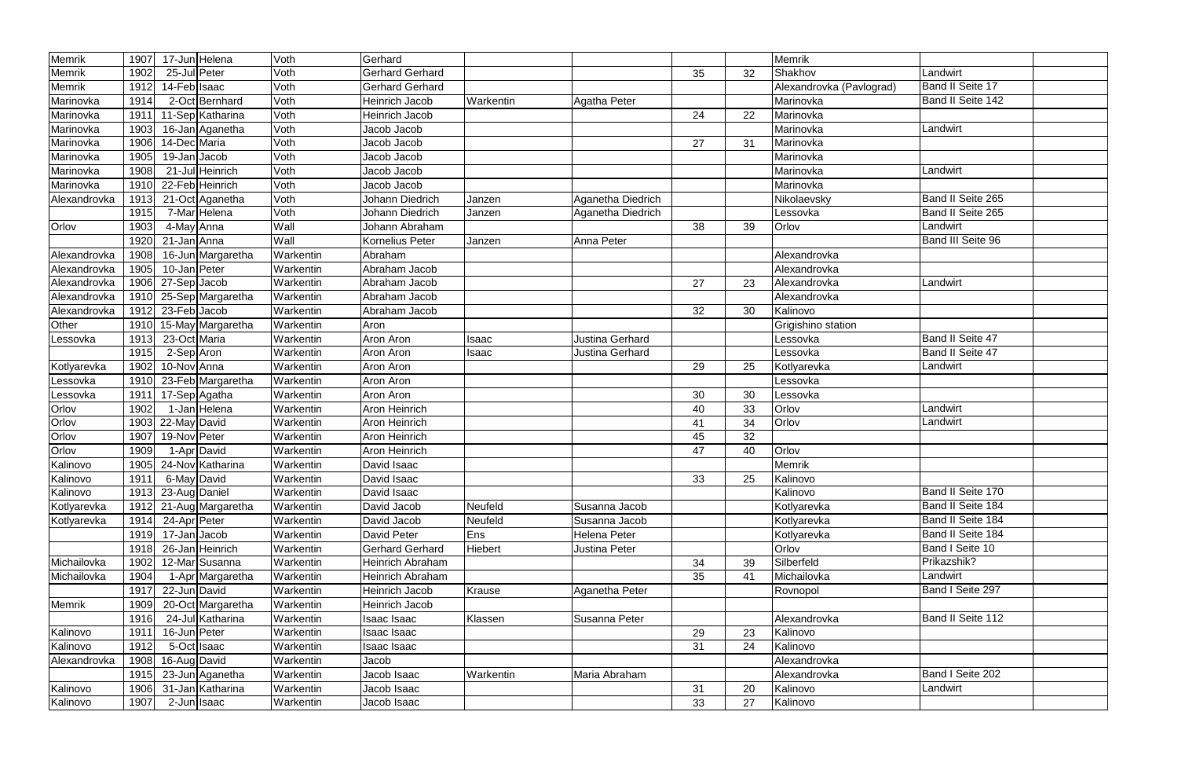| Memrik        | 1907 | 17-Jun Helena              | Voth      | Gerhard                 |           |                        |    |    | Memrik                   |                         |  |
|---------------|------|----------------------------|-----------|-------------------------|-----------|------------------------|----|----|--------------------------|-------------------------|--|
| <b>Memrik</b> | 1902 | 25-Jul Peter               | Voth      | <b>Gerhard Gerhard</b>  |           |                        | 35 | 32 | Shakhov                  | Landwirt                |  |
| Memrik        | 1912 | 14-Feb Isaac               | Voth      | <b>Gerhard Gerhard</b>  |           |                        |    |    | Alexandrovka (Pavlograd) | Band II Seite 17        |  |
| Marinovka     | 1914 | 2-Oct Bernhard             | Voth      | <b>Heinrich Jacob</b>   | Warkentin | Agatha Peter           |    |    | Marinovka                | Band II Seite 142       |  |
| Marinovka     | 1911 | 11-Sep Katharina           | Voth      | Heinrich Jacob          |           |                        | 24 | 22 | Marinovka                |                         |  |
| Marinovka     | 1903 | 16-Jan Aganetha            | Voth      | Jacob Jacob             |           |                        |    |    | Marinovka                | Landwirt                |  |
| Marinovka     | 1906 | 14-Dec Maria               | Voth      | Jacob Jacob             |           |                        | 27 | 31 | Marinovka                |                         |  |
| Marinovka     | 1905 | 19-Jan Jacob               | Voth      | Jacob Jacob             |           |                        |    |    | Marinovka                |                         |  |
| Marinovka     | 1908 | 21-Jul Heinrich            | Voth      | Jacob Jacob             |           |                        |    |    | Marinovka                | Landwirt                |  |
| Marinovka     | 1910 | 22-Feb Heinrich            | Voth      | Jacob Jacob             |           |                        |    |    | Marinovka                |                         |  |
| Alexandrovka  | 1913 | 21-Oct Aganetha            | Voth      | Johann Diedrich         | Janzen    | Aganetha Diedrich      |    |    | Nikolaevsky              | Band II Seite 265       |  |
|               | 1915 | 7-Mar Helena               | Voth      | Johann Diedrich         | Janzen    | Aganetha Diedrich      |    |    | Lessovka                 | Band II Seite 265       |  |
| Orlov         | 1903 | 4-May Anna                 | Wall      | Johann Abraham          |           |                        | 38 | 39 | Orlov                    | Landwirt                |  |
|               | 1920 | 21-Jan Anna                | Wall      | Kornelius Peter         | Janzen    | Anna Peter             |    |    |                          | Band III Seite 96       |  |
| Alexandrovka  | 1908 | 16-Jun Margaretha          | Warkentin | Abraham                 |           |                        |    |    | Alexandrovka             |                         |  |
| Alexandrovka  | 1905 | 10-Jan Peter               | Warkentin | Abraham Jacob           |           |                        |    |    | Alexandrovka             |                         |  |
| Alexandrovka  |      | $1906$ 27-Sep Jacob        | Warkentin | Abraham Jacob           |           |                        | 27 | 23 | Alexandrovka             | Landwirt                |  |
| Alexandrovka  | 1910 | 25-Sep Margaretha          | Warkentin | Abraham Jacob           |           |                        |    |    | Alexandrovka             |                         |  |
| Alexandrovka  | 1912 | 23-Feb Jacob               | Warkentin | Abraham Jacob           |           |                        | 32 | 30 | Kalinovo                 |                         |  |
| Other         | 1910 | 15-May Margaretha          | Warkentin | Aron                    |           |                        |    |    | Grigishino station       |                         |  |
| Lessovka      | 1913 | 23-Oct Maria               | Warkentin | Aron Aron               | Isaac     | Justina Gerhard        |    |    | Lessovka                 | <b>Band II Seite 47</b> |  |
|               | 1915 | 2-Sep Aron                 | Warkentin | Aron Aron               | Isaac     | <b>Justina Gerhard</b> |    |    | Lessovka                 | Band II Seite 47        |  |
| Kotlyarevka   | 1902 | 10-Nov Anna                | Warkentin | Aron Aron               |           |                        | 29 | 25 | Kotlyarevka              | Landwirt                |  |
| Lessovka      | 1910 | 23-Feb Margaretha          | Warkentin | Aron Aron               |           |                        |    |    | Lessovka                 |                         |  |
| Lessovka      | 1911 | 17-Sep Agatha              | Warkentin | Aron Aron               |           |                        | 30 | 30 | Lessovka                 |                         |  |
| Orlov         | 1902 | 1-Jan Helena               | Warkentin | <b>Aron Heinrich</b>    |           |                        | 40 | 33 | Orlov                    | Landwirt                |  |
| Orlov         | 1903 | $\overline{22}$ -May David | Warkentin | <b>Aron Heinrich</b>    |           |                        | 41 | 34 | Orlov                    | Landwirt                |  |
| Orlov         | 1907 | 19-Nov Peter               | Warkentin | Aron Heinrich           |           |                        | 45 | 32 |                          |                         |  |
| Orlov         | 1909 | 1-Apr David                | Warkentin | Aron Heinrich           |           |                        | 47 | 40 | Orlov                    |                         |  |
| Kalinovo      | 1905 | 24-Nov Katharina           | Warkentin | David Isaac             |           |                        |    |    | Memrik                   |                         |  |
| Kalinovo      | 1911 | 6-May David                | Warkentin | David Isaac             |           |                        | 33 | 25 | Kalinovo                 |                         |  |
| Kalinovo      |      | 1913 23-Aug Daniel         | Warkentin | David Isaac             |           |                        |    |    | Kalinovo                 | Band II Seite 170       |  |
| Kotlyarevka   |      | 1912 21-Aug Margaretha     | Warkentin | David Jacob             | Neufeld   | Susanna Jacob          |    |    | Kotlyarevka              | Band II Seite 184       |  |
| Kotlyarevka   | 1914 | 24-Apr Peter               | Warkentin | David Jacob             | Neufeld   | Susanna Jacob          |    |    | Kotlyarevka              | Band II Seite 184       |  |
|               | 1919 | 17-Jan Jacob               | Warkentin | David Peter             | Ens       | Helena Peter           |    |    | Kotlyarevka              | Band II Seite 184       |  |
|               | 1918 | 26-Jan Heinrich            | Warkentin | <b>Gerhard Gerhard</b>  | Hiebert   | Justina Peter          |    |    | Orlov                    | Band I Seite 10         |  |
| Michailovka   | 1902 | 12-Mar Susanna             | Warkentin | Heinrich Abraham        |           |                        | 34 | 39 | Silberfeld               | Prikazshik?             |  |
| Michailovka   | 1904 | 1-Apr Margaretha           | Warkentin | <b>Heinrich Abraham</b> |           |                        | 35 | 41 | Michailovka              | Landwirt                |  |
|               | 1917 | 22-Jun David               | Warkentin | Heinrich Jacob          | Krause    | Aganetha Peter         |    |    | Rovnopol                 | Band I Seite 297        |  |
| Memrik        | 1909 | 20-Oct Margaretha          | Warkentin | Heinrich Jacob          |           |                        |    |    |                          |                         |  |
|               | 1916 | 24-Jul Katharina           | Warkentin | Isaac Isaac             | Klassen   | Susanna Peter          |    |    | Alexandrovka             | Band II Seite 112       |  |
| Kalinovo      | 1911 | $\overline{16}$ -Jun Peter | Warkentin | Isaac Isaac             |           |                        | 29 | 23 | Kalinovo                 |                         |  |
| Kalinovo      | 1912 | 5-Oct Isaac                | Warkentin | Isaac Isaac             |           |                        | 31 | 24 | Kalinovo                 |                         |  |
| Alexandrovka  | 1908 | 16-Aug David               | Warkentin | Jacob                   |           |                        |    |    | Alexandrovka             |                         |  |
|               | 1915 | 23-Jun Aganetha            | Warkentin | Jacob Isaac             | Warkentin | Maria Abraham          |    |    | Alexandrovka             | Band I Seite 202        |  |
| Kalinovo      | 1906 | 31-Jan Katharina           | Warkentin | Jacob Isaac             |           |                        | 31 | 20 | Kalinovo                 | Landwirt                |  |
| Kalinovo      | 1907 | 2-Jun Isaac                | Warkentin | Jacob Isaac             |           |                        | 33 | 27 | Kalinovo                 |                         |  |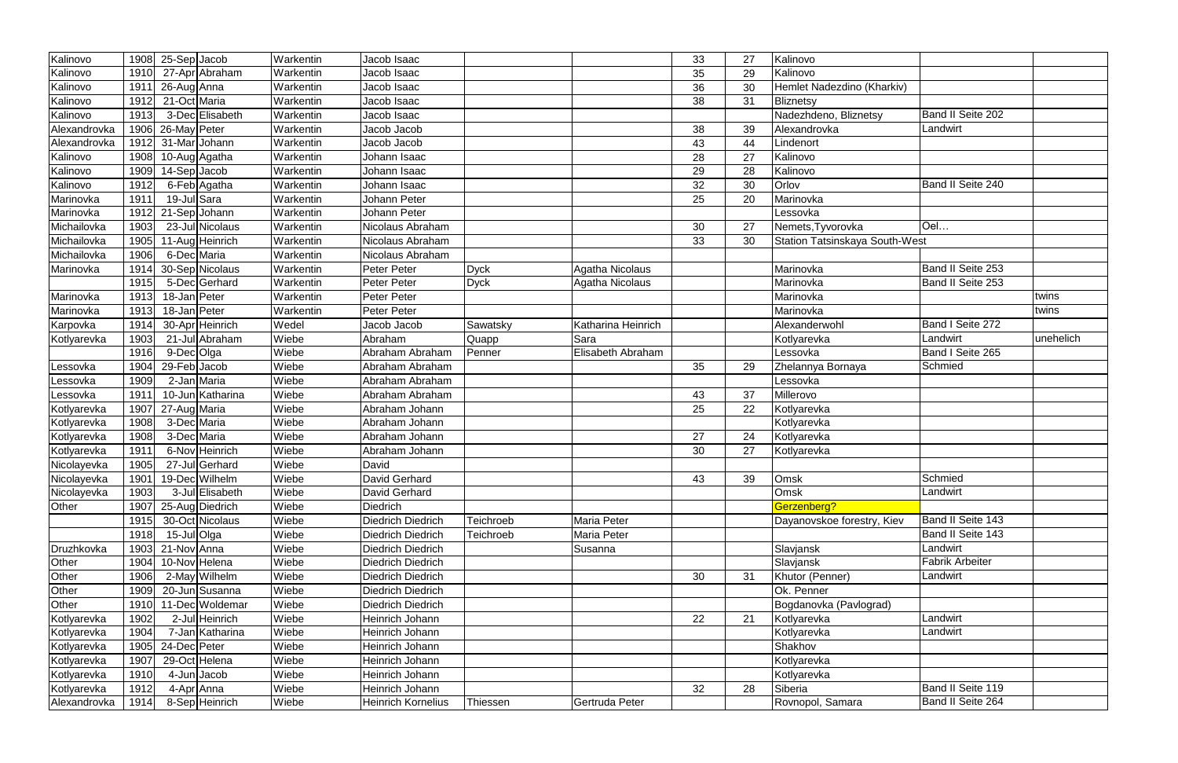| Kalinovo     |      | $1908$ 25-Sep Jacob       | Warkentin | Jacob Isaac               |             |                    | 33 | 27 | Kalinovo                              |                        |           |
|--------------|------|---------------------------|-----------|---------------------------|-------------|--------------------|----|----|---------------------------------------|------------------------|-----------|
| Kalinovo     | 1910 | 27-Apr Abraham            | Warkentin | Jacob Isaac               |             |                    | 35 | 29 | Kalinovo                              |                        |           |
| Kalinovo     | 1911 | 26-Aug Anna               | Warkentin | Jacob Isaac               |             |                    | 36 | 30 | Hemlet Nadezdino (Kharkiv)            |                        |           |
| Kalinovo     | 1912 | $\overline{21-Oct}$ Maria | Warkentin | Jacob Isaac               |             |                    | 38 | 31 | Bliznetsy                             |                        |           |
| Kalinovo     | 1913 | 3-Dec Elisabeth           | Warkentin | Jacob Isaac               |             |                    |    |    | Nadezhdeno, Bliznetsy                 | Band II Seite 202      |           |
| Alexandrovka | 1906 | 26-May Peter              | Warkentin | Jacob Jacob               |             |                    | 38 | 39 | Alexandrovka                          | Landwirt               |           |
| Alexandrovka | 1912 | 31-MarJohann              | Warkentin | Jacob Jacob               |             |                    | 43 | 44 | Lindenort                             |                        |           |
| Kalinovo     | 1908 | 10-Aug Agatha             | Warkentin | Johann Isaac              |             |                    | 28 | 27 | Kalinovo                              |                        |           |
| Kalinovo     | 1909 | 14-Sep Jacob              | Warkentin | Johann Isaac              |             |                    | 29 | 28 | Kalinovo                              |                        |           |
| Kalinovo     | 1912 | 6-Feb Agatha              | Warkentin | Johann Isaac              |             |                    | 32 | 30 | Orlov                                 | Band II Seite 240      |           |
| Marinovka    | 1911 | 19-Jul Sara               | Warkentin | Johann Peter              |             |                    | 25 | 20 | Marinovka                             |                        |           |
| Marinovka    | 1912 | 21-Sep Johann             | Warkentin | Johann Peter              |             |                    |    |    | Lessovka                              |                        |           |
| Michailovka  | 1903 | 23-Jul Nicolaus           | Warkentin | Nicolaus Abraham          |             |                    | 30 | 27 | Nemets, Tyvorovka                     | Oel                    |           |
| Michailovka  | 1905 | 11-Aug Heinrich           | Warkentin | Nicolaus Abraham          |             |                    | 33 | 30 | <b>Station Tatsinskaya South-West</b> |                        |           |
| Michailovka  | 1906 | 6-Dec Maria               | Warkentin | Nicolaus Abraham          |             |                    |    |    |                                       |                        |           |
| Marinovka    | 1914 | 30-Sep Nicolaus           | Warkentin | Peter Peter               | <b>Dyck</b> | Agatha Nicolaus    |    |    | Marinovka                             | Band II Seite 253      |           |
|              | 1915 | 5-Dec Gerhard             | Warkentin | Peter Peter               | <b>Dyck</b> | Agatha Nicolaus    |    |    | Marinovka                             | Band II Seite 253      |           |
| Marinovka    | 1913 | 18-Jan Peter              | Warkentin | Peter Peter               |             |                    |    |    | Marinovka                             |                        | twins     |
| Marinovka    | 1913 | 18-Jan Peter              | Warkentin | Peter Peter               |             |                    |    |    | Marinovka                             |                        | twins     |
| Karpovka     | 1914 | 30-Apr Heinrich           | Wedel     | Jacob Jacob               | Sawatsky    | Katharina Heinrich |    |    | Alexanderwohl                         | Band I Seite 272       |           |
| Kotlyarevka  | 1903 | 21-Jul Abraham            | Wiebe     | Abraham                   | Quapp       | Sara               |    |    | Kotlyarevka                           | Landwirt               | unehelich |
|              | 1916 | 9-DecOllga                | Wiebe     | Abraham Abraham           | Penner      | Elisabeth Abraham  |    |    | Lessovka                              | Band I Seite 265       |           |
| Lessovka     | 1904 | 29-Feb Jacob              | Wiebe     | Abraham Abraham           |             |                    | 35 | 29 | Zhelannya Bornaya                     | Schmied                |           |
| Lessovka     | 1909 | 2-Jan Maria               | Wiebe     | Abraham Abraham           |             |                    |    |    | Lessovka                              |                        |           |
| Lessovka     | 1911 | 10-Jun Katharina          | Wiebe     | Abraham Abraham           |             |                    | 43 | 37 | Millerovo                             |                        |           |
| Kotlyarevka  | 1907 | 27-Aug Maria              | Wiebe     | Abraham Johann            |             |                    | 25 | 22 | Kotlyarevka                           |                        |           |
| Kotlyarevka  | 1908 | 3-Dec Maria               | Wiebe     | Abraham Johann            |             |                    |    |    | Kotlyarevka                           |                        |           |
| Kotlyarevka  | 1908 | 3-Dec Maria               | Wiebe     | Abraham Johann            |             |                    | 27 | 24 | Kotlyarevka                           |                        |           |
| Kotlyarevka  | 1911 | 6-Nov Heinrich            | Wiebe     | Abraham Johann            |             |                    | 30 | 27 | Kotlyarevka                           |                        |           |
| Nicolayevka  | 1905 | 27-Jul Gerhard            | Wiebe     | David                     |             |                    |    |    |                                       |                        |           |
| Nicolayevka  | 1901 | 19-Dec Wilhelm            | Wiebe     | David Gerhard             |             |                    | 43 | 39 | Omsk                                  | Schmied                |           |
| Nicolayevka  | 1903 | 3-Jul Elisabeth           | Wiebe     | David Gerhard             |             |                    |    |    | Omsk                                  | Landwirt               |           |
| Other        | 1907 | 25-Aug Diedrich           | Wiebe     | Diedrich                  |             |                    |    |    | Gerzenberg?                           |                        |           |
|              | 1915 | 30-Oct Nicolaus           | Wiebe     | Diedrich Diedrich         | Teichroeb   | Maria Peter        |    |    | Dayanovskoe forestry, Kiev            | Band II Seite 143      |           |
|              | 1918 | 15-Jul Olga               | Wiebe     | <b>Diedrich Diedrich</b>  | Teichroeb   | Maria Peter        |    |    |                                       | Band II Seite 143      |           |
| Druzhkovka   | 1903 | 21-Nov Anna               | Wiebe     | Diedrich Diedrich         |             | Susanna            |    |    | Slavjansk                             | Landwirt               |           |
| Other        | 1904 | 10-Nov Helena             | Wiebe     | <b>Diedrich Diedrich</b>  |             |                    |    |    | Slavjansk                             | <b>Fabrik Arbeiter</b> |           |
| Other        | 1906 | 2-May Wilhelm             | Wiebe     | Diedrich Diedrich         |             |                    | 30 | 31 | Khutor (Penner)                       | Landwirt               |           |
| Other        | 1909 | 20-Jun Susanna            | Wiebe     | <b>Diedrich Diedrich</b>  |             |                    |    |    | Ok. Penner                            |                        |           |
| Other        | 1910 | 11-Dec Woldemar           | Wiebe     | Diedrich Diedrich         |             |                    |    |    | Bogdanovka (Pavlograd)                |                        |           |
| Kotlyarevka  | 1902 | 2-Jul Heinrich            | Wiebe     | Heinrich Johann           |             |                    | 22 | 21 | Kotlyarevka                           | Landwirt               |           |
| Kotlyarevka  | 1904 | 7-Jan Katharina           | Wiebe     | Heinrich Johann           |             |                    |    |    | Kotlyarevka                           | Landwirt               |           |
| Kotlyarevka  | 1905 | 24-Dec Peter              | Wiebe     | Heinrich Johann           |             |                    |    |    | Shakhov                               |                        |           |
| Kotlyarevka  | 1907 | 29-Oct Helena             | Wiebe     | Heinrich Johann           |             |                    |    |    | Kotlyarevka                           |                        |           |
| Kotlyarevka  | 1910 | $4$ -Jun Jacob            | Wiebe     | Heinrich Johann           |             |                    |    |    | Kotlyarevka                           |                        |           |
| Kotlyarevka  | 1912 | 4-Apr Anna                | Wiebe     | Heinrich Johann           |             |                    | 32 | 28 | Siberia                               | Band II Seite 119      |           |
| Alexandrovka | 1914 | 8-Sep Heinrich            | Wiebe     | <b>Heinrich Kornelius</b> | Thiessen    | Gertruda Peter     |    |    | Rovnopol, Samara                      | Band II Seite 264      |           |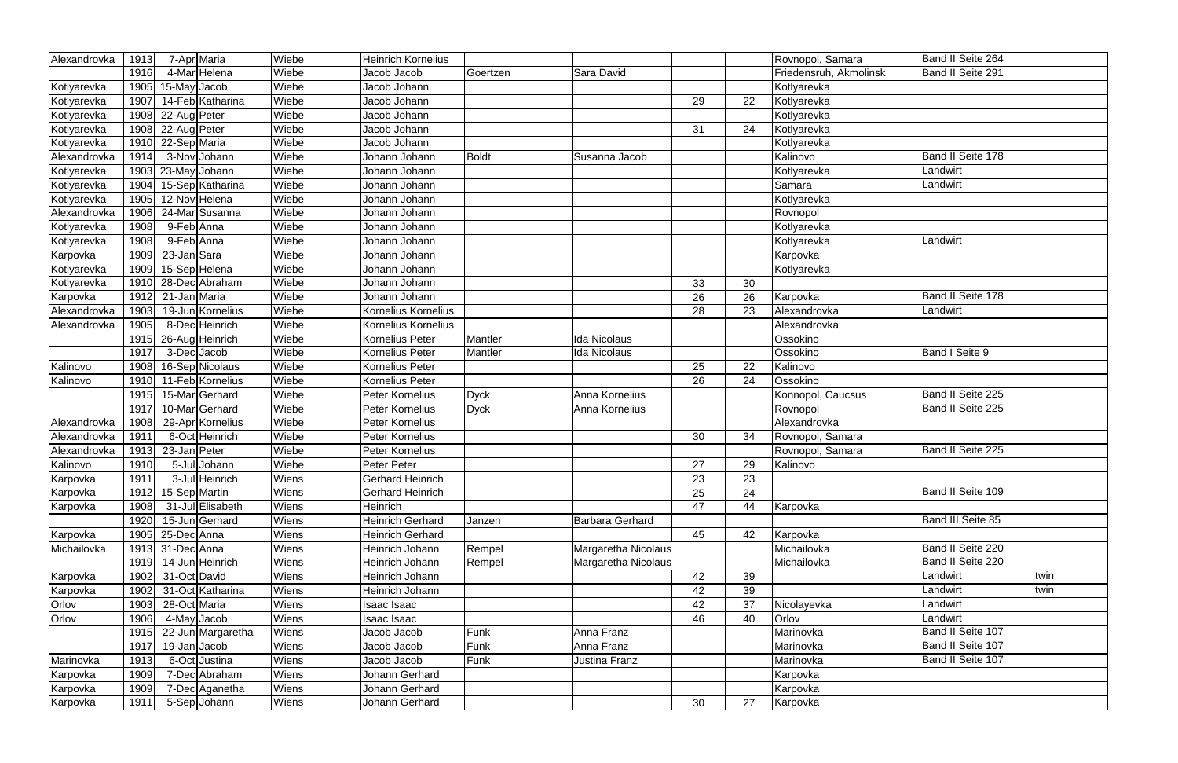| Alexandrovka | 1913 | 7-Apr Maria        | Wiebe | <b>Heinrich Kornelius</b> |              |                        |    |    | Rovnopol, Samara       | Band II Seite 264        |      |
|--------------|------|--------------------|-------|---------------------------|--------------|------------------------|----|----|------------------------|--------------------------|------|
|              | 1916 | 4-Mar Helena       | Wiebe | Jacob Jacob               | Goertzen     | Sara David             |    |    | Friedensruh, Akmolinsk | Band II Seite 291        |      |
| Kotlyarevka  | 1905 | 15-May Jacob       | Wiebe | Jacob Johann              |              |                        |    |    | Kotlyarevka            |                          |      |
| Kotlyarevka  | 1907 | 14-Feb Katharina   | Wiebe | Jacob Johann              |              |                        | 29 | 22 | Kotlyarevka            |                          |      |
| Kotlyarevka  | 1908 | 22-Aug Peter       | Wiebe | Jacob Johann              |              |                        |    |    | Kotlyarevka            |                          |      |
| Kotlyarevka  | 1908 | 22-Aug Peter       | Wiebe | Jacob Johann              |              |                        | 31 | 24 | Kotlyarevka            |                          |      |
| Kotlyarevka  | 1910 | 22-Sep Maria       | Wiebe | Jacob Johann              |              |                        |    |    | Kotlyarevka            |                          |      |
| Alexandrovka | 1914 | 3-Nov Johann       | Wiebe | Johann Johann             | <b>Boldt</b> | Susanna Jacob          |    |    | Kalinovo               | Band II Seite 178        |      |
| Kotlyarevka  |      | 1903 23-May Johann | Wiebe | Johann Johann             |              |                        |    |    | Kotlyarevka            | Landwirt                 |      |
| Kotlyarevka  | 1904 | 15-Sep Katharina   | Wiebe | Johann Johann             |              |                        |    |    | Samara                 | Landwirt                 |      |
| Kotlyarevka  | 1905 | 12-Nov Helena      | Wiebe | Johann Johann             |              |                        |    |    | Kotlyarevka            |                          |      |
| Alexandrovka | 1906 | 24-Mar Susanna     | Wiebe | Johann Johann             |              |                        |    |    | Rovnopol               |                          |      |
| Kotlyarevka  | 1908 | 9-Feb Anna         | Wiebe | Johann Johann             |              |                        |    |    | Kotlyarevka            |                          |      |
| Kotlyarevka  | 1908 | 9-Feb Anna         | Wiebe | Johann Johann             |              |                        |    |    | Kotlyarevka            | Landwirt                 |      |
| Karpovka     | 1909 | 23-Jan Sara        | Wiebe | Johann Johann             |              |                        |    |    | Karpovka               |                          |      |
| Kotlyarevka  | 1909 | 15-Sep Helena      | Wiebe | Johann Johann             |              |                        |    |    | Kotlyarevka            |                          |      |
| Kotlyarevka  | 1910 | 28-Dec Abraham     | Wiebe | Johann Johann             |              |                        | 33 | 30 |                        |                          |      |
| Karpovka     | 1912 | 21-Jan Maria       | Wiebe | Johann Johann             |              |                        | 26 | 26 | Karpovka               | Band II Seite 178        |      |
| Alexandrovka | 1903 | 19-Jun Kornelius   | Wiebe | Kornelius Kornelius       |              |                        | 28 | 23 | Alexandrovka           | Landwirt                 |      |
| Alexandrovka | 1905 | 8-Dec Heinrich     | Wiebe | Kornelius Kornelius       |              |                        |    |    | Alexandrovka           |                          |      |
|              | 1915 | 26-Aug Heinrich    | Wiebe | Kornelius Peter           | Mantler      | <b>Ida Nicolaus</b>    |    |    | Ossokino               |                          |      |
|              | 1917 | 3-Dec Jacob        | Wiebe | Kornelius Peter           | Mantler      | Ida Nicolaus           |    |    | Ossokino               | Band I Seite 9           |      |
| Kalinovo     | 1908 | 16-Sep Nicolaus    | Wiebe | Kornelius Peter           |              |                        | 25 | 22 | Kalinovo               |                          |      |
| Kalinovo     | 1910 | 11-Feb Kornelius   | Wiebe | Kornelius Peter           |              |                        | 26 | 24 | Ossokino               |                          |      |
|              | 1915 | 15-MarGerhard      | Wiebe | Peter Kornelius           | <b>Dyck</b>  | Anna Kornelius         |    |    | Konnopol, Caucsus      | Band II Seite 225        |      |
|              | 1917 | 10-Mar Gerhard     | Wiebe | Peter Kornelius           | <b>Dyck</b>  | Anna Kornelius         |    |    | Rovnopol               | Band II Seite 225        |      |
| Alexandrovka | 1908 | 29-Apr Kornelius   | Wiebe | Peter Kornelius           |              |                        |    |    | Alexandrovka           |                          |      |
| Alexandrovka | 1911 | 6-Oct Heinrich     | Wiebe | Peter Kornelius           |              |                        | 30 | 34 | Rovnopol, Samara       |                          |      |
| Alexandrovka | 1913 | 23-Jan Peter       | Wiebe | Peter Kornelius           |              |                        |    |    | Rovnopol, Samara       | Band II Seite 225        |      |
| Kalinovo     | 1910 | 5-Jul Johann       | Wiebe | Peter Peter               |              |                        | 27 | 29 | Kalinovo               |                          |      |
| Karpovka     | 1911 | 3-Jul Heinrich     | Wiens | <b>Gerhard Heinrich</b>   |              |                        | 23 | 23 |                        |                          |      |
| Karpovka     | 1912 | 15-Sep Martin      | Wiens | <b>Gerhard Heinrich</b>   |              |                        | 25 | 24 |                        | Band II Seite 109        |      |
| Karpovka     | 1908 | 31-Jul Elisabeth   | Wiens | Heinrich                  |              |                        | 47 | 44 | Karpovka               |                          |      |
|              | 1920 | 15-Jun Gerhard     | Wiens | <b>Heinrich Gerhard</b>   | Janzen       | <b>Barbara Gerhard</b> |    |    |                        | <b>Band III Seite 85</b> |      |
| Karpovka     | 1905 | 25-Dec Anna        | Wiens | <b>Heinrich Gerhard</b>   |              |                        | 45 | 42 | Karpovka               |                          |      |
| Michailovka  | 1913 | 31-Dec Anna        | Wiens | Heinrich Johann           | Rempel       | Margaretha Nicolaus    |    |    | Michailovka            | Band II Seite 220        |      |
|              | 1919 | 14-Jun Heinrich    | Wiens | Heinrich Johann           | Rempel       | Margaretha Nicolaus    |    |    | Michailovka            | Band II Seite 220        |      |
| Karpovka     | 1902 | 31-Oct David       | Wiens | Heinrich Johann           |              |                        | 42 | 39 |                        | Landwirt                 | twin |
| Karpovka     | 1902 | 31-Oct Katharina   | Wiens | Heinrich Johann           |              |                        | 42 | 39 |                        | Landwirt                 | twin |
| Orlov        | 1903 | 28-Oct Maria       | Wiens | Isaac Isaac               |              |                        | 42 | 37 | Nicolayevka            | Landwirt                 |      |
| Orlov        | 1906 | 4-May Jacob        | Wiens | Isaac Isaac               |              |                        | 46 | 40 | Orlov                  | Landwirt                 |      |
|              | 1915 | 22-Jun Margaretha  | Wiens | Jacob Jacob               | Funk         | Anna Franz             |    |    | Marinovka              | Band II Seite 107        |      |
|              | 1917 | 19-Jan Jacob       | Wiens | Jacob Jacob               | Funk         | Anna Franz             |    |    | Marinovka              | Band II Seite 107        |      |
| Marinovka    | 1913 | 6-Oct Justina      | Wiens | Jacob Jacob               | Funk         | Justina Franz          |    |    | Marinovka              | Band II Seite 107        |      |
| Karpovka     | 1909 | 7-Dec Abraham      | Wiens | Johann Gerhard            |              |                        |    |    | Karpovka               |                          |      |
| Karpovka     | 1909 | 7-Dec Aganetha     | Wiens | Johann Gerhard            |              |                        |    |    | Karpovka               |                          |      |
| Karpovka     | 1911 | 5-Sep Johann       | Wiens | Johann Gerhard            |              |                        | 30 | 27 | Karpovka               |                          |      |